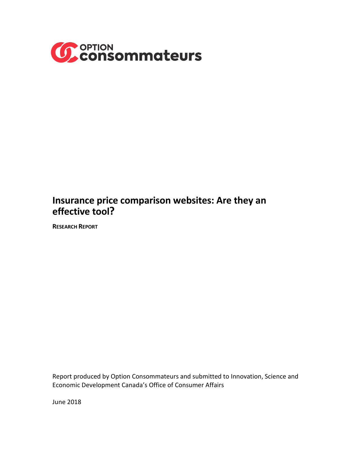

# **Insurance price comparison websites: Are they an effective tool?**

**RESEARCH REPORT**

Report produced by Option Consommateurs and submitted to Innovation, Science and Economic Development Canada's Office of Consumer Affairs

June 2018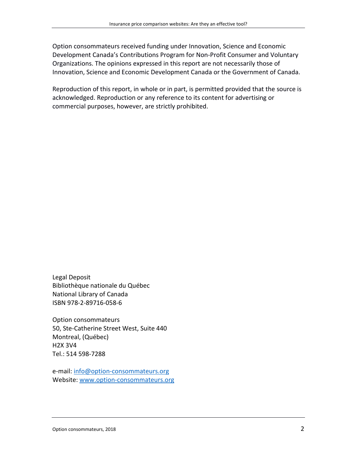Option consommateurs received funding under Innovation, Science and Economic Development Canada's Contributions Program for Non-Profit Consumer and Voluntary Organizations. The opinions expressed in this report are not necessarily those of Innovation, Science and Economic Development Canada or the Government of Canada.

Reproduction of this report, in whole or in part, is permitted provided that the source is acknowledged. Reproduction or any reference to its content for advertising or commercial purposes, however, are strictly prohibited.

Legal Deposit Bibliothèque nationale du Québec National Library of Canada ISBN 978-2-89716-058-6

Option consommateurs 50, Ste-Catherine Street West, Suite 440 Montreal, (Québec) H2X 3V4 Tel.: 514 598-7288

e-mail: [info@option-consommateurs.org](mailto:info@option-consommateurs.org) Website: [www.option-consommateurs.org](http://www.option-consommateurs.org/)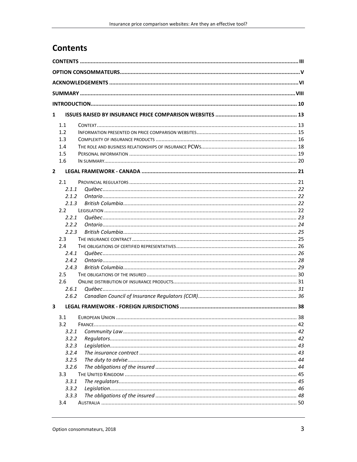# <span id="page-2-0"></span>**Contents**

| $\mathbf{1}$   |                  |  |  |  |  |  |  |
|----------------|------------------|--|--|--|--|--|--|
|                | 1.1              |  |  |  |  |  |  |
|                | 1.2              |  |  |  |  |  |  |
|                | 1.3              |  |  |  |  |  |  |
|                | 1.4              |  |  |  |  |  |  |
|                | 1.5              |  |  |  |  |  |  |
|                | 1.6              |  |  |  |  |  |  |
| $\overline{2}$ |                  |  |  |  |  |  |  |
|                | 2.1              |  |  |  |  |  |  |
|                | 2.1.1            |  |  |  |  |  |  |
|                | 2.1.2            |  |  |  |  |  |  |
|                | 2.1.3            |  |  |  |  |  |  |
|                | 2.2              |  |  |  |  |  |  |
|                | 2.2.1            |  |  |  |  |  |  |
|                | 2.2.2            |  |  |  |  |  |  |
|                | 2.2.3            |  |  |  |  |  |  |
|                | 2.3              |  |  |  |  |  |  |
|                | 2.4              |  |  |  |  |  |  |
|                | 2.4.1            |  |  |  |  |  |  |
|                | 2.4.2            |  |  |  |  |  |  |
|                | 2.4.3            |  |  |  |  |  |  |
|                | 2.5              |  |  |  |  |  |  |
|                | 2.6              |  |  |  |  |  |  |
|                | 2.6.1            |  |  |  |  |  |  |
|                | 2.6.2            |  |  |  |  |  |  |
| 3              |                  |  |  |  |  |  |  |
|                | 3.1              |  |  |  |  |  |  |
|                | 3.2              |  |  |  |  |  |  |
|                | 3.2.1            |  |  |  |  |  |  |
|                | 3.2.2            |  |  |  |  |  |  |
|                | 3.2.3            |  |  |  |  |  |  |
|                | 3.2.4            |  |  |  |  |  |  |
|                | 3.2.5            |  |  |  |  |  |  |
|                | 3.2.6            |  |  |  |  |  |  |
|                | 3.3 <sub>1</sub> |  |  |  |  |  |  |
|                | 3.3.1            |  |  |  |  |  |  |
|                | 3.3.2            |  |  |  |  |  |  |
|                | 3.3.3            |  |  |  |  |  |  |
|                | 3.4              |  |  |  |  |  |  |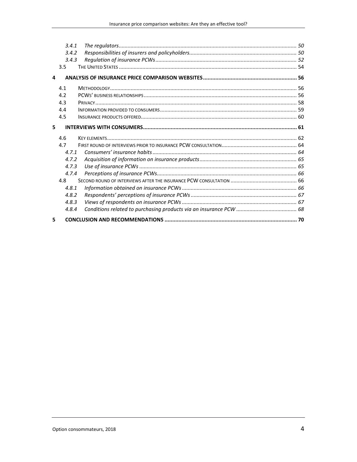|   | 3.4.1 |  |
|---|-------|--|
|   | 3.4.2 |  |
|   | 3.4.3 |  |
|   | 3.5   |  |
| 4 |       |  |
|   | 4.1   |  |
|   | 4.2   |  |
|   | 4.3   |  |
|   | 4.4   |  |
|   | 4.5   |  |
| 5 |       |  |
|   | 4.6   |  |
|   | 4.7   |  |
|   | 471   |  |
|   | 4.7.2 |  |
|   | 4.7.3 |  |
|   | 4.7.4 |  |
|   | 4.8   |  |
|   | 4.8.1 |  |
|   | 4.8.2 |  |
|   | 4.8.3 |  |
|   | 4.8.4 |  |
|   |       |  |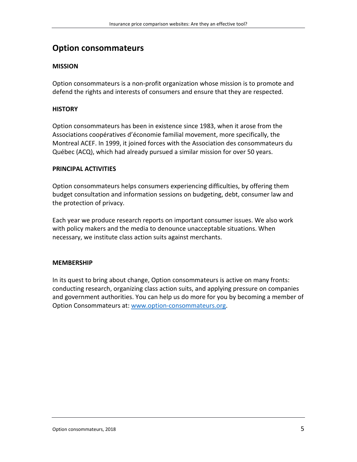# <span id="page-4-0"></span>**Option consommateurs**

### **MISSION**

Option consommateurs is a non-profit organization whose mission is to promote and defend the rights and interests of consumers and ensure that they are respected.

### **HISTORY**

Option consommateurs has been in existence since 1983, when it arose from the Associations coopératives d'économie familial movement, more specifically, the Montreal ACEF. In 1999, it joined forces with the Association des consommateurs du Québec (ACQ), which had already pursued a similar mission for over 50 years.

### **PRINCIPAL ACTIVITIES**

Option consommateurs helps consumers experiencing difficulties, by offering them budget consultation and information sessions on budgeting, debt, consumer law and the protection of privacy.

Each year we produce research reports on important consumer issues. We also work with policy makers and the media to denounce unacceptable situations. When necessary, we institute class action suits against merchants.

#### **MEMBERSHIP**

In its quest to bring about change, Option consommateurs is active on many fronts: conducting research, organizing class action suits, and applying pressure on companies and government authorities. You can help us do more for you by becoming a member of Option Consommateurs at: [www.option-consommateurs.org.](http://www.option-consommateurs.org/)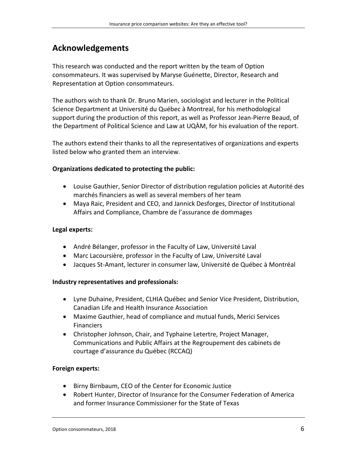# <span id="page-5-0"></span>**Acknowledgements**

This research was conducted and the report written by the team of Option consommateurs. It was supervised by Maryse Guénette, Director, Research and Representation at Option consommateurs.

The authors wish to thank Dr. Bruno Marien, sociologist and lecturer in the Political Science Department at Université du Québec à Montreal, for his methodological support during the production of this report, as well as Professor Jean-Pierre Beaud, of the Department of Political Science and Law at UQÀM, for his evaluation of the report.

The authors extend their thanks to all the representatives of organizations and experts listed below who granted them an interview.

### **Organizations dedicated to protecting the public:**

- Louise Gauthier, Senior Director of distribution regulation policies at Autorité des marchés financiers as well as several members of her team
- Maya Raic, President and CEO, and Jannick Desforges, Director of Institutional Affairs and Compliance, Chambre de l'assurance de dommages

#### **Legal experts:**

- André Bélanger, professor in the Faculty of Law, Université Laval
- Marc Lacoursière, professor in the Faculty of Law, Université Laval
- Jacques St-Amant, lecturer in consumer law, Université de Québec à Montréal

#### **Industry representatives and professionals:**

- Lyne Duhaine, President, CLHIA Québec and Senior Vice President, Distribution, Canadian Life and Health Insurance Association
- Maxime Gauthier, head of compliance and mutual funds, Merici Services Financiers
- Christopher Johnson, Chair, and Typhaine Letertre, Project Manager, Communications and Public Affairs at the Regroupement des cabinets de courtage d'assurance du Québec (RCCAQ)

#### **Foreign experts:**

- Birny Birnbaum, CEO of the Center for Economic Justice
- Robert Hunter, Director of Insurance for the Consumer Federation of America and former Insurance Commissioner for the State of Texas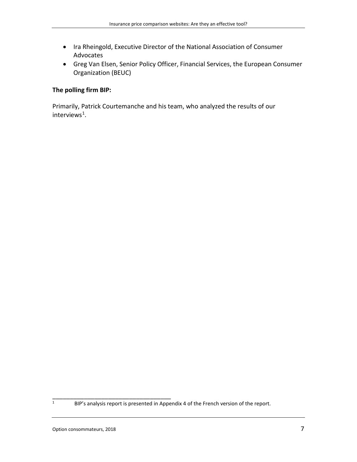- Ira Rheingold, Executive Director of the National Association of Consumer Advocates
- Greg Van Elsen, Senior Policy Officer, Financial Services, the European Consumer Organization (BEUC)

### **The polling firm BIP:**

Primarily, Patrick Courtemanche and his team, who analyzed the results of our interviews<sup>[1](#page-6-0)</sup>.

<span id="page-6-0"></span>**EXECUTE:** BIP's analysis report is presented in Appendix 4 of the French version of the report.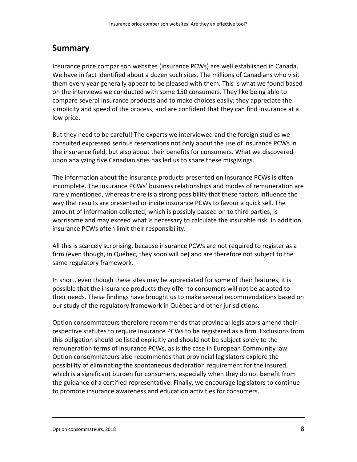# <span id="page-7-0"></span>**Summary**

Insurance price comparison websites (insurance PCWs) are well established in Canada. We have in fact identified about a dozen such sites. The millions of Canadians who visit them every year generally appear to be pleased with them. This is what we found based on the interviews we conducted with some 150 consumers. They like being able to compare several insurance products and to make choices easily; they appreciate the simplicity and speed of the process, and are confident that they can find insurance at a low price.

But they need to be careful! The experts we interviewed and the foreign studies we consulted expressed serious reservations not only about the use of insurance PCWs in the insurance field, but also about their benefits for consumers. What we discovered upon analyzing five Canadian sites has led us to share these misgivings.

The information about the insurance products presented on insurance PCWs is often incomplete. The insurance PCWs' business relationships and modes of remuneration are rarely mentioned, whereas there is a strong possibility that these factors influence the way that results are presented or incite insurance PCWs to favour a quick sell. The amount of information collected, which is possibly passed on to third parties, is worrisome and may exceed what is necessary to calculate the insurable risk. In addition, insurance PCWs often limit their responsibility.

All this is scarcely surprising, because insurance PCWs are not required to register as a firm (even though, in Québec, they soon will be) and are therefore not subject to the same regulatory framework.

In short, even though these sites may be appreciated for some of their features, it is possible that the insurance products they offer to consumers will not be adapted to their needs. These findings have brought us to make several recommendations based on our study of the regulatory framework in Québec and other jurisdictions.

Option consommateurs therefore recommends that provincial legislators amend their respective statutes to require insurance PCWs to be registered as a firm. Exclusions from this obligation should be listed explicitly and should not be subject solely to the remuneration terms of insurance PCWs, as is the case in European Community law. Option consommateurs also recommends that provincial legislators explore the possibility of eliminating the spontaneous declaration requirement for the insured, which is a significant burden for consumers, especially when they do not benefit from the guidance of a certified representative. Finally, we encourage legislators to continue to promote insurance awareness and education activities for consumers.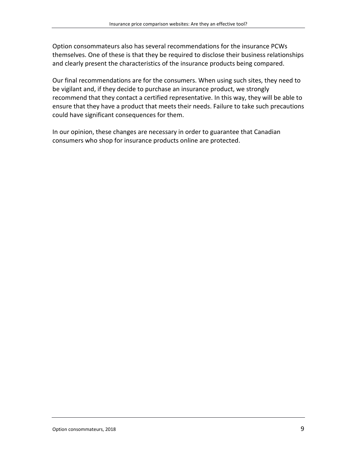Option consommateurs also has several recommendations for the insurance PCWs themselves. One of these is that they be required to disclose their business relationships and clearly present the characteristics of the insurance products being compared.

Our final recommendations are for the consumers. When using such sites, they need to be vigilant and, if they decide to purchase an insurance product, we strongly recommend that they contact a certified representative. In this way, they will be able to ensure that they have a product that meets their needs. Failure to take such precautions could have significant consequences for them.

In our opinion, these changes are necessary in order to guarantee that Canadian consumers who shop for insurance products online are protected.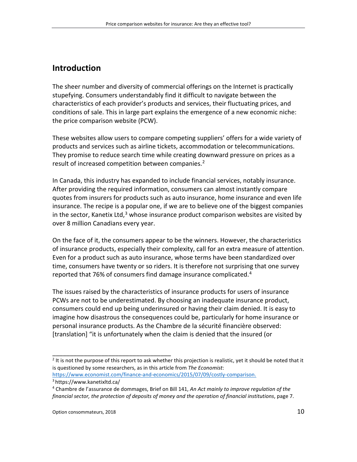# <span id="page-9-0"></span>**Introduction**

The sheer number and diversity of commercial offerings on the Internet is practically stupefying. Consumers understandably find it difficult to navigate between the characteristics of each provider's products and services, their fluctuating prices, and conditions of sale. This in large part explains the emergence of a new economic niche: the price comparison website (PCW).

These websites allow users to compare competing suppliers' offers for a wide variety of products and services such as airline tickets, accommodation or telecommunications. They promise to reduce search time while creating downward pressure on prices as a result of increased competition between companies.<sup>[2](#page-9-1)</sup>

In Canada, this industry has expanded to include financial services, notably insurance. After providing the required information, consumers can almost instantly compare quotes from insurers for products such as auto insurance, home insurance and even life insurance. The recipe is a popular one, if we are to believe one of the biggest companies in the sector, Kanetix Ltd,<sup>[3](#page-9-2)</sup> whose insurance product comparison websites are visited by over 8 million Canadians every year.

On the face of it, the consumers appear to be the winners. However, the characteristics of insurance products, especially their complexity, call for an extra measure of attention. Even for a product such as auto insurance, whose terms have been standardized over time, consumers have twenty or so riders. It is therefore not surprising that one survey reported that 76% of consumers find damage insurance complicated.<sup>[4](#page-9-3)</sup>

The issues raised by the characteristics of insurance products for users of insurance PCWs are not to be underestimated. By choosing an inadequate insurance product, consumers could end up being underinsured or having their claim denied. It is easy to imagine how disastrous the consequences could be, particularly for home insurance or personal insurance products. As the Chambre de la sécurité financière observed: [translation] "it is unfortunately when the claim is denied that the insured (or

<span id="page-9-1"></span> $2$  It is not the purpose of this report to ask whether this projection is realistic, yet it should be noted that it is questioned by some researchers, as in this article from *The Economist*:

[https://www.economist.com/finance-and-economics/2015/07/09/costly-comparison.](https://www.economist.com/finance-and-economics/2015/07/09/costly-comparison) <sup>3</sup> https://www.kanetixltd.ca/

<span id="page-9-3"></span><span id="page-9-2"></span><sup>4</sup> Chambre de l'assurance de dommages, Brief on Bill 141, *An Act mainly to improve regulation of the financial sector, the protection of deposits of money and the operation of financial institutions*, page 7.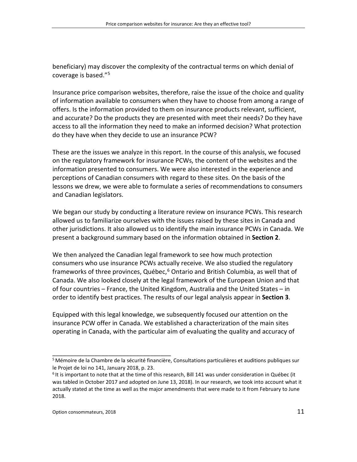beneficiary) may discover the complexity of the contractual terms on which denial of coverage is based."[5](#page-10-0)

Insurance price comparison websites, therefore, raise the issue of the choice and quality of information available to consumers when they have to choose from among a range of offers. Is the information provided to them on insurance products relevant, sufficient, and accurate? Do the products they are presented with meet their needs? Do they have access to all the information they need to make an informed decision? What protection do they have when they decide to use an insurance PCW?

These are the issues we analyze in this report. In the course of this analysis, we focused on the regulatory framework for insurance PCWs, the content of the websites and the information presented to consumers. We were also interested in the experience and perceptions of Canadian consumers with regard to these sites. On the basis of the lessons we drew, we were able to formulate a series of recommendations to consumers and Canadian legislators.

We began our study by conducting a literature review on insurance PCWs. This research allowed us to familiarize ourselves with the issues raised by these sites in Canada and other jurisdictions. It also allowed us to identify the main insurance PCWs in Canada. We present a background summary based on the information obtained in **Section 2**.

We then analyzed the Canadian legal framework to see how much protection consumers who use insurance PCWs actually receive. We also studied the regulatory frameworks of three provinces, Québec,<sup>[6](#page-10-1)</sup> Ontario and British Columbia, as well that of Canada. We also looked closely at the legal framework of the European Union and that of four countries – France, the United Kingdom, Australia and the United States – in order to identify best practices. The results of our legal analysis appear in **Section 3**.

Equipped with this legal knowledge, we subsequently focused our attention on the insurance PCW offer in Canada. We established a characterization of the main sites operating in Canada, with the particular aim of evaluating the quality and accuracy of

<span id="page-10-0"></span><sup>&</sup>lt;sup>5</sup> Mémoire de la Chambre de la sécurité financière, Consultations particulières et auditions publiques sur le Projet de loi no 141, January 2018, p. 23.

<span id="page-10-1"></span> $6$  It is important to note that at the time of this research, Bill 141 was under consideration in Québec (it was tabled in October 2017 and adopted on June 13, 2018). In our research, we took into account what it actually stated at the time as well as the major amendments that were made to it from February to June 2018.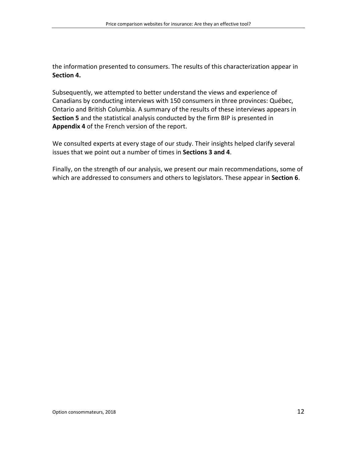the information presented to consumers. The results of this characterization appear in **Section 4.**

Subsequently, we attempted to better understand the views and experience of Canadians by conducting interviews with 150 consumers in three provinces: Québec, Ontario and British Columbia. A summary of the results of these interviews appears in **Section 5** and the statistical analysis conducted by the firm BIP is presented in **Appendix 4** of the French version of the report.

We consulted experts at every stage of our study. Their insights helped clarify several issues that we point out a number of times in **Sections 3 and 4**.

Finally, on the strength of our analysis, we present our main recommendations, some of which are addressed to consumers and others to legislators. These appear in **Section 6**.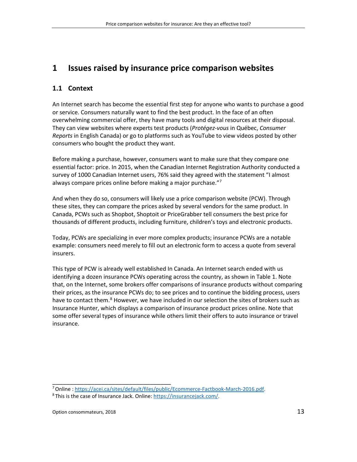# <span id="page-12-0"></span>**1 Issues raised by insurance price comparison websites**

# <span id="page-12-1"></span>**1.1 Context**

An Internet search has become the essential first step for anyone who wants to purchase a good or service. Consumers naturally want to find the best product. In the face of an often overwhelming commercial offer, they have many tools and digital resources at their disposal. They can view websites where experts test products (*Protégez-vous* in Québec, *Consumer Reports* in English Canada) or go to platforms such as YouTube to view videos posted by other consumers who bought the product they want.

Before making a purchase, however, consumers want to make sure that they compare one essential factor: price. In 2015, when the Canadian Internet Registration Authority conducted a survey of 1000 Canadian Internet users, 76% said they agreed with the statement "I almost always compare prices online before making a major purchase."<sup>[7](#page-12-2)</sup>

And when they do so, consumers will likely use a price comparison website (PCW). Through these sites, they can compare the prices asked by several vendors for the same product. In Canada, PCWs such as Shopbot, Shoptoit or PriceGrabber tell consumers the best price for thousands of different products, including furniture, children's toys and electronic products.

Today, PCWs are specializing in ever more complex products; insurance PCWs are a notable example: consumers need merely to fill out an electronic form to access a quote from several insurers.

This type of PCW is already well established In Canada. An Internet search ended with us identifying a dozen insurance PCWs operating across the country, as shown in Table 1. Note that, on the Internet, some brokers offer comparisons of insurance products without comparing their prices, as the insurance PCWs do; to see prices and to continue the bidding process, users have to contact them.<sup>[8](#page-12-3)</sup> However, we have included in our selection the sites of brokers such as Insurance Hunter, which displays a comparison of insurance product prices online. Note that some offer several types of insurance while others limit their offers to auto insurance or travel insurance.

<span id="page-12-2"></span><sup>7</sup>Online [: https://acei.ca/sites/default/files/public/Ecommerce-Factbook-March-2016.pdf.](https://acei.ca/sites/default/files/public/Ecommerce-Factbook-March-2016.pdf)

<span id="page-12-3"></span><sup>8</sup> This is the case of Insurance Jack. Online: [https://insurancejack.com/.](https://insurancejack.com/)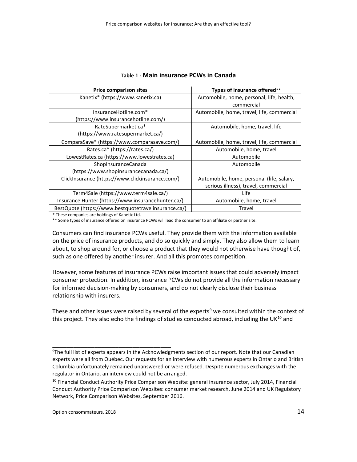| <b>Price comparison sites</b>                        | Types of insurance offered**               |
|------------------------------------------------------|--------------------------------------------|
| Kanetix* (https://www.kanetix.ca)                    | Automobile, home, personal, life, health,  |
|                                                      | commercial                                 |
| InsuranceHotline.com*                                | Automobile, home, travel, life, commercial |
| (https://www.insurancehotline.com/)                  |                                            |
| RateSupermarket.ca*                                  | Automobile, home, travel, life             |
| (https://www.ratesupermarket.ca/)                    |                                            |
| ComparaSave* (https://www.comparasave.com/)          | Automobile, home, travel, life, commercial |
| Rates.ca* (https://rates.ca/)                        | Automobile, home, travel                   |
| LowestRates.ca (https://www.lowestrates.ca)          | Automobile                                 |
| ShopInsuranceCanada                                  | Automobile                                 |
| (https://www.shopinsurancecanada.ca/)                |                                            |
| ClickInsurance (https://www.clickinsurance.com/)     | Automobile, home, personal (life, salary,  |
|                                                      | serious illness), travel, commercial       |
| Term4Sale (https://www.term4sale.ca/)                | Life                                       |
| Insurance Hunter (https://www.insurancehunter.ca/)   | Automobile, home, travel                   |
| BestQuote (https://www.bestquotetravelinsurance.ca/) | Travel                                     |

#### **Table 1 - Main insurance PCWs in Canada**

\* These companies are holdings of Kanetix Ltd.

\*\* Some types of insurance offered on insurance PCWs will lead the consumer to an affiliate or partner site.

Consumers can find insurance PCWs useful. They provide them with the information available on the price of insurance products, and do so quickly and simply. They also allow them to learn about, to shop around for, or choose a product that they would not otherwise have thought of, such as one offered by another insurer. And all this promotes competition.

However, some features of insurance PCWs raise important issues that could adversely impact consumer protection. In addition, insurance PCWs do not provide all the information necessary for informed decision-making by consumers, and do not clearly disclose their business relationship with insurers.

These and other issues were raised by several of the experts<sup>[9](#page-13-0)</sup> we consulted within the context of this project. They also echo the findings of studies conducted abroad, including the UK $^{10}$  $^{10}$  $^{10}$  and

<span id="page-13-0"></span><sup>9</sup> The full list of experts appears in the Acknowledgments section of our report. Note that our Canadian experts were all from Québec. Our requests for an interview with numerous experts in Ontario and British Columbia unfortunately remained unanswered or were refused. Despite numerous exchanges with the regulator in Ontario, an interview could not be arranged.

<span id="page-13-1"></span><sup>&</sup>lt;sup>10</sup> Financial Conduct Authority Price Comparison Website: general insurance sector, July 2014, Financial Conduct Authority Price Comparison Websites: consumer market research, June 2014 and UK Regulatory Network, Price Comparison Websites, September 2016.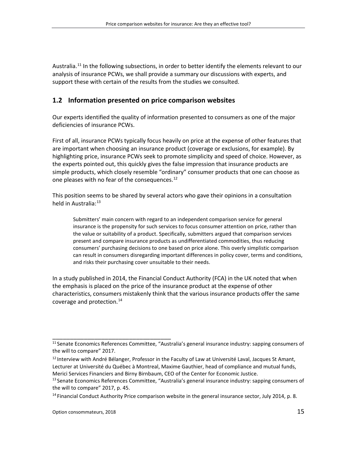Australia.<sup>[11](#page-14-1)</sup> In the following subsections, in order to better identify the elements relevant to our analysis of insurance PCWs, we shall provide a summary our discussions with experts, and support these with certain of the results from the studies we consulted.

### <span id="page-14-0"></span>**1.2 Information presented on price comparison websites**

Our experts identified the quality of information presented to consumers as one of the major deficiencies of insurance PCWs.

First of all, insurance PCWs typically focus heavily on price at the expense of other features that are important when choosing an insurance product (coverage or exclusions, for example). By highlighting price, insurance PCWs seek to promote simplicity and speed of choice. However, as the experts pointed out, this quickly gives the false impression that insurance products are simple products, which closely resemble "ordinary" consumer products that one can choose as one pleases with no fear of the consequences.<sup>[12](#page-14-2)</sup>

This position seems to be shared by several actors who gave their opinions in a consultation held in Australia:<sup>[13](#page-14-3)</sup>

Submitters' main concern with regard to an independent comparison service for general insurance is the propensity for such services to focus consumer attention on price, rather than the value or suitability of a product. Specifically, submitters argued that comparison services present and compare insurance products as undifferentiated commodities, thus reducing consumers' purchasing decisions to one based on price alone. This overly simplistic comparison can result in consumers disregarding important differences in policy cover, terms and conditions, and risks their purchasing cover unsuitable to their needs.

In a study published in 2014, the Financial Conduct Authority (FCA) in the UK noted that when the emphasis is placed on the price of the insurance product at the expense of other characteristics, consumers mistakenly think that the various insurance products offer the same coverage and protection. [14](#page-14-4)

<span id="page-14-1"></span><sup>11</sup> Senate Economics References Committee, "Australia's general insurance industry: sapping consumers of the will to compare" 2017.

<span id="page-14-2"></span><sup>&</sup>lt;sup>12</sup> Interview with André Bélanger, Professor in the Faculty of Law at Université Laval, Jacques St Amant, Lecturer at Université du Québec à Montreal, Maxime Gauthier, head of compliance and mutual funds, Merici Services Financiers and Birny Birnbaum, CEO of the Center for Economic Justice.

<span id="page-14-3"></span><sup>&</sup>lt;sup>13</sup> Senate Economics References Committee, "Australia's general insurance industry: sapping consumers of the will to compare" 2017, p. 45.

<span id="page-14-4"></span><sup>&</sup>lt;sup>14</sup> Financial Conduct Authority Price comparison website in the general insurance sector, July 2014, p. 8.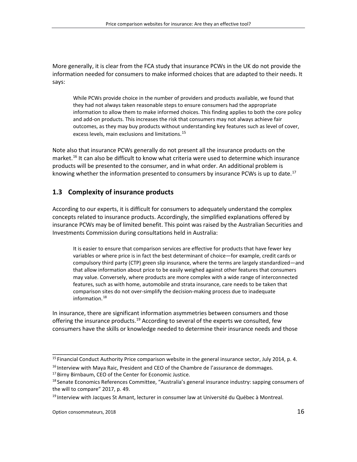More generally, it is clear from the FCA study that insurance PCWs in the UK do not provide the information needed for consumers to make informed choices that are adapted to their needs. It says:

While PCWs provide choice in the number of providers and products available, we found that they had not always taken reasonable steps to ensure consumers had the appropriate information to allow them to make informed choices. This finding applies to both the core policy and add-on products. This increases the risk that consumers may not always achieve fair outcomes, as they may buy products without understanding key features such as level of cover, excess levels, main exclusions and limitations.<sup>[15](#page-15-1)</sup>

Note also that insurance PCWs generally do not present all the insurance products on the market. [16](#page-15-2) It can also be difficult to know what criteria were used to determine which insurance products will be presented to the consumer, and in what order. An additional problem is knowing whether the information presented to consumers by insurance PCWs is up to date.<sup>[17](#page-15-3)</sup>

#### <span id="page-15-0"></span>**1.3 Complexity of insurance products**

According to our experts, it is difficult for consumers to adequately understand the complex concepts related to insurance products. Accordingly, the simplified explanations offered by insurance PCWs may be of limited benefit. This point was raised by the Australian Securities and Investments Commission during consultations held in Australia:

It is easier to ensure that comparison services are effective for products that have fewer key variables or where price is in fact the best determinant of choice—for example, credit cards or compulsory third party (CTP) green slip insurance, where the terms are largely standardized—and that allow information about price to be easily weighed against other features that consumers may value. Conversely, where products are more complex with a wide range of interconnected features, such as with home, automobile and strata insurance, care needs to be taken that comparison sites do not over-simplify the decision-making process due to inadequate information.<sup>[18](#page-15-4)</sup>

In insurance, there are significant information asymmetries between consumers and those offering the insurance products.<sup>[19](#page-15-5)</sup> According to several of the experts we consulted, few consumers have the skills or knowledge needed to determine their insurance needs and those

<span id="page-15-1"></span><sup>&</sup>lt;sup>15</sup> Financial Conduct Authority Price comparison website in the general insurance sector, July 2014, p. 4.

<span id="page-15-2"></span> $<sup>16</sup>$  Interview with Maya Raic, President and CEO of the Chambre de l'assurance de dommages.</sup>

<span id="page-15-3"></span><sup>&</sup>lt;sup>17</sup> Birny Birnbaum, CEO of the Center for Economic Justice.

<span id="page-15-4"></span> $18$  Senate Economics References Committee, "Australia's general insurance industry: sapping consumers of the will to compare" 2017, p. 49.

<span id="page-15-5"></span><sup>&</sup>lt;sup>19</sup> Interview with Jacques St Amant, lecturer in consumer law at Université du Québec à Montreal.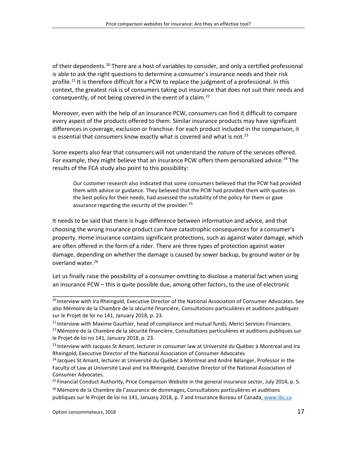of their dependents.<sup>[20](#page-16-0)</sup> There are a host of variables to consider, and only a certified professional is able to ask the right questions to determine a consumer's insurance needs and their risk profile.<sup>[21](#page-16-1)</sup> It is therefore difficult for a PCW to replace the judgment of a professional. In this context, the greatest risk is of consumers taking out insurance that does not suit their needs and consequently, of not being covered in the event of a claim.<sup>[22](#page-16-2)</sup>

Moreover, even with the help of an insurance PCW, consumers can find it difficult to compare every aspect of the products offered to them. Similar insurance products may have significant differences in coverage, exclusion or franchise. For each product included in the comparison, it is essential that consumers know exactly what is covered and what is not.<sup>[23](#page-16-3)</sup>

Some experts also fear that consumers will not understand the nature of the services offered. For example, they might believe that an insurance PCW offers them personalized advice.<sup>[24](#page-16-4)</sup> The results of the FCA study also point to this possibility:

Our customer research also indicated that some consumers believed that the PCW had provided them with advice or guidance. They believed that the PCW had provided them with quotes on the best policy for their needs, had assessed the suitability of the policy for them or gave assurance regarding the security of the provider.<sup>[25](#page-16-5)</sup>

It needs to be said that there is huge difference between information and advice, and that choosing the wrong insurance product can have catastrophic consequences for a consumer's property. Home insurance contains significant protections, such as against water damage, which are often offered in the form of a rider. There are three types of protection against water damage, depending on whether the damage is caused by sewer backup, by ground water or by overland water. [26](#page-16-6)

Let us finally raise the possibility of a consumer omitting to disclose a material fact when using an insurance PCW – this is quite possible due, among other factors, to the use of electronic

<span id="page-16-0"></span><sup>&</sup>lt;sup>20</sup> Interview with Ira Rheingold, Executive Director of the National Association of Consumer Advocates. See also Mémoire de la Chambre de la sécurité financière, Consultations particulières et auditions publiques sur le Projet de loi no 141, January 2018, p. 23.

<span id="page-16-1"></span><sup>&</sup>lt;sup>21</sup> Interview with Maxime Gauthier, head of compliance and mutual funds, Merici Services Financiers.

<span id="page-16-2"></span><sup>&</sup>lt;sup>22</sup> Mémoire de la Chambre de la sécurité financière, Consultations particulières et auditions publiques sur le Projet de loi no 141, January 2018, p. 23.

<span id="page-16-3"></span> $^{23}$ Interview with Jacques St Amant, lecturer in consumer law at Université du Québec à Montreal and Ira Rheingold, Executive Director of the National Association of Consumer Advocates

<span id="page-16-4"></span><sup>&</sup>lt;sup>24</sup> Jacques St Amant, lecturer at Université du Québec à Montreal and André Bélanger, Professor in the Faculty of Law at Université Laval and Ira Rheingold, Executive Director of the National Association of Consumer Advocates.

<span id="page-16-6"></span><span id="page-16-5"></span><sup>&</sup>lt;sup>25</sup> Financial Conduct Authority, Price Comparison Website in the general insurance sector, July 2014, p. 5. <sup>26</sup> Mémoire de la Chambre de l'assurance de dommages, Consultations particulières et auditions publiques sur le Projet de loi no 141, January 2018, p. 7 and Insurance Bureau of Canada, www.ibc.ca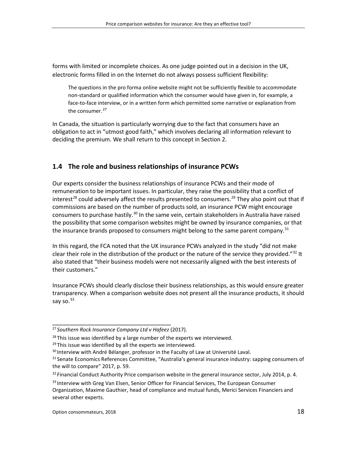forms with limited or incomplete choices. As one judge pointed out in a decision in the UK, electronic forms filled in on the Internet do not always possess sufficient flexibility:

The questions in the pro forma online website might not be sufficiently flexible to accommodate non-standard or qualified information which the consumer would have given in, for example, a face-to-face interview, or in a written form which permitted some narrative or explanation from the consumer.<sup>[27](#page-17-1)</sup>

In Canada, the situation is particularly worrying due to the fact that consumers have an obligation to act in "utmost good faith," which involves declaring all information relevant to deciding the premium. We shall return to this concept in Section 2.

# <span id="page-17-0"></span>**1.4 The role and business relationships of insurance PCWs**

Our experts consider the business relationships of insurance PCWs and their mode of remuneration to be important issues. In particular, they raise the possibility that a conflict of interest<sup>[28](#page-17-2)</sup> could adversely affect the results presented to consumers.<sup>[29](#page-17-3)</sup> They also point out that if commissions are based on the number of products sold, an insurance PCW might encourage consumers to purchase hastily.<sup>[30](#page-17-4)</sup> In the same vein, certain stakeholders in Australia have raised the possibility that some comparison websites might be owned by insurance companies, or that the insurance brands proposed to consumers might belong to the same parent company.<sup>[31](#page-17-5)</sup>

In this regard, the FCA noted that the UK insurance PCWs analyzed in the study "did not make clear their role in the distribution of the product or the nature of the service they provided."<sup>[32](#page-17-6)</sup> It also stated that "their business models were not necessarily aligned with the best interests of their customers."

Insurance PCWs should clearly disclose their business relationships, as this would ensure greater transparency. When a comparison website does not present all the insurance products, it should say so.<sup>[33](#page-17-7)</sup>

<span id="page-17-1"></span><sup>27</sup> *Southern Rock Insurance Company Ltd v Hafeez* (2017).

<span id="page-17-2"></span> $28$  This issue was identified by a large number of the experts we interviewed.

<span id="page-17-3"></span> $29$  This issue was identified by all the experts we interviewed.

<span id="page-17-4"></span><sup>&</sup>lt;sup>30</sup> Interview with André Bélanger, professor in the Faculty of Law at Université Laval.

<span id="page-17-5"></span><sup>&</sup>lt;sup>31</sup> Senate Economics References Committee, "Australia's general insurance industry: sapping consumers of the will to compare" 2017, p. 59.

<span id="page-17-6"></span><sup>&</sup>lt;sup>32</sup> Financial Conduct Authority Price comparison website in the general insurance sector, July 2014, p. 4.

<span id="page-17-7"></span><sup>&</sup>lt;sup>33</sup> Interview with Greg Van Elsen, Senior Officer for Financial Services, The European Consumer Organization, Maxime Gauthier, head of compliance and mutual funds, Merici Services Financiers and several other experts.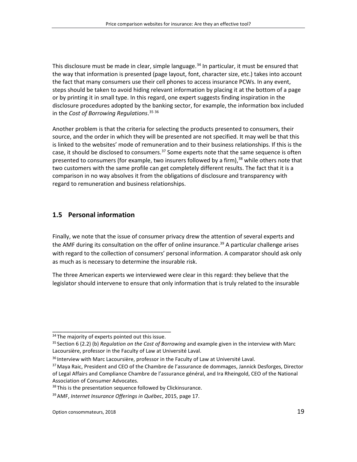This disclosure must be made in clear, simple language. [34](#page-18-1) In particular, it must be ensured that the way that information is presented (page layout, font, character size, etc.) takes into account the fact that many consumers use their cell phones to access insurance PCWs. In any event, steps should be taken to avoid hiding relevant information by placing it at the bottom of a page or by printing it in small type. In this regard, one expert suggests finding inspiration in the disclosure procedures adopted by the banking sector, for example, the information box included in the *Cost of Borrowing Regulations*. [35](#page-18-2) [36](#page-18-3)

Another problem is that the criteria for selecting the products presented to consumers, their source, and the order in which they will be presented are not specified. It may well be that this is linked to the websites' mode of remuneration and to their business relationships. If this is the case, it should be disclosed to consumers.<sup>[37](#page-18-4)</sup> Some experts note that the same sequence is often presented to consumers (for example, two insurers followed by a firm),<sup>[38](#page-18-5)</sup> while others note that two customers with the same profile can get completely different results. The fact that it is a comparison in no way absolves it from the obligations of disclosure and transparency with regard to remuneration and business relationships.

## <span id="page-18-0"></span>**1.5 Personal information**

Finally, we note that the issue of consumer privacy drew the attention of several experts and the AMF during its consultation on the offer of online insurance.<sup>[39](#page-18-6)</sup> A particular challenge arises with regard to the collection of consumers' personal information. A comparator should ask only as much as is necessary to determine the insurable risk.

The three American experts we interviewed were clear in this regard: they believe that the legislator should intervene to ensure that only information that is truly related to the insurable

<span id="page-18-1"></span>\_\_\_\_\_\_\_\_\_\_\_\_\_\_\_\_\_\_\_\_\_\_\_\_\_\_\_\_\_\_\_\_\_\_ <sup>34</sup> The majority of experts pointed out this issue.

<span id="page-18-2"></span><sup>35</sup> Section 6 (2.2) (b) *Regulation on the Cost of Borrowing* and example given in the interview with Marc Lacoursière, professor in the Faculty of Law at Université Laval.

<span id="page-18-3"></span><sup>&</sup>lt;sup>36</sup> Interview with Marc Lacoursière, professor in the Faculty of Law at Université Laval.

<span id="page-18-4"></span><sup>&</sup>lt;sup>37</sup> Maya Raic, President and CEO of the Chambre de l'assurance de dommages, Jannick Desforges, Director of Legal Affairs and Compliance Chambre de l'assurance général, and Ira Rheingold, CEO of the National Association of Consumer Advocates.

<span id="page-18-5"></span><sup>&</sup>lt;sup>38</sup> This is the presentation sequence followed by Clickinsurance.

<span id="page-18-6"></span><sup>39</sup>AMF, *Internet Insurance Offerings in Québec*, 2015, page 17.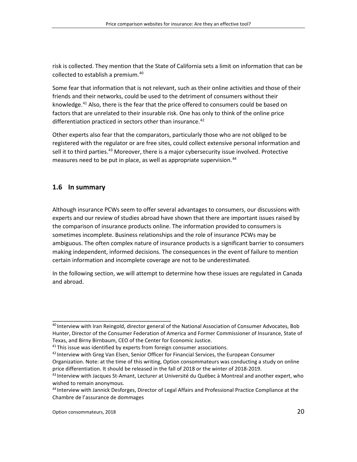risk is collected. They mention that the State of California sets a limit on information that can be collected to establish a premium. [40](#page-19-1)

Some fear that information that is not relevant, such as their online activities and those of their friends and their networks, could be used to the detriment of consumers without their knowledge.<sup>[41](#page-19-2)</sup> Also, there is the fear that the price offered to consumers could be based on factors that are unrelated to their insurable risk. One has only to think of the online price differentiation practiced in sectors other than insurance.<sup>[42](#page-19-3)</sup>

Other experts also fear that the comparators, particularly those who are not obliged to be registered with the regulator or are free sites, could collect extensive personal information and sell it to third parties.<sup>[43](#page-19-4)</sup> Moreover, there is a major cybersecurity issue involved. Protective measures need to be put in place, as well as appropriate supervision. [44](#page-19-5)

### <span id="page-19-0"></span>**1.6 In summary**

Although insurance PCWs seem to offer several advantages to consumers, our discussions with experts and our review of studies abroad have shown that there are important issues raised by the comparison of insurance products online. The information provided to consumers is sometimes incomplete. Business relationships and the role of insurance PCWs may be ambiguous. The often complex nature of insurance products is a significant barrier to consumers making independent, informed decisions. The consequences in the event of failure to mention certain information and incomplete coverage are not to be underestimated.

In the following section, we will attempt to determine how these issues are regulated in Canada and abroad.

<span id="page-19-1"></span><sup>&</sup>lt;sup>40</sup> Interview with Iran Reingold, director general of the National Association of Consumer Advocates, Bob Hunter, Director of the Consumer Federation of America and Former Commissioner of Insurance, State of Texas, and Birny Birnbaum, CEO of the Center for Economic Justice.

<span id="page-19-2"></span> $41$  This issue was identified by experts from foreign consumer associations.

<span id="page-19-3"></span> $42$  Interview with Greg Van Elsen, Senior Officer for Financial Services, the European Consumer Organization. Note: at the time of this writing, Option consommateurs was conducting a study on online price differentiation. It should be released in the fall of 2018 or the winter of 2018-2019.

<span id="page-19-4"></span><sup>&</sup>lt;sup>43</sup> Interview with Jacques St-Amant, Lecturer at Université du Québec à Montreal and another expert, who wished to remain anonymous.

<span id="page-19-5"></span><sup>44</sup> Interview with Jannick Desforges, Director of Legal Affairs and Professional Practice Compliance at the Chambre de l'assurance de dommages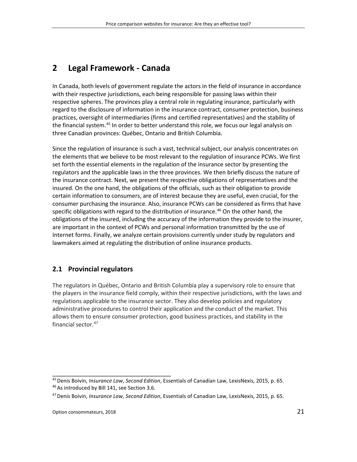# <span id="page-20-0"></span>**2 Legal Framework - Canada**

In Canada, both levels of government regulate the actors in the field of insurance in accordance with their respective jurisdictions, each being responsible for passing laws within their respective spheres. The provinces play a central role in regulating insurance, particularly with regard to the disclosure of information in the insurance contract, consumer protection, business practices, oversight of intermediaries (firms and certified representatives) and the stability of the financial system.<sup>[45](#page-20-2)</sup> In order to better understand this role, we focus our legal analysis on three Canadian provinces: Québec, Ontario and British Columbia.

Since the regulation of insurance is such a vast, technical subject, our analysis concentrates on the elements that we believe to be most relevant to the regulation of insurance PCWs. We first set forth the essential elements in the regulation of the insurance sector by presenting the regulators and the applicable laws in the three provinces. We then briefly discuss the nature of the insurance contract. Next, we present the respective obligations of representatives and the insured. On the one hand, the obligations of the officials, such as their obligation to provide certain information to consumers, are of interest because they are useful, even crucial, for the consumer purchasing the insurance. Also, insurance PCWs can be considered as firms that have specific obligations with regard to the distribution of insurance.<sup>46</sup> On the other hand, the obligations of the insured, including the accuracy of the information they provide to the insurer, are important in the context of PCWs and personal information transmitted by the use of Internet forms. Finally, we analyze certain provisions currently under study by regulators and lawmakers aimed at regulating the distribution of online insurance products.

## <span id="page-20-1"></span>**2.1 Provincial regulators**

The regulators in Québec, Ontario and British Columbia play a supervisory role to ensure that the players in the insurance field comply, within their respective jurisdictions, with the laws and regulations applicable to the insurance sector. They also develop policies and regulatory administrative procedures to control their application and the conduct of the market. This allows them to ensure consumer protection, good business practices, and stability in the financial sector. [47](#page-20-4)

<span id="page-20-3"></span><span id="page-20-2"></span><sup>45</sup>Denis Boivin, *Insurance Law*, *Second Edition*, Essentials of Canadian Law, LexisNexis, 2015, p. 65. 46 As introduced by Bill 141, see Section 3.6.

<span id="page-20-4"></span><sup>47</sup>Denis Boivin, *Insurance Law*, *Second Edition*, Essentials of Canadian Law, LexisNexis, 2015, p. 65.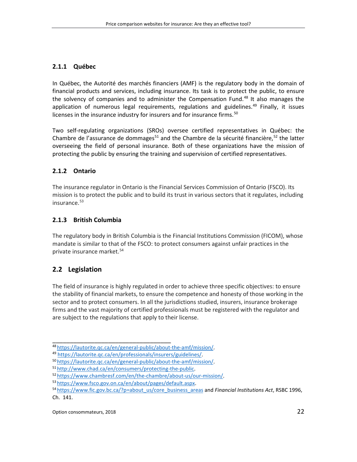### <span id="page-21-0"></span>**2.1.1 Québec**

In Québec, the Autorité des marchés financiers (AMF) is the regulatory body in the domain of financial products and services, including insurance. Its task is to protect the public, to ensure the solvency of companies and to administer the Compensation Fund. [48](#page-21-4) It also manages the application of numerous legal requirements, regulations and guidelines.<sup>[49](#page-21-5)</sup> Finally, it issues licenses in the insurance industry for insurers and for insurance firms.<sup>[50](#page-21-6)</sup>

Two self-regulating organizations (SROs) oversee certified representatives in Québec: the Chambre de l'assurance de dommages<sup>51</sup> and the Chambre de la sécurité financière,<sup>[52](#page-21-8)</sup> the latter overseeing the field of personal insurance. Both of these organizations have the mission of protecting the public by ensuring the training and supervision of certified representatives.

### <span id="page-21-1"></span>**2.1.2 Ontario**

The insurance regulator in Ontario is the Financial Services Commission of Ontario (FSCO). Its mission is to protect the public and to build its trust in various sectors that it regulates, including insurance. [53](#page-21-9)

### <span id="page-21-2"></span>**2.1.3 British Columbia**

The regulatory body in British Columbia is the Financial Institutions Commission (FICOM), whose mandate is similar to that of the FSCO: to protect consumers against unfair practices in the private insurance market. [54](#page-21-10)

## <span id="page-21-3"></span>**2.2 Legislation**

The field of insurance is highly regulated in order to achieve three specific objectives: to ensure the stability of financial markets, to ensure the competence and honesty of those working in the sector and to protect consumers. In all the jurisdictions studied, insurers, insurance brokerage firms and the vast majority of certified professionals must be registered with the regulator and are subject to the regulations that apply to their license.

<span id="page-21-4"></span><sup>48</sup> [https://lautorite.qc.ca/en/general-public/about-the-amf/mission/.](https://lautorite.qc.ca/en/general-public/about-the-amf/mission/)

<span id="page-21-5"></span><sup>49</sup> [https://lautorite.qc.ca/en/professionals/insurers/guidelines/.](https://lautorite.qc.ca/en/professionals/insurers/guidelines/)

<span id="page-21-6"></span><sup>50</sup> [https://lautorite.qc.ca/en/general-public/about-the-amf/mission/.](https://lautorite.qc.ca/en/general-public/about-the-amf/mission/)

<span id="page-21-7"></span><sup>51</sup> [http://www.chad.ca/en/consumers/protecting-the-public.](http://www.chad.ca/en/consumers/protecting-the-public)

<span id="page-21-8"></span><sup>52</sup> [https://www.chambresf.com/en/the-chambre/about-us/our-mission/.](https://www.chambresf.com/en/the-chambre/about-us/our-mission/)

<span id="page-21-9"></span><sup>53</sup> [https://www.fsco.gov.on.ca/en/about/pages/default.aspx.](https://www.fsco.gov.on.ca/fr/about/Pages/default.aspx)

<span id="page-21-10"></span><sup>54</sup> [https://www.fic.gov.bc.ca/?p=about\\_us/core\\_business\\_areas](https://www.fic.gov.bc.ca/?p=about_us/core_business_areas) and *Financial Institutions Act*, RSBC 1996, Ch. 141.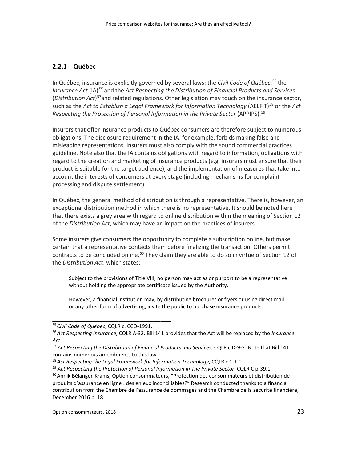#### <span id="page-22-0"></span>**2.2.1 Québec**

In Québec, insurance is explicitly governed by several laws: the *Civil Code of Québec*, [55](#page-22-1) the *Insurance Act* (IA)*[56](#page-22-2)* and the *Act Respecting the Distribution of Financial Products and Services* (*Distribution Act*) [57a](#page-22-3)nd related regulations. Other legislation may touch on the insurance sector, such as the *Act to Establish a Legal Framework for Information Technology* (AELFIT)<sup>[58](#page-22-4)</sup> or the *Act Respecting the Protection of Personal Information in the Private Sector* (APPIPS). [59](#page-22-5)

Insurers that offer insurance products to Québec consumers are therefore subject to numerous obligations. The disclosure requirement in the IA, for example, forbids making false and misleading representations. Insurers must also comply with the sound commercial practices guideline. Note also that the IA contains obligations with regard to information, obligations with regard to the creation and marketing of insurance products (e.g. insurers must ensure that their product is suitable for the target audience), and the implementation of measures that take into account the interests of consumers at every stage (including mechanisms for complaint processing and dispute settlement).

In Québec, the general method of distribution is through a representative. There is, however, an exceptional distribution method in which there is no representative. It should be noted here that there exists a grey area with regard to online distribution within the meaning of Section 12 of the *Distribution Act*, which may have an impact on the practices of insurers.

Some insurers give consumers the opportunity to complete a subscription online, but make certain that a representative contacts them before finalizing the transaction. Others permit contracts to be concluded online.<sup>[60](#page-22-6)</sup> They claim they are able to do so in virtue of Section 12 of the *Distribution Act*, which states:

Subject to the provisions of Title VIII, no person may act as or purport to be a representative without holding the appropriate certificate issued by the Authority.

However, a financial institution may, by distributing brochures or flyers or using direct mail or any other form of advertising, invite the public to purchase insurance products.

<span id="page-22-1"></span><sup>55</sup> *Civil Code of Québec*, CQLR c. CCQ-1991.

<span id="page-22-2"></span><sup>56</sup>*Act Respecting Insurance*, CQLR A-32. Bill 141 provides that the Act will be replaced by the *Insurance Act.*

<span id="page-22-3"></span><sup>57</sup> *Act Respecting the Distribution of Financial Products and Services*, CQLR c D-9-2. Note that Bill 141 contains numerous amendments to this law.

<span id="page-22-4"></span><sup>58</sup>*Act Respecting the Legal Framework for Information Technology*, CQLR c C-1.1.

<span id="page-22-5"></span><sup>59</sup> *Act Respecting the Protection of Personal Information in The Private Sector*, CQLR C p-39.1.

<span id="page-22-6"></span> $60$  Annik Bélanger-Krams, Option consommateurs, "Protection des consommateurs et distribution de produits d'assurance en ligne : des enjeux inconciliables?" Research conducted thanks to a financial contribution from the Chambre de l'assurance de dommages and the Chambre de la sécurité financière, December 2016 p. 18.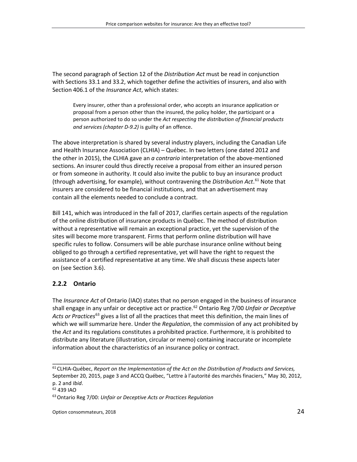The second paragraph of Section 12 of the *Distribution Act* must be read in conjunction with Sections 33.1 and 33.2, which together define the activities of insurers, and also with Section 406.1 of the *Insurance Act*, which states:

Every insurer, other than a professional order, who accepts an insurance application or proposal from a person other than the insured, the policy holder, the participant or a person authorized to do so under the *Act respecting the distribution of financial products and services (chapter D-9.2)* is guilty of an offence.

The above interpretation is shared by several industry players, including the Canadian Life and Health Insurance Association (CLHIA) – Québec. In two letters (one dated 2012 and the other in 2015), the CLHIA gave an *a contrario* interpretation of the above-mentioned sections. An insurer could thus directly receive a proposal from either an insured person or from someone in authority. It could also invite the public to buy an insurance product (through advertising, for example), without contravening the *Distribution Act*. [61](#page-23-1) Note that insurers are considered to be financial institutions, and that an advertisement may contain all the elements needed to conclude a contract.

Bill 141, which was introduced in the fall of 2017, clarifies certain aspects of the regulation of the online distribution of insurance products in Québec. The method of distribution without a representative will remain an exceptional practice, yet the supervision of the sites will become more transparent. Firms that perform online distribution will have specific rules to follow. Consumers will be able purchase insurance online without being obliged to go through a certified representative, yet will have the right to request the assistance of a certified representative at any time. We shall discuss these aspects later on (see Section 3.6).

## <span id="page-23-0"></span>**2.2.2 Ontario**

The *Insurance Act* of Ontario (IAO) states that no person engaged in the business of insurance shall engage in any unfair or deceptive act or practice. [62](#page-23-2) Ontario Reg 7/00 *Unfair or Deceptive Acts or Practices*[63](#page-23-3) gives a list of all the practices that meet this definition, the main lines of which we will summarize here. Under the *Regulation*, the commission of any act prohibited by the *Act* and its regulations constitutes a prohibited practice. Furthermore, it is prohibited to distribute any literature (illustration, circular or memo) containing inaccurate or incomplete information about the characteristics of an insurance policy or contract.

<span id="page-23-1"></span><sup>61</sup> CLHIA-Québec, *Report on the Implementation of the Act on the Distribution of Products and Services,* September 20, 2015, page 3 and ACCQ Québec, "Lettre à l'autorité des marchés finaciers," May 30, 2012, p. 2 and *Ibid*.

<span id="page-23-2"></span><sup>62</sup> 439 IAO

<span id="page-23-3"></span><sup>63</sup>Ontario Reg 7/00: *Unfair or Deceptive Acts or Practices Regulation*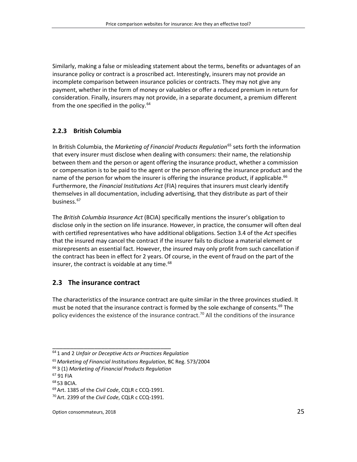Similarly, making a false or misleading statement about the terms, benefits or advantages of an insurance policy or contract is a proscribed act. Interestingly, insurers may not provide an incomplete comparison between insurance policies or contracts. They may not give any payment, whether in the form of money or valuables or offer a reduced premium in return for consideration. Finally, insurers may not provide, in a separate document, a premium different from the one specified in the policy.<sup>[64](#page-24-2)</sup>

#### <span id="page-24-0"></span>**2.2.3 British Columbia**

In British Columbia, the *Marketing of Financial Products Regulation*[65](#page-24-3) sets forth the information that every insurer must disclose when dealing with consumers: their name, the relationship between them and the person or agent offering the insurance product, whether a commission or compensation is to be paid to the agent or the person offering the insurance product and the name of the person for whom the insurer is offering the insurance product, if applicable.<sup>[66](#page-24-4)</sup> Furthermore, the *Financial Institutions Act* (FIA) requires that insurers must clearly identify themselves in all documentation, including advertising, that they distribute as part of their business. [67](#page-24-5)

The *British Columbia Insurance Act* (BCIA) specifically mentions the insurer's obligation to disclose only in the section on life insurance. However, in practice, the consumer will often deal with certified representatives who have additional obligations. Section 3.4 of the *Act* specifies that the insured may cancel the contract if the insurer fails to disclose a material element or misrepresents an essential fact. However, the insured may only profit from such cancellation if the contract has been in effect for 2 years. Of course, in the event of fraud on the part of the insurer, the contract is voidable at any time.<sup>[68](#page-24-6)</sup>

## <span id="page-24-1"></span>**2.3 The insurance contract**

The characteristics of the insurance contract are quite similar in the three provinces studied. It must be noted that the insurance contract is formed by the sole exchange of consents. [69](#page-24-7) The policy evidences the existence of the insurance contract.<sup>[70](#page-24-8)</sup> All the conditions of the insurance

<span id="page-24-2"></span><sup>64</sup> 1 and 2 *Unfair or Deceptive Acts or Practices Regulation*

<span id="page-24-3"></span><sup>65</sup>*Marketing of Financial Institutions Regulation*, BC Reg. 573/2004

<span id="page-24-4"></span><sup>66</sup> 3 (1) *Marketing of Financial Products Regulation*

<span id="page-24-5"></span><sup>67</sup> 91 FIA

<span id="page-24-6"></span><sup>68</sup> 53 BCIA.

<span id="page-24-8"></span><span id="page-24-7"></span><sup>69</sup>Art. 1385 of the *Civil Code*, CQLR c CCQ-1991.

<sup>70</sup>Art. 2399 of the *Civil Code*, CQLR c CCQ-1991.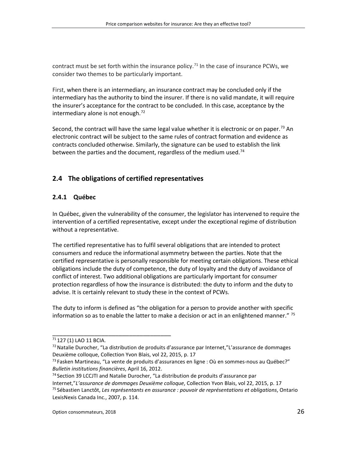contract must be set forth within the insurance policy.<sup>[71](#page-25-2)</sup> In the case of insurance PCWs, we consider two themes to be particularly important.

First, when there is an intermediary, an insurance contract may be concluded only if the intermediary has the authority to bind the insurer. If there is no valid mandate, it will require the insurer's acceptance for the contract to be concluded. In this case, acceptance by the intermediary alone is not enough.<sup>[72](#page-25-3)</sup>

Second, the contract will have the same legal value whether it is electronic or on paper.<sup>[73](#page-25-4)</sup> An electronic contract will be subject to the same rules of contract formation and evidence as contracts concluded otherwise. Similarly, the signature can be used to establish the link between the parties and the document, regardless of the medium used.<sup>[74](#page-25-5)</sup>

# <span id="page-25-0"></span>**2.4 The obligations of certified representatives**

#### <span id="page-25-1"></span>**2.4.1 Québec**

In Québec, given the vulnerability of the consumer, the legislator has intervened to require the intervention of a certified representative, except under the exceptional regime of distribution without a representative.

The certified representative has to fulfil several obligations that are intended to protect consumers and reduce the informational asymmetry between the parties. Note that the certified representative is personally responsible for meeting certain obligations. These ethical obligations include the duty of competence, the duty of loyalty and the duty of avoidance of conflict of interest. Two additional obligations are particularly important for consumer protection regardless of how the insurance is distributed: the duty to inform and the duty to advise. It is certainly relevant to study these in the context of PCWs.

The duty to inform is defined as "the obligation for a person to provide another with specific information so as to enable the latter to make a decision or act in an enlightened manner."  $75$ 

<span id="page-25-2"></span><sup>71</sup> 127 (1) LAO 11 BCIA.

<span id="page-25-3"></span><sup>72</sup> Natalie Durocher, "La distribution de produits d'assurance par Internet,"L'assurance de dommages Deuxième colloque, Collection Yvon Blais, vol 22, 2015, p. 17

<span id="page-25-4"></span> $^{73}$  Fasken Martineau, "La vente de produits d'assurances en ligne : Où en sommes-nous au Québec?" *Bulletin institutions financières*, April 16, 2012.

<span id="page-25-6"></span><span id="page-25-5"></span><sup>74</sup> Section 39 LCCJTI and Natalie Durocher, "La distribution de produits d'assurance par Internet,"*L'assurance de dommages Deuxième colloque*, Collection Yvon Blais, vol 22, 2015, p. 17 <sup>75</sup> Sébastien Lanctôt, *Les représentants en assurance : pouvoir de représentations et obligations*, Ontario LexisNexis Canada Inc., 2007, p. 114.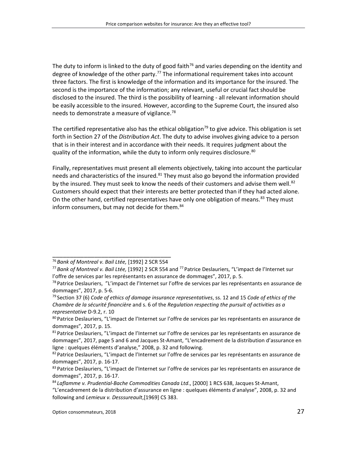The duty to inform is linked to the duty of good faith<sup>[76](#page-26-0)</sup> and varies depending on the identity and degree of knowledge of the other party.<sup>[77](#page-26-1)</sup> The informational requirement takes into account three factors. The first is knowledge of the information and its importance for the insured. The second is the importance of the information; any relevant, useful or crucial fact should be disclosed to the insured. The third is the possibility of learning - all relevant information should be easily accessible to the insured. However, according to the Supreme Court, the insured also needs to demonstrate a measure of vigilance.<sup>[78](#page-26-2)</sup>

The certified representative also has the ethical obligation<sup>[79](#page-26-3)</sup> to give advice. This obligation is set forth in Section 27 of the *Distribution Act*. The duty to advise involves giving advice to a person that is in their interest and in accordance with their needs. It requires judgment about the quality of the information, while the duty to inform only requires disclosure.<sup>[80](#page-26-4)</sup>

Finally, representatives must present all elements objectively, taking into account the particular needs and characteristics of the insured.<sup>[81](#page-26-5)</sup> They must also go beyond the information provided by the insured. They must seek to know the needs of their customers and advise them well.<sup>[82](#page-26-6)</sup> Customers should expect that their interests are better protected than if they had acted alone. On the other hand, certified representatives have only one obligation of means.<sup>[83](#page-26-7)</sup> They must inform consumers, but may not decide for them.<sup>[84](#page-26-8)</sup>

\_\_\_\_\_\_\_\_\_\_\_\_\_\_\_\_\_\_\_\_\_\_\_\_\_\_\_\_\_\_\_\_\_\_ <sup>76</sup> *Bank of Montreal v. Bail Ltée,* [1992] 2 SCR 554

<span id="page-26-1"></span><span id="page-26-0"></span><sup>77</sup> *Bank of Montreal v. Bail Ltée,* [1992] 2 SCR 554 and 77 Patrice Deslauriers, "L'impact de l'Internet sur l'offre de services par les représentants en assurance de dommages", 2017, p. 5.

<span id="page-26-2"></span><sup>&</sup>lt;sup>78</sup> Patrice Deslauriers, "L'impact de l'Internet sur l'offre de services par les représentants en assurance de dommages", 2017, p. 5-6.

<span id="page-26-3"></span><sup>79</sup> Section 37 (6) *Code of ethics of damage insurance representatives*, ss. 12 and 15 *Code of ethics of the Chambre de la sécurité financière* and s. 6 of the *Regulation respecting the pursuit of activities as a representative* D-9.2, r. 10

<span id="page-26-4"></span><sup>&</sup>lt;sup>80</sup> Patrice Deslauriers, "L'impact de l'Internet sur l'offre de services par les représentants en assurance de dommages", 2017, p. 15.

<span id="page-26-5"></span><sup>&</sup>lt;sup>81</sup> Patrice Deslauriers, "L'impact de l'Internet sur l'offre de services par les représentants en assurance de dommages", 2017, page 5 and 6 and Jacques St-Amant, "L'encadrement de la distribution d'assurance en ligne : quelques éléments d'analyse," 2008, p. 32 and following.

<span id="page-26-6"></span><sup>&</sup>lt;sup>82</sup> Patrice Deslauriers, "L'impact de l'Internet sur l'offre de services par les représentants en assurance de dommages", 2017, p. 16-17.

<span id="page-26-7"></span><sup>&</sup>lt;sup>83</sup> Patrice Deslauriers, "L'impact de l'Internet sur l'offre de services par les représentants en assurance de dommages", 2017, p. 16-17.

<span id="page-26-8"></span><sup>84</sup> *Laflamme v. Prudential-Bache Commodities Canada Ltd*., [2000] 1 RCS 638, Jacques St-Amant,

<sup>&</sup>quot;L'encadrement de la distribution d'assurance en ligne : quelques éléments d'analyse", 2008, p. 32 and following and *Lemieux v. Desssureault*,[1969] CS 383.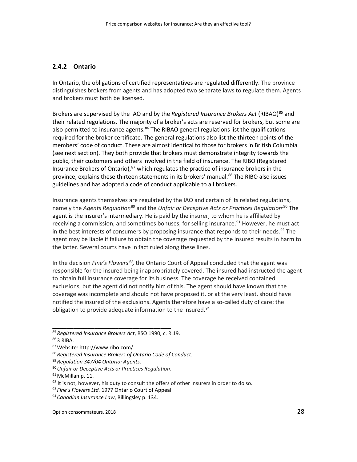#### <span id="page-27-0"></span>**2.4.2 Ontario**

In Ontario, the obligations of certified representatives are regulated differently. The province distinguishes brokers from agents and has adopted two separate laws to regulate them. Agents and brokers must both be licensed.

Brokers are supervised by the IAO and by the *Registered Insurance Brokers Act* (RIBAO) [85](#page-27-1) and their related regulations. The majority of a broker's acts are reserved for brokers, but some are also permitted to insurance agents.<sup>[86](#page-27-2)</sup> The RIBAO general regulations list the qualifications required for the broker certificate. The general regulations also list the thirteen points of the members' code of conduct. These are almost identical to those for brokers in British Columbia (see next section). They both provide that brokers must demonstrate integrity towards the public, their customers and others involved in the field of insurance. The RIBO (Registered Insurance Brokers of Ontario),<sup>[87](#page-27-3)</sup> which regulates the practice of insurance brokers in the province, explains these thirteen statements in its brokers' manual. [88](#page-27-4) The RIBO also issues guidelines and has adopted a code of conduct applicable to all brokers.

Insurance agents themselves are regulated by the IAO and certain of its related regulations, namely the *Agents Regulation*[89](#page-27-5) and the *Unfair or Deceptive Acts or Practices Regulation*.[90](#page-27-6) The agent is the insurer's intermediary. He is paid by the insurer, to whom he is affiliated by receiving a commission, and sometimes bonuses, for selling insurance.<sup>[91](#page-27-7)</sup> However, he must act in the best interests of consumers by proposing insurance that responds to their needs.<sup>[92](#page-27-8)</sup> The agent may be liable if failure to obtain the coverage requested by the insured results in harm to the latter. Several courts have in fact ruled along these lines.

In the decision *Fine's Flowers[93,](#page-27-9)* the Ontario Court of Appeal concluded that the agent was responsible for the insured being inappropriately covered. The insured had instructed the agent to obtain full insurance coverage for its business. The coverage he received contained exclusions, but the agent did not notify him of this. The agent should have known that the coverage was incomplete and should not have proposed it, or at the very least, should have notified the insured of the exclusions. Agents therefore have a so-called duty of care: the obligation to provide adequate information to the insured.<sup>[94](#page-27-10)</sup>

<span id="page-27-1"></span><sup>85</sup> *Registered Insurance Brokers Act*, RSO 1990, c. R.19.

<span id="page-27-2"></span><sup>86</sup> 3 RIBA.

<span id="page-27-3"></span><sup>87</sup>Website: http://www.ribo.com/.

<span id="page-27-4"></span><sup>88</sup> *Registered Insurance Brokers of Ontario Code of Conduct*.

<span id="page-27-6"></span><span id="page-27-5"></span><sup>89</sup> *Regulation 347/04 Ontario: Agents*.

<sup>90</sup>*Unfair or Deceptive Acts or Practices Regulation*.

<span id="page-27-7"></span><sup>91</sup> McMillan p. 11.

<span id="page-27-8"></span> $92$  It is not, however, his duty to consult the offers of other insurers in order to do so.

<span id="page-27-9"></span><sup>93</sup> *Fine's Flowers Ltd.* 1977 Ontario Court of Appeal.

<span id="page-27-10"></span><sup>94</sup> *Canadian Insurance Law*, Billingsley p. 134.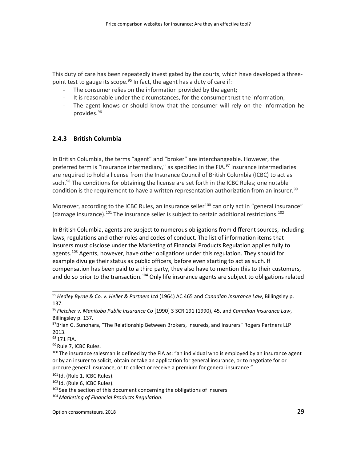This duty of care has been repeatedly investigated by the courts, which have developed a three-point test to gauge its scope.<sup>[95](#page-28-1)</sup> In fact, the agent has a duty of care if:

- The consumer relies on the information provided by the agent;
- It is reasonable under the circumstances, for the consumer trust the information;
- The agent knows or should know that the consumer will rely on the information he provides. [96](#page-28-2)

#### <span id="page-28-0"></span>**2.4.3 British Columbia**

In British Columbia, the terms "agent" and "broker" are interchangeable. However, the preferred term is "insurance intermediary," as specified in the FIA.<sup>[97](#page-28-3)</sup> Insurance intermediaries are required to hold a license from the Insurance Council of British Columbia (ICBC) to act as such.<sup>[98](#page-28-4)</sup> The conditions for obtaining the license are set forth in the ICBC Rules; one notable condition is the requirement to have a written representation authorization from an insurer.<sup>[99](#page-28-5)</sup>

Moreover, according to the ICBC Rules, an insurance seller<sup>[100](#page-28-6)</sup> can only act in "general insurance" (damage insurance).<sup>[101](#page-28-7)</sup> The insurance seller is subject to certain additional restrictions.<sup>[102](#page-28-8)</sup>

In British Columbia, agents are subject to numerous obligations from different sources, including laws, regulations and other rules and codes of conduct. The list of information items that insurers must disclose under the Marketing of Financial Products Regulation applies fully to agents.<sup>[103](#page-28-9)</sup> Agents, however, have other obligations under this regulation. They should for example divulge their status as public officers, before even starting to act as such. If compensation has been paid to a third party, they also have to mention this to their customers, and do so prior to the transaction.<sup>[104](#page-28-10)</sup> Only life insurance agents are subject to obligations related

<span id="page-28-5"></span>99 Rule 7, ICBC Rules.

<span id="page-28-1"></span><sup>95</sup>*Hedley Byrne & Co. v. Heller & Partners Ltd* (1964) AC 465 and *Canadian Insurance Law*, Billingsley p. 137.

<span id="page-28-2"></span><sup>96</sup> *Fletcher v. Manitoba Public Insurance Co* [1990] 3 SCR 191 (1990), 45, and *Canadian Insurance Law*, Billingsley p. 137.

<span id="page-28-3"></span><sup>&</sup>lt;sup>97</sup>Brian G. Sunohara, "The Relationship Between Brokers, Insureds, and Insurers" Rogers Partners LLP 2013.

<span id="page-28-4"></span><sup>98 171</sup> FIA.

<span id="page-28-6"></span><sup>&</sup>lt;sup>100</sup> The insurance salesman is defined by the FIA as: "an individual who is employed by an insurance agent or by an insurer to solicit, obtain or take an application for general insurance, or to negotiate for or procure general insurance, or to collect or receive a premium for general insurance."

<span id="page-28-7"></span><sup>101</sup> Id. (Rule 1, ICBC Rules).

<span id="page-28-8"></span><sup>102</sup> Id. (Rule 6, ICBC Rules).

<span id="page-28-9"></span><sup>&</sup>lt;sup>103</sup> See the section of this document concerning the obligations of insurers

<span id="page-28-10"></span><sup>104</sup>*Marketing of Financial Products Regulation*.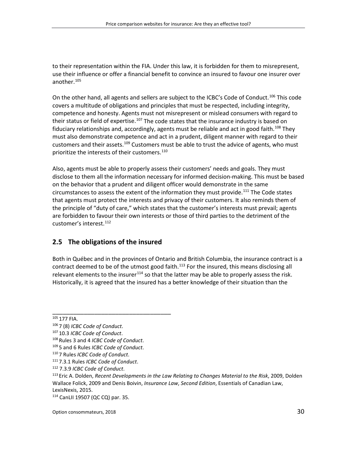to their representation within the FIA. Under this law, it is forbidden for them to misrepresent, use their influence or offer a financial benefit to convince an insured to favour one insurer over another. [105](#page-29-1)

On the other hand, all agents and sellers are subject to the ICBC's Code of Conduct.<sup>[106](#page-29-2)</sup> This code covers a multitude of obligations and principles that must be respected, including integrity, competence and honesty. Agents must not misrepresent or mislead consumers with regard to their status or field of expertise.<sup>[107](#page-29-3)</sup> The code states that the insurance industry is based on fiduciary relationships and, accordingly, agents must be reliable and act in good faith.<sup>[108](#page-29-4)</sup> They must also demonstrate competence and act in a prudent, diligent manner with regard to their customers and their assets.<sup>[109](#page-29-5)</sup> Customers must be able to trust the advice of agents, who must prioritize the interests of their customers. [110](#page-29-6)

Also, agents must be able to properly assess their customers' needs and goals. They must disclose to them all the information necessary for informed decision-making. This must be based on the behavior that a prudent and diligent officer would demonstrate in the same circumstances to assess the extent of the information they must provide.<sup>[111](#page-29-7)</sup> The Code states that agents must protect the interests and privacy of their customers. It also reminds them of the principle of "duty of care," which states that the customer's interests must prevail; agents are forbidden to favour their own interests or those of third parties to the detriment of the customer's interest. [112](#page-29-8)

#### <span id="page-29-0"></span>**2.5 The obligations of the insured**

\_\_\_\_\_\_\_\_\_\_\_\_\_\_\_\_\_\_\_\_\_\_\_\_\_\_\_\_\_\_\_\_\_\_

Both in Québec and in the provinces of Ontario and British Columbia, the insurance contract is a contract deemed to be of the utmost good faith.<sup>[113](#page-29-9)</sup> For the insured, this means disclosing all relevant elements to the insurer<sup>[114](#page-29-10)</sup> so that the latter may be able to properly assess the risk. Historically, it is agreed that the insured has a better knowledge of their situation than the

<span id="page-29-1"></span><sup>105</sup> 177 FIA.

<span id="page-29-2"></span><sup>106</sup> 7 (8) *ICBC Code of Conduct*.

<span id="page-29-3"></span><sup>107</sup> 10.3 *ICBC Code of Conduct*.

<span id="page-29-4"></span><sup>108</sup> Rules 3 and 4 *ICBC Code of Conduct*.

<span id="page-29-5"></span><sup>109</sup> 5 and 6 Rules *ICBC Code of Conduct*.

<span id="page-29-6"></span><sup>110</sup> 7 Rules *ICBC Code of Conduct*.

<span id="page-29-7"></span><sup>111</sup> 7.3.1 Rules *ICBC Code of Conduct*.

<span id="page-29-8"></span><sup>112</sup> 7.3.9 *ICBC Code of Conduct*.

<span id="page-29-9"></span><sup>113</sup> Eric A. Dolden, *Recent Developments in the Law Relating to Changes Material to the Risk*, 2009, Dolden Wallace Folick, 2009 and Denis Boivin, *Insurance Law*, *Second Edition*, Essentials of Canadian Law, LexisNexis, 2015.

<span id="page-29-10"></span><sup>114</sup> CanLII 19507 (QC CQ) par. 35.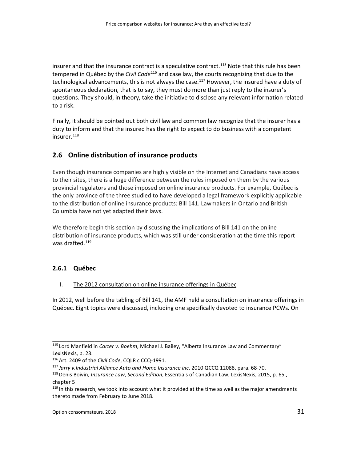insurer and that the insurance contract is a speculative contract.<sup>[115](#page-30-2)</sup> Note that this rule has been tempered in Québec by the *Civil Code*[116](#page-30-3) and case law, the courts recognizing that due to the technological advancements, this is not always the case.<sup>[117](#page-30-4)</sup> However, the insured have a duty of spontaneous declaration, that is to say, they must do more than just reply to the insurer's questions. They should, in theory, take the initiative to disclose any relevant information related to a risk.

Finally, it should be pointed out both civil law and common law recognize that the insurer has a duty to inform and that the insured has the right to expect to do business with a competent insurer. [118](#page-30-5)

# <span id="page-30-0"></span>**2.6 Online distribution of insurance products**

Even though insurance companies are highly visible on the Internet and Canadians have access to their sites, there is a huge difference between the rules imposed on them by the various provincial regulators and those imposed on online insurance products. For example, Québec is the only province of the three studied to have developed a legal framework explicitly applicable to the distribution of online insurance products: Bill 141. Lawmakers in Ontario and British Columbia have not yet adapted their laws.

We therefore begin this section by discussing the implications of Bill 141 on the online distribution of insurance products, which was still under consideration at the time this report was drafted. [119](#page-30-6)

## <span id="page-30-1"></span>**2.6.1 Québec**

#### I. The 2012 consultation on online insurance offerings in Québec

In 2012, well before the tabling of Bill 141, the AMF held a consultation on insurance offerings in Québec. Eight topics were discussed, including one specifically devoted to insurance PCWs. On

<span id="page-30-3"></span><span id="page-30-2"></span><sup>115</sup> Lord Manfield in *Carter v. Boehm*, Michael J. Bailey, "Alberta Insurance Law and Commentary" LexisNexis, p. 23.

<span id="page-30-4"></span><sup>116</sup>Art. 2409 of the *Civil Code*, CQLR c CCQ-1991.

<span id="page-30-5"></span><sup>117</sup> *Jarry v.Industrial Alliance Auto and Home Insurance inc*. 2010 QCCQ 12088, para. 68-70.

<sup>118</sup>Denis Boivin, *Insurance Law*, *Second Edition*, Essentials of Canadian Law, LexisNexis, 2015, p. 65., chapter 5

<span id="page-30-6"></span><sup>&</sup>lt;sup>119</sup> In this research, we took into account what it provided at the time as well as the major amendments thereto made from February to June 2018.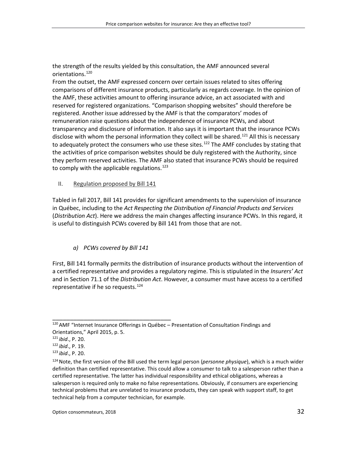the strength of the results yielded by this consultation, the AMF announced several orientations. [120](#page-31-0)

From the outset, the AMF expressed concern over certain issues related to sites offering comparisons of different insurance products, particularly as regards coverage. In the opinion of the AMF, these activities amount to offering insurance advice, an act associated with and reserved for registered organizations. "Comparison shopping websites" should therefore be registered. Another issue addressed by the AMF is that the comparators' modes of remuneration raise questions about the independence of insurance PCWs, and about transparency and disclosure of information. It also says it is important that the insurance PCWs disclose with whom the personal information they collect will be shared.<sup>[121](#page-31-1)</sup> All this is necessary to adequately protect the consumers who use these sites.<sup>[122](#page-31-2)</sup> The AMF concludes by stating that the activities of price comparison websites should be duly registered with the Authority, since they perform reserved activities. The AMF also stated that insurance PCWs should be required to comply with the applicable regulations.<sup>[123](#page-31-3)</sup>

II. Regulation proposed by Bill 141

Tabled in fall 2017, Bill 141 provides for significant amendments to the supervision of insurance in Québec, including to the *Act Respecting the Distribution of Financial Products and Services* (*Distribution Act*). Here we address the main changes affecting insurance PCWs. In this regard, it is useful to distinguish PCWs covered by Bill 141 from those that are not.

#### *a) PCWs covered by Bill 141*

\_\_\_\_\_\_\_\_\_\_\_\_\_\_\_\_\_\_\_\_\_\_\_\_\_\_\_\_\_\_\_\_\_\_

First, Bill 141 formally permits the distribution of insurance products without the intervention of a certified representative and provides a regulatory regime. This is stipulated in the *Insurers' Act* and in Section 71.1 of the *Distribution Act*. However, a consumer must have access to a certified representative if he so requests.<sup>[124](#page-31-4)</sup>

<span id="page-31-0"></span><sup>120</sup>AMF "Internet Insurance Offerings in Québec – Presentation of Consultation Findings and Orientations," April 2015, p. 5.

<sup>121</sup> *ibid*., P. 20.

<span id="page-31-2"></span><span id="page-31-1"></span><sup>122</sup> *ibid*., P. 19.

<span id="page-31-3"></span><sup>123</sup> *ibid*., P. 20.

<span id="page-31-4"></span><sup>124</sup>Note, the first version of the Bill used the term legal person (*personne physique*), which is a much wider definition than certified representative. This could allow a consumer to talk to a salesperson rather than a certified representative. The latter has individual responsibility and ethical obligations, whereas a salesperson is required only to make no false representations. Obviously, if consumers are experiencing technical problems that are unrelated to insurance products, they can speak with support staff, to get technical help from a computer technician, for example.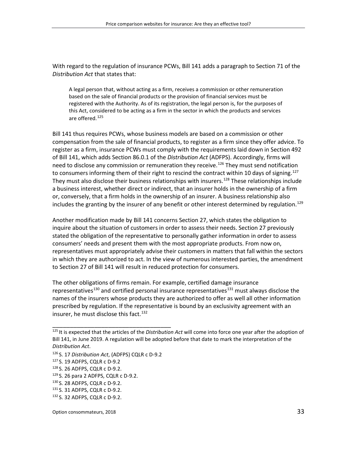With regard to the regulation of insurance PCWs, Bill 141 adds a paragraph to Section 71 of the *Distribution Act* that states that:

A legal person that, without acting as a firm, receives a commission or other remuneration based on the sale of financial products or the provision of financial services must be registered with the Authority. As of its registration, the legal person is, for the purposes of this Act, considered to be acting as a firm in the sector in which the products and services are offered. [125](#page-32-0)

Bill 141 thus requires PCWs, whose business models are based on a commission or other compensation from the sale of financial products, to register as a firm since they offer advice. To register as a firm, insurance PCWs must comply with the requirements laid down in Section 492 of Bill 141, which adds Section 86.0.1 of the *Distribution Act* (ADFPS). Accordingly, firms will need to disclose any commission or remuneration they receive.<sup>[126](#page-32-1)</sup> They must send notification to consumers informing them of their right to rescind the contract within 10 days of signing.<sup>[127](#page-32-2)</sup> They must also disclose their business relationships with insurers.<sup>[128](#page-32-3)</sup> These relationships include a business interest, whether direct or indirect, that an insurer holds in the ownership of a firm or, conversely, that a firm holds in the ownership of an insurer. A business relationship also includes the granting by the insurer of any benefit or other interest determined by regulation.<sup>[129](#page-32-4)</sup>

Another modification made by Bill 141 concerns Section 27, which states the obligation to inquire about the situation of customers in order to assess their needs. Section 27 previously stated the obligation of the representative to personally gather information in order to assess consumers' needs and present them with the most appropriate products. From now on, representatives must appropriately advise their customers in matters that fall within the sectors in which they are authorized to act. In the view of numerous interested parties, the amendment to Section 27 of Bill 141 will result in reduced protection for consumers.

The other obligations of firms remain. For example, certified damage insurance representatives<sup>[130](#page-32-5)</sup> and certified personal insurance representatives<sup>[131](#page-32-6)</sup> must always disclose the names of the insurers whose products they are authorized to offer as well all other information prescribed by regulation. If the representative is bound by an exclusivity agreement with an insurer, he must disclose this fact. [132](#page-32-7)

<span id="page-32-2"></span><span id="page-32-1"></span><sup>126</sup> S. 17 *Distribution Act*, (ADFPS) CQLR c D-9.2

\_\_\_\_\_\_\_\_\_\_\_\_\_\_\_\_\_\_\_\_\_\_\_\_\_\_\_\_\_\_\_\_\_\_

Option consommateurs, 2018 33

<span id="page-32-0"></span><sup>125</sup> It is expected that the articles of the *Distribution Act* will come into force one year after the adoption of Bill 141, in June 2019. A regulation will be adopted before that date to mark the interpretation of the *Distribution Act*.

<sup>127</sup> S. 19 ADFPS, CQLR c D-9.2

<span id="page-32-3"></span><sup>128</sup> S. 26 ADFPS, CQLR c D-9.2.

<span id="page-32-5"></span><span id="page-32-4"></span><sup>129</sup> S. 26 para 2 ADFPS, CQLR c D-9.2.

<sup>130</sup> S. 28 ADFPS, CQLR c D-9.2.

<span id="page-32-6"></span><sup>131</sup> S. 31 ADFPS, CQLR c D-9.2.

<span id="page-32-7"></span><sup>132</sup> S. 32 ADFPS, CQLR c D-9.2.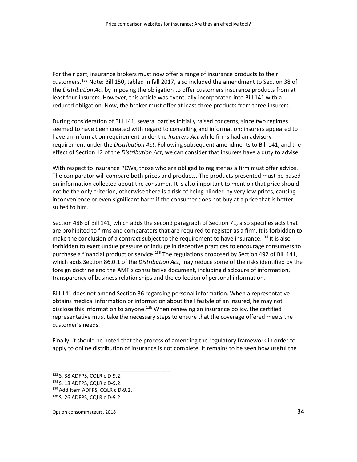For their part, insurance brokers must now offer a range of insurance products to their customers. [133](#page-33-0) Note: Bill 150, tabled in fall 2017, also included the amendment to Section 38 of the *Distribution Act* by imposing the obligation to offer customers insurance products from at least four insurers. However, this article was eventually incorporated into Bill 141 with a reduced obligation. Now, the broker must offer at least three products from three insurers.

During consideration of Bill 141, several parties initially raised concerns, since two regimes seemed to have been created with regard to consulting and information: insurers appeared to have an information requirement under the *Insurers Act* while firms had an advisory requirement under the *Distribution Act*. Following subsequent amendments to Bill 141, and the effect of Section 12 of the *Distribution Act*, we can consider that insurers have a duty to advise.

With respect to insurance PCWs, those who are obliged to register as a firm must offer advice. The comparator will compare both prices and products. The products presented must be based on information collected about the consumer. It is also important to mention that price should not be the only criterion, otherwise there is a risk of being blinded by very low prices, causing inconvenience or even significant harm if the consumer does not buy at a price that is better suited to him.

Section 486 of Bill 141, which adds the second paragraph of Section 71, also specifies acts that are prohibited to firms and comparators that are required to register as a firm. It is forbidden to make the conclusion of a contract subject to the requirement to have insurance.<sup>[134](#page-33-1)</sup> It is also forbidden to exert undue pressure or indulge in deceptive practices to encourage consumers to purchase a financial product or service.<sup>[135](#page-33-2)</sup> The regulations proposed by Section 492 of Bill 141, which adds Section 86.0.1 of the *Distribution Act*, may reduce some of the risks identified by the foreign doctrine and the AMF's consultative document, including disclosure of information, transparency of business relationships and the collection of personal information.

Bill 141 does not amend Section 36 regarding personal information. When a representative obtains medical information or information about the lifestyle of an insured, he may not disclose this information to anyone.<sup>[136](#page-33-3)</sup> When renewing an insurance policy, the certified representative must take the necessary steps to ensure that the coverage offered meets the customer's needs.

Finally, it should be noted that the process of amending the regulatory framework in order to apply to online distribution of insurance is not complete. It remains to be seen how useful the

\_\_\_\_\_\_\_\_\_\_\_\_\_\_\_\_\_\_\_\_\_\_\_\_\_\_\_\_\_\_\_\_\_\_

Option consommateurs, 2018 34

<span id="page-33-0"></span><sup>133</sup> S. 38 ADFPS, CQLR c D-9.2.

<span id="page-33-1"></span><sup>134</sup> S. 18 ADFPS, CQLR c D-9.2.

<span id="page-33-2"></span><sup>135</sup> Add Item ADFPS, CQLR c D-9.2.

<span id="page-33-3"></span><sup>136</sup> S. 26 ADFPS, CQLR c D-9.2.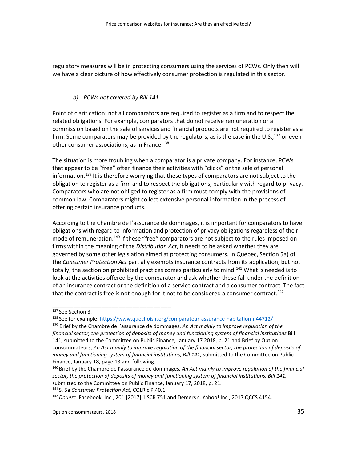regulatory measures will be in protecting consumers using the services of PCWs. Only then will we have a clear picture of how effectively consumer protection is regulated in this sector.

#### *b) PCWs not covered by Bill 141*

Point of clarification: not all comparators are required to register as a firm and to respect the related obligations. For example, comparators that do not receive remuneration or a commission based on the sale of services and financial products are not required to register as a firm. Some comparators may be provided by the regulators, as is the case in the U.S.,<sup>[137](#page-34-0)</sup> or even other consumer associations, as in France.<sup>[138](#page-34-1)</sup>

The situation is more troubling when a comparator is a private company. For instance, PCWs that appear to be "free" often finance their activities with "clicks" or the sale of personal information.<sup>[139](#page-34-2)</sup> It is therefore worrying that these types of comparators are not subject to the obligation to register as a firm and to respect the obligations, particularly with regard to privacy. Comparators who are not obliged to register as a firm must comply with the provisions of common law. Comparators might collect extensive personal information in the process of offering certain insurance products.

According to the Chambre de l'assurance de dommages, it is important for comparators to have obligations with regard to information and protection of privacy obligations regardless of their mode of remuneration.<sup>[140](#page-34-3)</sup> If these "free" comparators are not subject to the rules imposed on firms within the meaning of the *Distribution Act*, it needs to be asked whether they are governed by some other legislation aimed at protecting consumers. In Québec, Section 5a) of the *Consumer Protection Act* partially exempts insurance contracts from its application, but not totally; the section on prohibited practices comes particularly to mind.<sup>[141](#page-34-4)</sup> What is needed is to look at the activities offered by the comparator and ask whether these fall under the definition of an insurance contract or the definition of a service contract and a consumer contract. The fact that the contract is free is not enough for it not to be considered a consumer contract.<sup>[142](#page-34-5)</sup>

\_\_\_\_\_\_\_\_\_\_\_\_\_\_\_\_\_\_\_\_\_\_\_\_\_\_\_\_\_\_\_\_\_\_

<span id="page-34-5"></span>142*Douez*c. Facebook, Inc., 201,[2017] 1 SCR 751 and Demers c. Yahoo! Inc., 2017 QCCS 4154.

<span id="page-34-0"></span><sup>137</sup> See Section 3.

<sup>138</sup> See for example:<https://www.quechoisir.org/comparateur-assurance-habitation-n44712/>

<span id="page-34-2"></span><span id="page-34-1"></span><sup>139</sup> Brief by the Chambre de l'assurance de dommages, *An Act mainly to improve regulation of the financial sector, the protection of deposits of money and functioning system of financial institutions* Bill 141, submitted to the Committee on Public Finance, January 17 2018, p. 21 and Brief by Option consommateurs, *An Act mainly to improve regulation of the financial sector, the protection of deposits of money and functioning system of financial institutions, Bill 141,* submitted to the Committee on Public Finance, January 18, page 13 and following.

<span id="page-34-3"></span><sup>140</sup> Brief by the Chambre de l'assurance de dommages*, An Act mainly to improve regulation of the financial sector, the protection of deposits of money and functioning system of financial institutions, Bill 141,*  submitted to the Committee on Public Finance, January 17, 2018, p. 21.

<span id="page-34-4"></span><sup>141</sup> S. 5a *Consumer Protection Act*, CQLR c P.40.1.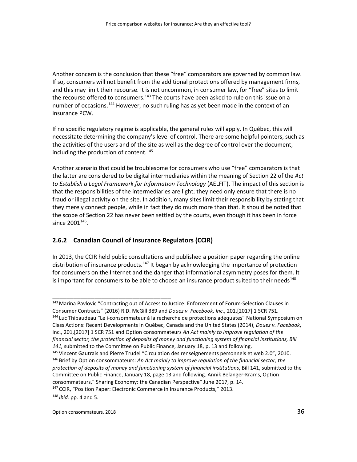Another concern is the conclusion that these "free" comparators are governed by common law. If so, consumers will not benefit from the additional protections offered by management firms, and this may limit their recourse. It is not uncommon, in consumer law, for "free" sites to limit the recourse offered to consumers.<sup>[143](#page-35-1)</sup> The courts have been asked to rule on this issue on a number of occasions.<sup>[144](#page-35-2)</sup> However, no such ruling has as yet been made in the context of an insurance PCW.

If no specific regulatory regime is applicable, the general rules will apply. In Québec, this will necessitate determining the company's level of control. There are some helpful pointers, such as the activities of the users and of the site as well as the degree of control over the document, including the production of content. [145](#page-35-3)

Another scenario that could be troublesome for consumers who use "free" comparators is that the latter are considered to be digital intermediaries within the meaning of Section 22 of the *Act to Establish a Legal Framework for Information Technology* (AELFIT). The impact of this section is that the responsibilities of the intermediaries are light; they need only ensure that there is no fraud or illegal activity on the site. In addition, many sites limit their responsibility by stating that they merely connect people, while in fact they do much more than that. It should be noted that the scope of Section 22 has never been settled by the courts, even though it has been in force since  $2001^{146}$  $2001^{146}$  $2001^{146}$ .

#### <span id="page-35-0"></span>**2.6.2 Canadian Council of Insurance Regulators (CCIR)**

\_\_\_\_\_\_\_\_\_\_\_\_\_\_\_\_\_\_\_\_\_\_\_\_\_\_\_\_\_\_\_\_\_\_

In 2013, the CCIR held public consultations and published a position paper regarding the online distribution of insurance products.<sup>[147](#page-35-5)</sup> It began by acknowledging the importance of protection for consumers on the Internet and the danger that informational asymmetry poses for them. It is important for consumers to be able to choose an insurance product suited to their needs<sup>[148](#page-35-6)</sup>

<span id="page-35-6"></span><span id="page-35-5"></span><span id="page-35-4"></span><span id="page-35-3"></span><sup>148</sup> *Ibid.* pp. 4 and 5.

Option consommateurs, 2018 36

<span id="page-35-2"></span><span id="page-35-1"></span><sup>143</sup> Marina Pavlovic "Contracting out of Access to Justice: Enforcement of Forum-Selection Clauses in Consumer Contracts" (2016) R.D. McGill 389 and *Douez v. Facebook, Inc*., 201,[2017] 1 SCR 751. <sup>144</sup> Luc Thibaudeau "Le i-consommateur à la recherche de protections adéquates" National Symposium on Class Actions: Recent Developments in Québec, Canada and the United States (2014), *Douez v. Facebook*, Inc., 201,[2017] 1 SCR 751 and Option consommateurs *An Act mainly to improve regulation of the financial sector, the protection of deposits of money and functioning system of financial institutions, Bill*  141, submitted to the Committee on Public Finance, January 18, p. 13 and following.<br><sup>145</sup> Vincent Gautrais and Pierre Trudel "Circulation des renseignements personnels et web 2.0", 2010. <sup>146</sup> Brief by Option consommateurs: *An Act mainly to improve regulation of the financial sector, the protection of deposits of money and functioning system of financial institutions*, Bill 141, submitted to the Committee on Public Finance, January 18, page 13 and following. Annik Belanger-Krams, Option consommateurs," Sharing Economy: the Canadian Perspective" June 2017, p. 14. <sup>147</sup> CCIR, "Position Paper: Electronic Commerce in Insurance Products," 2013.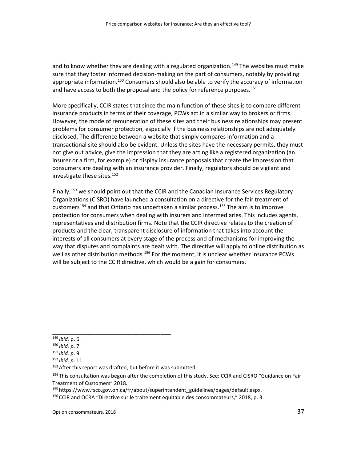and to know whether they are dealing with a regulated organization.<sup>[149](#page-36-0)</sup> The websites must make sure that they foster informed decision-making on the part of consumers, notably by providing appropriate information.<sup>[150](#page-36-1)</sup> Consumers should also be able to verify the accuracy of information and have access to both the proposal and the policy for reference purposes.<sup>[151](#page-36-2)</sup>

More specifically, CCIR states that since the main function of these sites is to compare different insurance products in terms of their coverage, PCWs act in a similar way to brokers or firms. However, the mode of remuneration of these sites and their business relationships may present problems for consumer protection, especially if the business relationships are not adequately disclosed. The difference between a website that simply compares information and a transactional site should also be evident. Unless the sites have the necessary permits, they must not give out advice, give the impression that they are acting like a registered organization (an insurer or a firm, for example) or display insurance proposals that create the impression that consumers are dealing with an insurance provider. Finally, regulators should be vigilant and investigate these sites. [152](#page-36-3)

Finally,<sup>[153](#page-36-4)</sup> we should point out that the CCIR and the Canadian Insurance Services Regulatory Organizations (CISRO) have launched a consultation on a directive for the fair treatment of customers<sup>[154](#page-36-5)</sup> and that Ontario has undertaken a similar process.<sup>[155](#page-36-6)</sup> The aim is to improve protection for consumers when dealing with insurers and intermediaries. This includes agents, representatives and distribution firms. Note that the CCIR directive relates to the creation of products and the clear, transparent disclosure of information that takes into account the interests of all consumers at every stage of the process and of mechanisms for improving the way that disputes and complaints are dealt with. The directive will apply to online distribution as well as other distribution methods.<sup>[156](#page-36-7)</sup> For the moment, it is unclear whether insurance PCWs will be subject to the CCIR directive, which would be a gain for consumers.

\_\_\_\_\_\_\_\_\_\_\_\_\_\_\_\_\_\_\_\_\_\_\_\_\_\_\_\_\_\_\_\_\_\_

<span id="page-36-7"></span><sup>156</sup> CCIR and OCRA "Directive sur le traitement équitable des consommateurs," 2018, p. 3.

<span id="page-36-0"></span><sup>149</sup> *Ibid.* p. 6.

<span id="page-36-1"></span><sup>150</sup> *Ibid. p*. 7.

<span id="page-36-2"></span><sup>151</sup> *Ibid. p*. 9.

<span id="page-36-4"></span><span id="page-36-3"></span><sup>152</sup> *Ibid. p*. 11.

<sup>&</sup>lt;sup>153</sup> After this report was drafted, but before it was submitted.

<span id="page-36-5"></span><sup>154</sup> This consultation was begun after the completion of this study. See: CCIR and CISRO "Guidance on Fair Treatment of Customers" 2018.

<span id="page-36-6"></span><sup>155</sup> https://www.fsco.gov.on.ca/fr/about/superintendent\_guidelines/pages/default.aspx.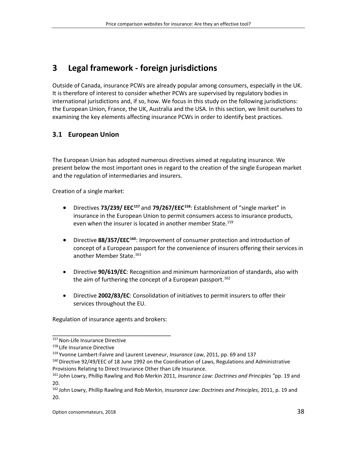# **3 Legal framework - foreign jurisdictions**

Outside of Canada, insurance PCWs are already popular among consumers, especially in the UK. It is therefore of interest to consider whether PCWs are supervised by regulatory bodies in international jurisdictions and, if so, how. We focus in this study on the following jurisdictions: the European Union, France, the UK, Australia and the USA. In this section, we limit ourselves to examining the key elements affecting insurance PCWs in order to identify best practices.

# **3.1 European Union**

The European Union has adopted numerous directives aimed at regulating insurance. We present below the most important ones in regard to the creation of the single European market and the regulation of intermediaries and insurers.

Creation of a single market:

- Directives **73/239/ EEC[157](#page-37-0)** and **79/267/EEC[158](#page-37-1)**: Establishment of "single market" in insurance in the European Union to permit consumers access to insurance products, even when the insurer is located in another member State.<sup>[159](#page-37-2)</sup>
- Directive **88/357/EEC[160](#page-37-3)**: Improvement of consumer protection and introduction of concept of a European passport for the convenience of insurers offering their services in another Member State. [161](#page-37-4)
- Directive **90/619/EC**: Recognition and minimum harmonization of standards, also with the aim of furthering the concept of a European passport.<sup>[162](#page-37-5)</sup>
- Directive **2002/83/EC**: Consolidation of initiatives to permit insurers to offer their services throughout the EU.

Regulation of insurance agents and brokers:

<span id="page-37-0"></span><sup>157</sup> Non-Life Insurance Directive

<span id="page-37-2"></span><span id="page-37-1"></span><sup>158</sup> Life Insurance Directive

<sup>159</sup> Yvonne Lambert-Faivre and Laurent Leveneur, *Insurance Law*, 2011, pp. 69 and 137

<span id="page-37-3"></span><sup>&</sup>lt;sup>160</sup> Directive 92/49/EEC of 18 June 1992 on the Coordination of Laws, Regulations and Administrative Provisions Relating to Direct Insurance Other than Life Insurance.

<span id="page-37-4"></span><sup>161</sup> John Lowry, Phillip Rawling and Rob Merkin 2011, *Insurance Law: Doctrines and Principles "*pp. 19 and 20.

<span id="page-37-5"></span><sup>162</sup> John Lowry, Phillip Rawling and Rob Merkin, *Insurance Law: Doctrines and Principles*, 2011, p. 19 and 20.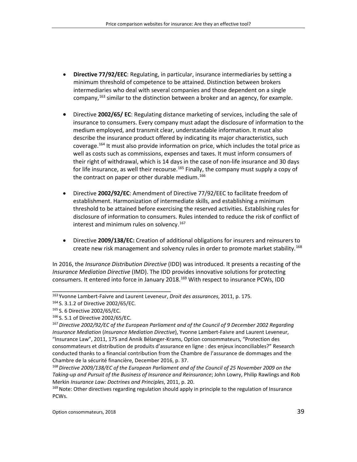- **Directive 77/92/EEC**: Regulating, in particular, insurance intermediaries by setting a minimum threshold of competence to be attained. Distinction between brokers intermediaries who deal with several companies and those dependent on a single company, [163](#page-38-0) similar to the distinction between a broker and an agency, for example.
- Directive **2002/65/ EC**: Regulating distance marketing of services, including the sale of insurance to consumers. Every company must adapt the disclosure of information to the medium employed, and transmit clear, understandable information. It must also describe the insurance product offered by indicating its major characteristics, such coverage. [164](#page-38-1) It must also provide information on price, which includes the total price as well as costs such as commissions, expenses and taxes. It must inform consumers of their right of withdrawal, which is 14 days in the case of non-life insurance and 30 days for life insurance, as well their recourse.<sup>[165](#page-38-2)</sup> Finally, the company must supply a copy of the contract on paper or other durable medium.<sup>[166](#page-38-3)</sup>
- Directive **2002/92/EC**: Amendment of Directive 77/92/EEC to facilitate freedom of establishment. Harmonization of intermediate skills, and establishing a minimum threshold to be attained before exercising the reserved activities. Establishing rules for disclosure of information to consumers. Rules intended to reduce the risk of conflict of interest and minimum rules on solvency.<sup>[167](#page-38-4)</sup>
- Directive **2009/138/EC:** Creation of additional obligations for insurers and reinsurers to create new risk management and solvency rules in order to promote market stability.<sup>[168](#page-38-5)</sup>

In 2016, the *Insurance Distribution Directive* (IDD) was introduced. It presents a recasting of the *Insurance Mediation Directive* (IMD). The IDD provides innovative solutions for protecting consumers. It entered into force in January 2018.<sup>[169](#page-38-6)</sup> With respect to insurance PCWs, IDD

<span id="page-38-0"></span><sup>163</sup> Yvonne Lambert-Faivre and Laurent Leveneur, *Droit des assurances*, 2011, p. 175.

<span id="page-38-1"></span><sup>164</sup> S. 3.1.2 of Directive 2002/65/EC.

<span id="page-38-3"></span><span id="page-38-2"></span><sup>165</sup> S. 6 Directive 2002/65/EC.

<sup>166</sup> S. 5.1 of Directive 2002/65/EC.

<span id="page-38-4"></span><sup>167</sup>*Directive 2002/92/EC of the European Parliament and of the Council of 9 December 2002 Regarding Insurance Mediation* (*Insurance Mediation Directive*), Yvonne Lambert-Faivre and Laurent Leveneur, "Insurance Law", 2011, 175 and Annik Bélanger-Krams, Option consommateurs, "Protection des consommateurs et distribution de produits d'assurance en ligne : des enjeux inconciliables?" Research conducted thanks to a financial contribution from the Chambre de l'assurance de dommages and the Chambre de la sécurité financière, December 2016, p. 37.

<span id="page-38-5"></span><sup>168</sup>*Directive 2009/138/EC of the European Parliament and of the Council of 25 November 2009 on the Taking-up and Pursuit of the Business of Insurance and Reinsurance*; John Lowry, Philip Rawlings and Rob Merkin *Insurance Law: Doctrines and Principles*, 2011, p. 20.

<span id="page-38-6"></span><sup>&</sup>lt;sup>169</sup> Note: Other directives regarding regulation should apply in principle to the regulation of Insurance PCWs.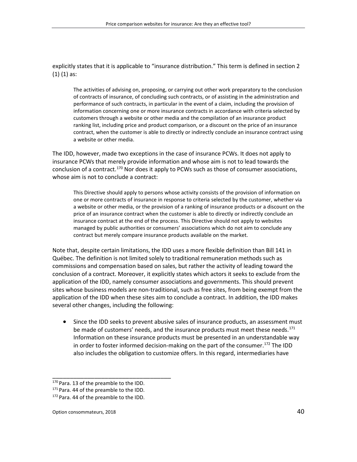explicitly states that it is applicable to "insurance distribution." This term is defined in section 2 (1) (1) as:

The activities of advising on, proposing, or carrying out other work preparatory to the conclusion of contracts of insurance, of concluding such contracts, or of assisting in the administration and performance of such contracts, in particular in the event of a claim, including the provision of information concerning one or more insurance contracts in accordance with criteria selected by customers through a website or other media and the compilation of an insurance product ranking list, including price and product comparison, or a discount on the price of an insurance contract, when the customer is able to directly or indirectly conclude an insurance contract using a website or other media.

The IDD, however, made two exceptions in the case of insurance PCWs. It does not apply to insurance PCWs that merely provide information and whose aim is not to lead towards the conclusion of a contract.<sup>[170](#page-39-0)</sup> Nor does it apply to PCWs such as those of consumer associations, whose aim is not to conclude a contract:

This Directive should apply to persons whose activity consists of the provision of information on one or more contracts of insurance in response to criteria selected by the customer, whether via a website or other media, or the provision of a ranking of insurance products or a discount on the price of an insurance contract when the customer is able to directly or indirectly conclude an insurance contract at the end of the process. This Directive should not apply to websites managed by public authorities or consumers' associations which do not aim to conclude any contract but merely compare insurance products available on the market.

Note that, despite certain limitations, the IDD uses a more flexible definition than Bill 141 in Québec. The definition is not limited solely to traditional remuneration methods such as commissions and compensation based on sales, but rather the activity of leading toward the conclusion of a contract. Moreover, it explicitly states which actors it seeks to exclude from the application of the IDD, namely consumer associations and governments. This should prevent sites whose business models are non-traditional, such as free sites, from being exempt from the application of the IDD when these sites aim to conclude a contract. In addition, the IDD makes several other changes, including the following:

• Since the IDD seeks to prevent abusive sales of insurance products, an assessment must be made of customers' needs, and the insurance products must meet these needs.<sup>[171](#page-39-1)</sup> Information on these insurance products must be presented in an understandable way in order to foster informed decision-making on the part of the consumer. [172](#page-39-2) The IDD also includes the obligation to customize offers. In this regard, intermediaries have

<span id="page-39-0"></span><sup>170</sup> Para. 13 of the preamble to the IDD.

<span id="page-39-1"></span><sup>&</sup>lt;sup>171</sup> Para. 44 of the preamble to the IDD.

<span id="page-39-2"></span><sup>&</sup>lt;sup>172</sup> Para. 44 of the preamble to the IDD.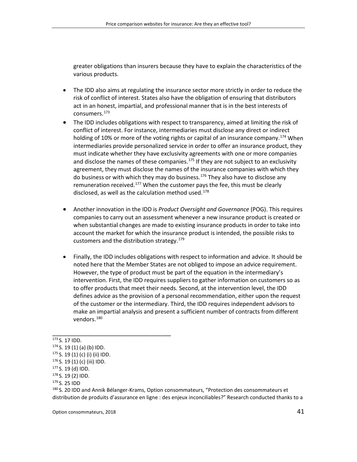greater obligations than insurers because they have to explain the characteristics of the various products.

- The IDD also aims at regulating the insurance sector more strictly in order to reduce the risk of conflict of interest. States also have the obligation of ensuring that distributors act in an honest, impartial, and professional manner that is in the best interests of consumers. [173](#page-40-0)
- The IDD includes obligations with respect to transparency, aimed at limiting the risk of conflict of interest. For instance, intermediaries must disclose any direct or indirect holding of 10% or more of the voting rights or capital of an insurance company.<sup>[174](#page-40-1)</sup> When intermediaries provide personalized service in order to offer an insurance product, they must indicate whether they have exclusivity agreements with one or more companies and disclose the names of these companies.<sup>[175](#page-40-2)</sup> If they are not subject to an exclusivity agreement, they must disclose the names of the insurance companies with which they do business or with which they may do business.<sup>[176](#page-40-3)</sup> They also have to disclose any remuneration received.<sup>[177](#page-40-4)</sup> When the customer pays the fee, this must be clearly disclosed, as well as the calculation method used. [178](#page-40-5)
- Another innovation in the IDD is *Product Oversight and Governance* (POG). This requires companies to carry out an assessment whenever a new insurance product is created or when substantial changes are made to existing insurance products in order to take into account the market for which the insurance product is intended, the possible risks to customers and the distribution strategy.<sup>[179](#page-40-6)</sup>
- Finally, the IDD includes obligations with respect to information and advice. It should be noted here that the Member States are not obliged to impose an advice requirement. However, the type of product must be part of the equation in the intermediary's intervention. First, the IDD requires suppliers to gather information on customers so as to offer products that meet their needs. Second, at the intervention level, the IDD defines advice as the provision of a personal recommendation, either upon the request of the customer or the intermediary. Third, the IDD requires independent advisors to make an impartial analysis and present a sufficient number of contracts from different vendors.<sup>[180](#page-40-7)</sup>

<span id="page-40-1"></span><span id="page-40-0"></span><sup>173</sup> S. 17 IDD.

<sup>174</sup> S. 19 (1) (a) (b) IDD.

<span id="page-40-2"></span> $175$  S. 19 (1) (c) (i) (ii) IDD.

<span id="page-40-3"></span> $176$  S. 19 (1) (c) (iii) IDD.

<span id="page-40-4"></span><sup>177</sup> S. 19 (d) IDD.

<span id="page-40-5"></span><sup>178</sup> S. 19 (2) IDD.

<span id="page-40-6"></span><sup>179</sup> S. 25 IDD

<span id="page-40-7"></span><sup>180</sup> S. 20 IDD and Annik Bélanger-Krams, Option consommateurs, "Protection des consommateurs et distribution de produits d'assurance en ligne : des enjeux inconciliables?" Research conducted thanks to a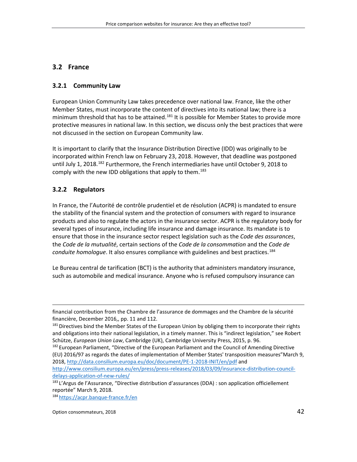# **3.2 France**

### **3.2.1 Community Law**

European Union Community Law takes precedence over national law. France, like the other Member States, must incorporate the content of directives into its national law; there is a minimum threshold that has to be attained.<sup>[181](#page-41-0)</sup> It is possible for Member States to provide more protective measures in national law. In this section, we discuss only the best practices that were not discussed in the section on European Community law.

It is important to clarify that the Insurance Distribution Directive (IDD) was originally to be incorporated within French law on February 23, 2018. However, that deadline was postponed until July 1, 2018.<sup>[182](#page-41-1)</sup> Furthermore, the French intermediaries have until October 9, 2018 to comply with the new IDD obligations that apply to them.<sup>[183](#page-41-2)</sup>

# **3.2.2 Regulators**

 $\overline{a}$ 

In France, the l'Autorité de contrôle prudentiel et de résolution (ACPR) is mandated to ensure the stability of the financial system and the protection of consumers with regard to insurance products and also to regulate the actors in the insurance sector. ACPR is the regulatory body for several types of insurance, including life insurance and damage insurance. Its mandate is to ensure that those in the insurance sector respect legislation such as the *Code des assurances*, the *Code de la mutualité*, certain sections of the *Code de la consommation* and the *Code de conduite homologue*. It also ensures compliance with guidelines and best practices. [184](#page-41-3)

Le Bureau central de tarification (BCT) is the authority that administers mandatory insurance, such as automobile and medical insurance. Anyone who is refused compulsory insurance can

[http://www.consilium.europa.eu/en/press/press-releases/2018/03/09/insurance-distribution-council](http://www.consilium.europa.eu/en/press/press-releases/2018/03/09/insurance-distribution-council-delays-application-of-new-rules/)[delays-application-of-new-rules/](http://www.consilium.europa.eu/en/press/press-releases/2018/03/09/insurance-distribution-council-delays-application-of-new-rules/)

<span id="page-41-3"></span>184 <https://acpr.banque-france.fr/en>

financial contribution from the Chambre de l'assurance de dommages and the Chambre de la sécurité financière, December 2016,, pp. 11 and 112.

<span id="page-41-0"></span><sup>&</sup>lt;sup>181</sup> Directives bind the Member States of the European Union by obliging them to incorporate their rights and obligations into their national legislation, in a timely manner. This is "indirect legislation," see Robert Schütze, *European Union Law*, Cambridge (UK), Cambridge University Press, 2015, p. 96.

<span id="page-41-1"></span><sup>182</sup> European Parliament, "Directive of the European Parliament and the Council of Amending Directive (EU) 2016/97 as regards the dates of implementation of Member States' transposition measures"March 9, 2018,<http://data.consilium.europa.eu/doc/document/PE-1-2018-INIT/en/pdf> and

<span id="page-41-2"></span><sup>183</sup> L'Argus de l'Assurance, "Directive distribution d'assurances (DDA) : son application officiellement reportée" March 9, 2018.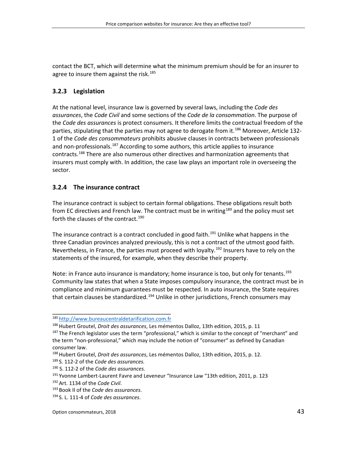contact the BCT, which will determine what the minimum premium should be for an insurer to agree to insure them against the risk. [185](#page-42-0)

## **3.2.3 Legislation**

At the national level, insurance law is governed by several laws, including the *Code des assurances*, the *Code Civil* and some sections of the *Code de la consommation*. The purpose of the *Code des assurances* is protect consumers. It therefore limits the contractual freedom of the parties, stipulating that the parties may not agree to derogate from it.<sup>[186](#page-42-1)</sup> Moreover, Article 132-1 of the *Code des consommateurs* prohibits abusive clauses in contracts between professionals and non-professionals.<sup>[187](#page-42-2)</sup> According to some authors, this article applies to insurance contracts.<sup>[188](#page-42-3)</sup> There are also numerous other directives and harmonization agreements that insurers must comply with. In addition, the case law plays an important role in overseeing the sector.

## **3.2.4 The insurance contract**

The insurance contract is subject to certain formal obligations. These obligations result both from EC directives and French law. The contract must be in writing<sup>[189](#page-42-4)</sup> and the policy must set forth the clauses of the contract.<sup>[190](#page-42-5)</sup>

The insurance contract is a contract concluded in good faith.<sup>[191](#page-42-6)</sup> Unlike what happens in the three Canadian provinces analyzed previously, this is not a contract of the utmost good faith. Nevertheless, in France, the parties must proceed with loyalty. [192](#page-42-7) Insurers have to rely on the statements of the insured, for example, when they describe their property.

Note: in France auto insurance is mandatory; home insurance is too, but only for tenants.<sup>[193](#page-42-8)</sup> Community law states that when a State imposes compulsory insurance, the contract must be in compliance and minimum guarantees must be respected. In auto insurance, the State requires that certain clauses be standardized.<sup>[194](#page-42-9)</sup> Unlike in other jurisdictions, French consumers may

\_\_\_\_\_\_\_\_\_\_\_\_\_\_\_\_\_\_\_\_\_\_\_\_\_\_\_\_\_\_\_\_\_\_ <sup>185</sup> [http://www.bureaucentraldetarification.com.fr](http://www.bureaucentraldetarification.com.fr/)

<span id="page-42-1"></span><span id="page-42-0"></span><sup>&</sup>lt;sup>186</sup> Hubert Groutel, *Droit des assurances*, Les mémentos Dalloz, 13th edition, 2015, p. 11

<span id="page-42-2"></span><sup>&</sup>lt;sup>187</sup> The French legislator uses the term "professional," which is similar to the concept of "merchant" and the term "non-professional," which may include the notion of "consumer" as defined by Canadian consumer law.<br><sup>188</sup> Hubert Groutel, *Droit des assurances*, Les mémentos Dalloz, 13th edition, 2015, p. 12.

<span id="page-42-3"></span>

<span id="page-42-4"></span><sup>189</sup> S. 112-2 of the *Code des assurances.*

<span id="page-42-5"></span><sup>190</sup> S. 112-2 of the *Code des assurances.*

<span id="page-42-6"></span><sup>191</sup> Yvonne Lambert-Laurent Favre and Leveneur "Insurance Law "13th edition, 2011, p. 123

<span id="page-42-8"></span><span id="page-42-7"></span><sup>192</sup>Art. 1134 of the *Code Civil*.

<sup>193</sup> Book II of the *Code des assurances*.

<span id="page-42-9"></span><sup>194</sup> S. L. 111-4 of *Code des assurances*.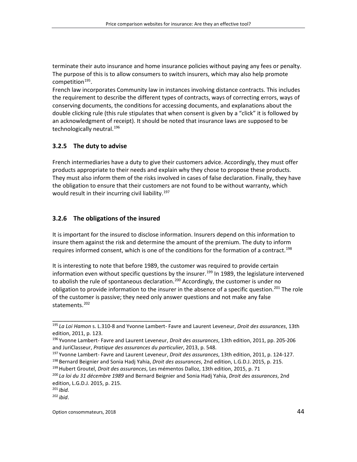terminate their auto insurance and home insurance policies without paying any fees or penalty. The purpose of this is to allow consumers to switch insurers, which may also help promote competition $195$ .

French law incorporates Community law in instances involving distance contracts. This includes the requirement to describe the different types of contracts, ways of correcting errors, ways of conserving documents, the conditions for accessing documents, and explanations about the double clicking rule (this rule stipulates that when consent is given by a "click" it is followed by an acknowledgment of receipt). It should be noted that insurance laws are supposed to be technologically neutral.<sup>[196](#page-43-1)</sup>

#### **3.2.5 The duty to advise**

French intermediaries have a duty to give their customers advice. Accordingly, they must offer products appropriate to their needs and explain why they chose to propose these products. They must also inform them of the risks involved in cases of false declaration. Finally, they have the obligation to ensure that their customers are not found to be without warranty, which would result in their incurring civil liability.<sup>[197](#page-43-2)</sup>

#### **3.2.6 The obligations of the insured**

\_\_\_\_\_\_\_\_\_\_\_\_\_\_\_\_\_\_\_\_\_\_\_\_\_\_\_\_\_\_\_\_\_\_

It is important for the insured to disclose information. Insurers depend on this information to insure them against the risk and determine the amount of the premium. The duty to inform requires informed consent, which is one of the conditions for the formation of a contract.<sup>[198](#page-43-3)</sup>

It is interesting to note that before 1989, the customer was required to provide certain information even without specific questions by the insurer.<sup>[199](#page-43-4)</sup> In 1989, the legislature intervened to abolish the rule of spontaneous declaration.<sup>[200](#page-43-5)</sup> Accordingly, the customer is under no obligation to provide information to the insurer in the absence of a specific question.<sup>[201](#page-43-6)</sup> The role of the customer is passive; they need only answer questions and not make any false statements. [202](#page-43-7)

<span id="page-43-0"></span><sup>195</sup> *La Loi Hamon* s. L.310-8 and Yvonne Lambert- Favre and Laurent Leveneur, *Droit des assurances*, 13th edition, 2011, p. 123.

<span id="page-43-1"></span><sup>196</sup> Yvonne Lambert- Favre and Laurent Leveneur, *Droit des assurances*, 13th edition, 2011, pp. 205-206 and JuriClasseur, *Pratique des assurances du particulier*, 2013, p. 548.

<span id="page-43-3"></span><span id="page-43-2"></span><sup>197</sup> Yvonne Lambert- Favre and Laurent Leveneur, *Droit des assurances*, 13th edition, 2011, p. 124-127. <sup>198</sup> Bernard Beignier and Sonia Hadj Yahia, *Droit des assurances*, 2nd edition, L.G.D.J. 2015, p. 215.

<span id="page-43-4"></span><sup>199</sup>Hubert Groutel, *Droit des assurances*, Les mémentos Dalloz, 13th edition, 2015, p. 71

<span id="page-43-5"></span><sup>200</sup> *La loi du 31 décembre 1989* and Bernard Beignier and Sonia Hadj Yahia, *Droit des assurances*, 2nd edition, L.G.D.J. 2015, p. 215.

<span id="page-43-6"></span><sup>201</sup> *Ibid.*

<span id="page-43-7"></span><sup>202</sup> *ibid*.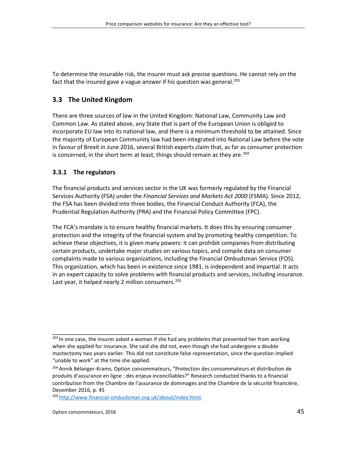To determine the insurable risk, the insurer must ask precise questions. He cannot rely on the fact that the insured gave a vague answer if his question was general.<sup>[203](#page-44-0)</sup>

# **3.3 The United Kingdom**

There are three sources of law in the United Kingdom: National Law, Community Law and Common Law. As stated above, any State that is part of the European Union is obliged to incorporate EU law into its national law, and there is a minimum threshold to be attained. Since the majority of European Community law had been integrated into National Law before the vote in favour of Brexit in June 2016, several British experts claim that, as far as consumer protection is concerned, in the short term at least, things should remain as they are.<sup>[204](#page-44-1)</sup>

## **3.3.1 The regulators**

The financial products and services sector in the UK was formerly regulated by the Financial Services Authority (FSA) under the *Financial Services and Markets Act 2000* (FSMA). Since 2012, the FSA has been divided into three bodies, the Financial Conduct Authority (FCA), the Prudential Regulation Authority (PRA) and the Financial Policy Committee (FPC).

The FCA's mandate is to ensure healthy financial markets. It does this by ensuring consumer protection and the integrity of the financial system and by promoting healthy competition. To achieve these objectives, it is given many powers: it can prohibit companies from distributing certain products, undertake major studies on various topics, and compile data on consumer complaints made to various organizations, including the Financial Ombudsman Service (FOS). This organization, which has been in existence since 1981, is independent and impartial. It acts in an expert capacity to solve problems with financial products and services, including insurance. Last year, it helped nearly 2 million consumers.<sup>[205](#page-44-2)</sup>

<span id="page-44-2"></span><sup>205</sup> [http://www.financial-ombudsman.org.uk/about/index.html.](http://www.financial-ombudsman.org.uk/about/index.html)

<span id="page-44-0"></span><sup>203</sup> In one case, the insurer asked a woman if she had any problems that prevented her from working when she applied for insurance. She said she did not, even though she had undergone a double mastectomy two years earlier. This did not constitute false representation, since the question implied "unable to work" at the time she applied.

<span id="page-44-1"></span><sup>&</sup>lt;sup>204</sup> Annik Bélanger-Krams, Option consommateurs, "Protection des consommateurs et distribution de produits d'assurance en ligne : des enjeux inconciliables?" Research conducted thanks to a financial contribution from the Chambre de l'assurance de dommages and the Chambre de la sécurité financière, December 2016, p. 45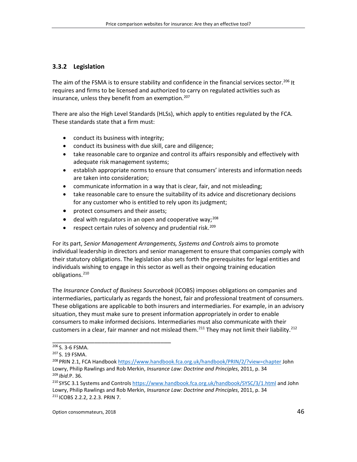### **3.3.2 Legislation**

The aim of the FSMA is to ensure stability and confidence in the financial services sector.<sup>[206](#page-45-0)</sup> It requires and firms to be licensed and authorized to carry on regulated activities such as insurance, unless they benefit from an exemption. [207](#page-45-1)

There are also the High Level Standards (HLSs), which apply to entities regulated by the FCA. These standards state that a firm must:

- conduct its business with integrity;
- conduct its business with due skill, care and diligence;
- take reasonable care to organize and control its affairs responsibly and effectively with adequate risk management systems;
- establish appropriate norms to ensure that consumers' interests and information needs are taken into consideration;
- communicate information in a way that is clear, fair, and not misleading;
- take reasonable care to ensure the suitability of its advice and discretionary decisions for any customer who is entitled to rely upon its judgment;
- protect consumers and their assets;

\_\_\_\_\_\_\_\_\_\_\_\_\_\_\_\_\_\_\_\_\_\_\_\_\_\_\_\_\_\_\_\_\_\_

- $\bullet$  deal with regulators in an open and cooperative way;<sup>[208](#page-45-2)</sup>
- respect certain rules of solvency and prudential risk.<sup>[209](#page-45-3)</sup>

For its part, *Senior Management Arrangements, Systems and Controls* aims to promote individual leadership in directors and senior management to ensure that companies comply with their statutory obligations. The legislation also sets forth the prerequisites for legal entities and individuals wishing to engage in this sector as well as their ongoing training education obligations. [210](#page-45-4)

<span id="page-45-6"></span>The *Insurance Conduct of Business Sourcebook* (ICOBS) imposes obligations on companies and intermediaries, particularly as regards the honest, fair and professional treatment of consumers. These obligations are applicable to both insurers and intermediaries. For example, in an advisory situation, they must make sure to present information appropriately in order to enable consumers to make informed decisions. Intermediaries must also communicate with their customers in a clear, fair manner and not mislead them.<sup>[211](#page-45-5)</sup> They may not limit their liability.<sup>[212](#page-45-6)</sup>

<span id="page-45-0"></span><sup>206</sup> S. 3-6 FSMA.

<span id="page-45-1"></span><sup>207</sup> S. 19 FSMA.

<span id="page-45-2"></span><sup>&</sup>lt;sup>208</sup> PRIN 2.1, FCA Handboo[k https://www.handbook.fca.org.uk/handbook/PRIN/2/?view=chapter](https://www.handbook.fca.org.uk/handbook/PRIN/2/?view=chapter) John Lowry, Philip Rawlings and Rob Merkin, *Insurance Law: Doctrine and Principles*, 2011, p. 34 <sup>209</sup> *Ibid.*P. 36.

<span id="page-45-5"></span><span id="page-45-4"></span><span id="page-45-3"></span><sup>&</sup>lt;sup>210</sup> SYSC 3.1 Systems and Control[s https://www.handbook.fca.org.uk/handbook/SYSC/3/1.html](https://www.handbook.fca.org.uk/handbook/SYSC/3/1.html) and John Lowry, Philip Rawlings and Rob Merkin, *Insurance Law: Doctrine and Principles*, 2011, p. 34 <sup>211</sup> ICOBS 2.2.2, 2.2.3. PRIN 7.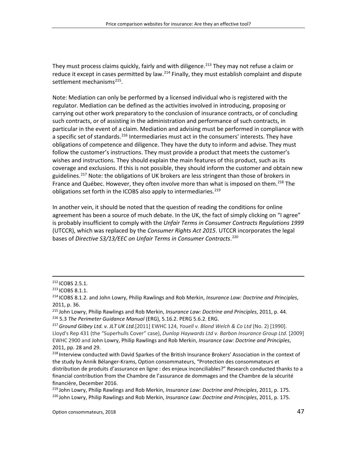They must process claims quickly, fairly and with diligence.<sup>[213](#page-46-0)</sup> They may not refuse a claim or reduce it except in cases permitted by law.<sup>[214](#page-46-1)</sup> Finally, they must establish complaint and dispute settlement mechanisms<sup>215</sup>.

Note: Mediation can only be performed by a licensed individual who is registered with the regulator. Mediation can be defined as the activities involved in introducing, proposing or carrying out other work preparatory to the conclusion of insurance contracts, or of concluding such contracts, or of assisting in the administration and performance of such contracts, in particular in the event of a claim. Mediation and advising must be performed in compliance with a specific set of standards.<sup>[216](#page-46-3)</sup> Intermediaries must act in the consumers' interests. They have obligations of competence and diligence. They have the duty to inform and advise. They must follow the customer's instructions. They must provide a product that meets the customer's wishes and instructions. They should explain the main features of this product, such as its coverage and exclusions. If this is not possible, they should inform the customer and obtain new guidelines.<sup>[217](#page-46-4)</sup> Note: the obligations of UK brokers are less stringent than those of brokers in France and Québec. However, they often involve more than what is imposed on them.<sup>[218](#page-46-5)</sup> The obligations set forth in the ICOBS also apply to intermediaries.<sup>[219](#page-46-6)</sup>

In another vein, it should be noted that the question of reading the conditions for online agreement has been a source of much debate. In the UK, the fact of simply clicking on "I agree" is probably insufficient to comply with the *Unfair Terms in Consumer Contracts Regulations 1999* (UTCCR), which was replaced by the *Consumer Rights Act 2015*. UTCCR incorporates the legal bases of *Directive S3/13/EEC on Unfair Terms in Consumer Contracts*. [220](#page-46-7)

 <sup>212</sup> ICOBS 2.5.1.

<span id="page-46-1"></span><span id="page-46-0"></span><sup>&</sup>lt;sup>213</sup> ICOBS 8.1.1.<br><sup>214</sup> ICOBS 8.1.2. and John Lowry, Philip Rawlings and Rob Merkin, *Insurance Law: Doctrine and Principles*, 2011, p. 36.

<span id="page-46-2"></span><sup>215</sup> John Lowry, Philip Rawlings and Rob Merkin, *Insurance Law: Doctrine and Principles*, 2011, p. 44. <sup>216</sup> 5.3 *The Perimeter Guidance Manual* (ERG), 5.16.2. PERG 5.6.2. ERG.

<span id="page-46-4"></span><span id="page-46-3"></span><sup>217</sup>*Ground Gilbey Ltd. v. JLT UK Ltd.*[2011] EWHC 124, *Youell v. Bland Welch & Co Ltd* (No. 2) [1990]. Lloyd's Rep 431 (the "Superhulls Cover" case), *Dunlop Haywards Ltd v. Barbon Insurance Group Ltd.* [2009] EWHC 2900 and John Lowry, Philip Rawlings and Rob Merkin, *Insurance Law: Doctrine and Principles*, 2011, pp. 28 and 29.

<span id="page-46-5"></span><sup>&</sup>lt;sup>218</sup> Interview conducted with David Sparkes of the British Insurance Brokers' Association in the context of the study by Annik Bélanger-Krams, Option consommateurs, "Protection des consommateurs et distribution de produits d'assurance en ligne : des enjeux inconciliables?" Research conducted thanks to a financial contribution from the Chambre de l'assurance de dommages and the Chambre de la sécurité financière, December 2016.

<span id="page-46-7"></span><span id="page-46-6"></span><sup>219</sup> John Lowry, Philip Rawlings and Rob Merkin, *Insurance Law: Doctrine and Principles*, 2011, p. 175. <sup>220</sup> John Lowry, Philip Rawlings and Rob Merkin, *Insurance Law: Doctrine and Principles*, 2011, p. 175.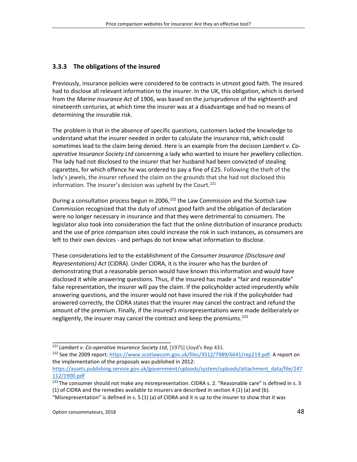#### **3.3.3 The obligations of the insured**

Previously, insurance policies were considered to be contracts in utmost good faith. The insured had to disclose all relevant information to the insurer. In the UK, this obligation, which is derived from the *Marine Insurance Act* of 1906, was based on the jurisprudence of the eighteenth and nineteenth centuries, at which time the insurer was at a disadvantage and had no means of determining the insurable risk.

The problem is that in the absence of specific questions, customers lacked the knowledge to understand what the insurer needed in order to calculate the insurance risk, which could sometimes lead to the claim being denied. Here is an example from the decision *Lambert v. Cooperative Insurance Society Ltd* concerning a lady who wanted to insure her jewellery collection. The lady had not disclosed to the insurer that her husband had been convicted of stealing cigarettes, for which offence he was ordered to pay a fine of £25. Following the theft of the lady's jewels, the insurer refused the claim on the grounds that she had not disclosed this information. The insurer's decision was upheld by the Court. [221](#page-47-0)

During a consultation process begun in 2006,<sup>[222](#page-47-1)</sup> the Law Commission and the Scottish Law Commission recognized that the duty of utmost good faith and the obligation of declaration were no longer necessary in insurance and that they were detrimental to consumers. The legislator also took into consideration the fact that the online distribution of insurance products and the use of price comparison sites could increase the risk in such instances, as consumers are left to their own devices - and perhaps do not know what information to disclose.

These considerations led to the establishment of the *Consumer Insurance (Disclosure and Representations) Act* (CIDRA). Under CIDRA, it is the insurer who has the burden of demonstrating that a reasonable person would have known this information and would have disclosed it while answering questions. Thus, if the insured has made a "fair and reasonable" false representation, the insurer will pay the claim. If the policyholder acted imprudently while answering questions, and the insurer would not have insured the risk if the policyholder had answered correctly, the CIDRA states that the insurer may cancel the contract and refund the amount of the premium. Finally, if the insured's misrepresentations were made deliberately or negligently, the insurer may cancel the contract and keep the premiums.<sup>[223](#page-47-2)</sup>

<span id="page-47-0"></span><sup>221</sup> *Lambert v. Co-operative Insurance Society Ltd*, [1975] Lloyd's Rep 431.

<span id="page-47-1"></span><sup>&</sup>lt;sup>222</sup> See the 2009 report: [https://www.scotlawcom.gov.uk/files/3512/7989/6641/rep219.pdf.](https://www.scotlawcom.gov.uk/files/3512/7989/6641/rep219.pdf) A report on the implementation of the proposals was published in 2012:

[https://assets.publishing.service.gov.uk/government/uploads/system/uploads/attachment\\_data/file/247](https://assets.publishing.service.gov.uk/government/uploads/system/uploads/attachment_data/file/247112/1900.pdf) [112/1900.pdf](https://assets.publishing.service.gov.uk/government/uploads/system/uploads/attachment_data/file/247112/1900.pdf)

<span id="page-47-2"></span><sup>&</sup>lt;sup>223</sup> The consumer should not make any misrepresentation. CIDRA s. 2. "Reasonable care" is defined in s. 3 (1) of CIDRA and the remedies available to insurers are described in section 4 (1) (a) and (b).

<sup>&</sup>quot;Misrepresentation" is defined in s.  $5(1)(a)$  of CIDRA and it is up to the insurer to show that it was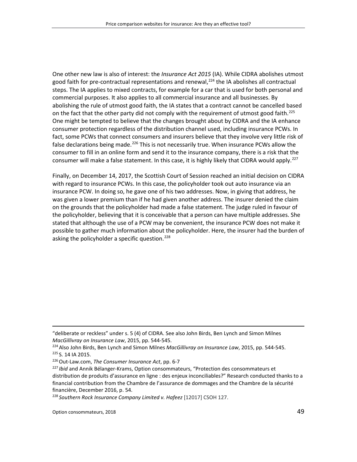One other new law is also of interest: the *Insurance Act 2015* (IA). While CIDRA abolishes utmost good faith for pre-contractual representations and renewal,<sup>[224](#page-48-0)</sup> the IA abolishes all contractual steps. The IA applies to mixed contracts, for example for a car that is used for both personal and commercial purposes. It also applies to all commercial insurance and all businesses. By abolishing the rule of utmost good faith, the IA states that a contract cannot be cancelled based on the fact that the other party did not comply with the requirement of utmost good faith.<sup>[225](#page-48-1)</sup> One might be tempted to believe that the changes brought about by CIDRA and the IA enhance consumer protection regardless of the distribution channel used, including insurance PCWs. In fact, some PCWs that connect consumers and insurers believe that they involve very little risk of false declarations being made.<sup>[226](#page-48-2)</sup> This is not necessarily true. When insurance PCWs allow the consumer to fill in an online form and send it to the insurance company, there is a risk that the consumer will make a false statement. In this case, it is highly likely that CIDRA would apply.<sup>[227](#page-48-3)</sup>

Finally, on December 14, 2017, the Scottish Court of Session reached an initial decision on CIDRA with regard to insurance PCWs. In this case, the policyholder took out auto insurance via an insurance PCW. In doing so, he gave one of his two addresses. Now, in giving that address, he was given a lower premium than if he had given another address. The insurer denied the claim on the grounds that the policyholder had made a false statement. The judge ruled in favour of the policyholder, believing that it is conceivable that a person can have multiple addresses. She stated that although the use of a PCW may be convenient, the insurance PCW does not make it possible to gather much information about the policyholder. Here, the insurer had the burden of asking the policyholder a specific question.<sup>[228](#page-48-4)</sup>

 $\overline{a}$ 

<sup>&</sup>quot;deliberate or reckless" under s. 5 (4) of CIDRA. See also John Birds, Ben Lynch and Simon Milnes *MacGillivray on Insurance Law*, 2015, pp. 544-545.

<span id="page-48-1"></span><span id="page-48-0"></span><sup>224</sup>Also John Birds, Ben Lynch and Simon Milnes *MacGillivray on Insurance Law*, 2015, pp. 544-545. <sup>225</sup> S. 14 IA 2015.

<span id="page-48-2"></span><sup>&</sup>lt;sup>226</sup> Out-Law.com, *The Consumer Insurance Act*, pp. 6-7

<span id="page-48-3"></span><sup>227</sup> *Ibid* and Annik Bélanger-Krams, Option consommateurs, "Protection des consommateurs et distribution de produits d'assurance en ligne : des enjeux inconciliables?" Research conducted thanks to a financial contribution from the Chambre de l'assurance de dommages and the Chambre de la sécurité financière, December 2016, p. 54.

<span id="page-48-4"></span><sup>228</sup> *Southern Rock Insurance Company Limited v. Hafeez* [12017] CSOH 127.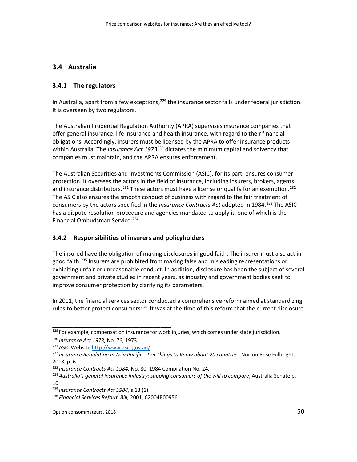# **3.4 Australia**

### **3.4.1 The regulators**

In Australia, apart from a few exceptions,<sup>[229](#page-49-0)</sup> the insurance sector falls under federal jurisdiction. It is overseen by two regulators.

The Australian Prudential Regulation Authority (APRA) supervises insurance companies that offer general insurance, life insurance and health insurance, with regard to their financial obligations. Accordingly, insurers must be licensed by the APRA to offer insurance products within Australia. The *Insurance Act 1973*<sup>[230](#page-49-1)</sup> dictates the minimum capital and solvency that companies must maintain, and the APRA ensures enforcement.

The Australian Securities and Investments Commission (ASIC), for its part, ensures consumer protection. It oversees the actors in the field of insurance, including insurers, brokers, agents and insurance distributors.<sup>[231](#page-49-2)</sup> These actors must have a license or qualify for an exemption.<sup>[232](#page-49-3)</sup> The ASIC also ensures the smooth conduct of business with regard to the fair treatment of consumers by the actors specified in the *Insurance Contracts Act* adopted in 1984. [233](#page-49-4) The ASIC has a dispute resolution procedure and agencies mandated to apply it, one of which is the Financial Ombudsman Service. [234](#page-49-5)

# **3.4.2 Responsibilities of insurers and policyholders**

The insured have the obligation of making disclosures in good faith. The insurer must also act in good faith. [235](#page-49-6) Insurers are prohibited from making false and misleading representations or exhibiting unfair or unreasonable conduct. In addition, disclosure has been the subject of several government and private studies in recent years, as industry and government bodies seek to improve consumer protection by clarifying its parameters.

In 2011, the financial services sector conducted a comprehensive reform aimed at standardizing rules to better protect consumers<sup>236</sup>. It was at the time of this reform that the current disclosure

<span id="page-49-0"></span><sup>&</sup>lt;sup>229</sup> For example, compensation insurance for work injuries, which comes under state jurisdiction. <sup>230</sup> *Insurance Act 1973*, No. 76, 1973.

<span id="page-49-2"></span><span id="page-49-1"></span><sup>231</sup> ASIC Website [http://www.asic.gov.au/.](http://www.asic.gov.au/)

<span id="page-49-3"></span><sup>232</sup> *Insurance Regulation in Asia Pacific - Ten Things to Know about 20 countries,* Norton Rose Fulbright, 2018, p. 6.

<span id="page-49-4"></span><sup>233</sup> *Insurance Contracts Act 1984,* No. 80, 1984 Compilation No. 24.

<span id="page-49-5"></span><sup>234</sup>*Australia's general insurance industry: sapping consumers of the will to compare*, Australia Senate p. 10.

<span id="page-49-6"></span><sup>235</sup> *Insurance Contracts Act 1984*, s.13 (1).

<span id="page-49-7"></span><sup>236</sup> *Financial Services Reform Bill,* 2001, C2004B00956.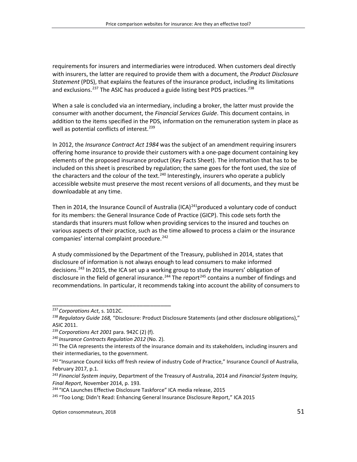requirements for insurers and intermediaries were introduced. When customers deal directly with insurers, the latter are required to provide them with a document, the *Product Disclosure Statement* (PDS), that explains the features of the insurance product, including its limitations and exclusions.<sup>[237](#page-50-0)</sup> The ASIC has produced a guide listing best PDS practices.<sup>[238](#page-50-1)</sup>

When a sale is concluded via an intermediary, including a broker, the latter must provide the consumer with another document, the *Financial Services Guide*. This document contains, in addition to the items specified in the PDS, information on the remuneration system in place as well as potential conflicts of interest.<sup>[239](#page-50-2)</sup>

In 2012, the *Insurance Contract Act 1984* was the subject of an amendment requiring insurers offering home insurance to provide their customers with a one-page document containing key elements of the proposed insurance product (Key Facts Sheet). The information that has to be included on this sheet is prescribed by regulation; the same goes for the font used, the size of the characters and the colour of the text.<sup>[240](#page-50-3)</sup> Interestingly, insurers who operate a publicly accessible website must preserve the most recent versions of all documents, and they must be downloadable at any time.

Then in 2014, the Insurance Council of Australia (ICA)<sup>241</sup>produced a voluntary code of conduct for its members: the General Insurance Code of Practice (GICP). This code sets forth the standards that insurers must follow when providing services to the insured and touches on various aspects of their practice, such as the time allowed to process a claim or the insurance companies' internal complaint procedure. [242](#page-50-5)

A study commissioned by the Department of the Treasury, published in 2014, states that disclosure of information is not always enough to lead consumers to make informed decisions.<sup>[243](#page-50-6)</sup> In 2015, the ICA set up a working group to study the insurers' obligation of disclosure in the field of general insurance.<sup>[244](#page-50-7)</sup> The report<sup>[245](#page-50-8)</sup> contains a number of findings and recommendations. In particular, it recommends taking into account the ability of consumers to

<span id="page-50-0"></span><sup>237</sup> *Corporations Act*, s. 1012C.

<span id="page-50-1"></span><sup>238</sup> *Regulatory Guide 168,* "Disclosure: Product Disclosure Statements (and other disclosure obligations)," ASIC 2011.

<span id="page-50-2"></span><sup>239</sup> *Corporations Act 2001* para. 942C (2) (f).

<span id="page-50-3"></span><sup>240</sup> *Insurance Contracts Regulation 2012* (No. 2).

<span id="page-50-4"></span><sup>&</sup>lt;sup>241</sup> The CIA represents the interests of the insurance domain and its stakeholders, including insurers and their intermediaries, to the government.

<span id="page-50-5"></span><sup>&</sup>lt;sup>242</sup> "Insurance Council kicks off fresh review of industry Code of Practice," Insurance Council of Australia, February 2017, p.1.

<span id="page-50-6"></span><sup>243</sup> *Financial System inquiry*, Department of the Treasury of Australia, 2014 and *Financial System Inquiry, Final Report*, November 2014, p. 193.

<span id="page-50-7"></span><sup>&</sup>lt;sup>244</sup> "ICA Launches Effective Disclosure Taskforce" ICA media release, 2015

<span id="page-50-8"></span><sup>&</sup>lt;sup>245</sup> "Too Long; Didn't Read: Enhancing General Insurance Disclosure Report," ICA 2015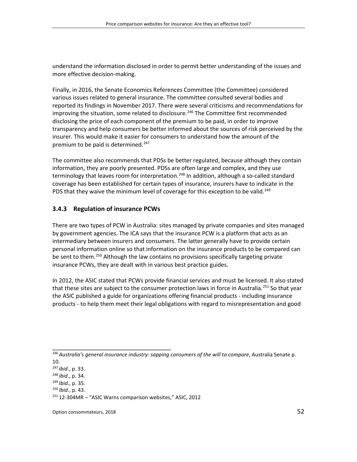understand the information disclosed in order to permit better understanding of the issues and more effective decision-making.

Finally, in 2016, the Senate Economics References Committee (the Committee) considered various issues related to general insurance. The committee consulted several bodies and reported its findings in November 2017. There were several criticisms and recommendations for improving the situation, some related to disclosure.<sup>[246](#page-51-0)</sup> The Committee first recommended disclosing the price of each component of the premium to be paid, in order to improve transparency and help consumers be better informed about the sources of risk perceived by the insurer. This would make it easier for consumers to understand how the amount of the premium to be paid is determined.<sup>[247](#page-51-1)</sup>

The committee also recommends that PDSs be better regulated, because although they contain information, they are poorly presented. PDSs are often large and complex, and they use terminology that leaves room for interpretation.<sup>[248](#page-51-2)</sup> In addition, although a so-called standard coverage has been established for certain types of insurance, insurers have to indicate in the PDS that they waive the minimum level of coverage for this exception to be valid.<sup>[249](#page-51-3)</sup>

# **3.4.3 Regulation of insurance PCWs**

There are two types of PCW in Australia: sites managed by private companies and sites managed by government agencies. The ICA says that the insurance PCW is a platform that acts as an intermediary between insurers and consumers. The latter generally have to provide certain personal information online so that information on the insurance products to be compared can be sent to them.<sup>[250](#page-51-4)</sup> Although the law contains no provisions specifically targeting private insurance PCWs, they are dealt with in various best practice guides.

In 2012, the ASIC stated that PCWs provide financial services and must be licensed. It also stated that these sites are subject to the consumer protection laws in force in Australia.<sup>[251](#page-51-5)</sup> So that year the ASIC published a guide for organizations offering financial products - including insurance products - to help them meet their legal obligations with regard to misrepresentation and good

<span id="page-51-0"></span><sup>246</sup>*Australia's general insurance industry: sapping consumers of the will to compare*, Australia Senate p.

<sup>10.</sup>

<span id="page-51-1"></span><sup>247</sup> *ibid*., p. 33. <sup>248</sup> *ibid*., p. 34.

<span id="page-51-3"></span><span id="page-51-2"></span><sup>249</sup> *Ibid*., p. 35.

<span id="page-51-4"></span><sup>250</sup> *Ibid*., p. 43.

<span id="page-51-5"></span> $251$  12-304MR – "ASIC Warns comparison websites," ASIC, 2012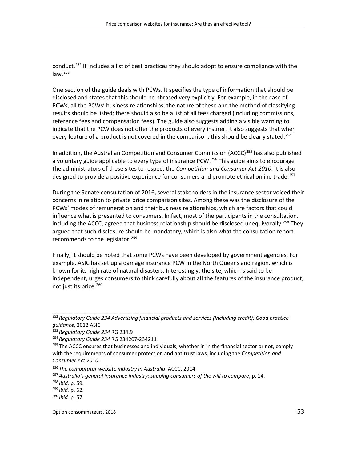conduct.<sup>[252](#page-52-0)</sup> It includes a list of best practices they should adopt to ensure compliance with the law. $^{253}$  $^{253}$  $^{253}$ 

One section of the guide deals with PCWs. It specifies the type of information that should be disclosed and states that this should be phrased very explicitly. For example, in the case of PCWs, all the PCWs' business relationships, the nature of these and the method of classifying results should be listed; there should also be a list of all fees charged (including commissions, reference fees and compensation fees). The guide also suggests adding a visible warning to indicate that the PCW does not offer the products of every insurer. It also suggests that when every feature of a product is not covered in the comparison, this should be clearly stated.<sup>[254](#page-52-2)</sup>

In addition, the Australian Competition and Consumer Commission (ACCC)<sup>[255](#page-52-3)</sup> has also published a voluntary guide applicable to every type of insurance PCW.<sup>[256](#page-52-4)</sup> This guide aims to encourage the administrators of these sites to respect the *Competition and Consumer Act 2010*. It is also designed to provide a positive experience for consumers and promote ethical online trade.<sup>[257](#page-52-5)</sup>

During the Senate consultation of 2016, several stakeholders in the insurance sector voiced their concerns in relation to private price comparison sites. Among these was the disclosure of the PCWs' modes of remuneration and their business relationships, which are factors that could influence what is presented to consumers. In fact, most of the participants in the consultation, including the ACCC, agreed that business relationship should be disclosed unequivocally.<sup>[258](#page-52-6)</sup> They argued that such disclosure should be mandatory, which is also what the consultation report recommends to the legislator.<sup>[259](#page-52-7)</sup>

Finally, it should be noted that some PCWs have been developed by government agencies. For example, ASIC has set up a damage insurance PCW in the North Queensland region, which is known for its high rate of natural disasters. Interestingly, the site, which is said to be independent, urges consumers to think carefully about all the features of the insurance product, not just its price. [260](#page-52-8)

<span id="page-52-0"></span><sup>252</sup> *Regulatory Guide 234 Advertising financial products and services (Including credit): Good practice guidance*, 2012 ASIC

<span id="page-52-1"></span><sup>253</sup> *Regulatory Guide 234* RG 234.9

<span id="page-52-2"></span><sup>254</sup> *Regulatory Guide 234* RG 234207-234211

<span id="page-52-3"></span><sup>&</sup>lt;sup>255</sup> The ACCC ensures that businesses and individuals, whether in in the financial sector or not, comply with the requirements of consumer protection and antitrust laws, including the *Competition and Consumer Act 2010*.

<span id="page-52-4"></span><sup>256</sup> *The comparator website industry in Australia*, ACCC, 2014

<span id="page-52-5"></span><sup>257</sup>*Australia's general insurance industry: sapping consumers of the will to compare*, p. 14.

<span id="page-52-6"></span><sup>258</sup> *Ibid.* p. 59.

<span id="page-52-7"></span><sup>259</sup> *Ibid.* p. 62.

<span id="page-52-8"></span><sup>260</sup> *Ibid.* p. 57.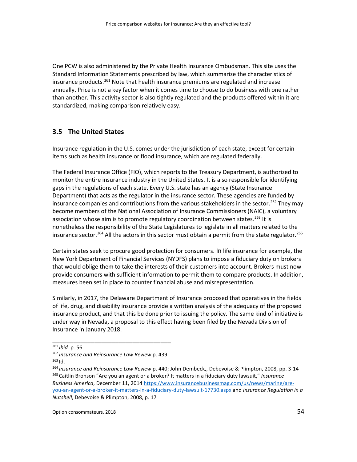One PCW is also administered by the Private Health Insurance Ombudsman. This site uses the Standard Information Statements prescribed by law, which summarize the characteristics of insurance products.<sup>[261](#page-53-0)</sup> Note that health insurance premiums are regulated and increase annually. Price is not a key factor when it comes time to choose to do business with one rather than another. This activity sector is also tightly regulated and the products offered within it are standardized, making comparison relatively easy.

## **3.5 The United States**

Insurance regulation in the U.S. comes under the jurisdiction of each state, except for certain items such as health insurance or flood insurance, which are regulated federally.

The Federal Insurance Office (FIO), which reports to the Treasury Department, is authorized to monitor the entire insurance industry in the United States. It is also responsible for identifying gaps in the regulations of each state. Every U.S. state has an agency (State Insurance Department) that acts as the regulator in the insurance sector. These agencies are funded by insurance companies and contributions from the various stakeholders in the sector.<sup>[262](#page-53-1)</sup> They may become members of the National Association of Insurance Commissioners (NAIC), a voluntary association whose aim is to promote regulatory coordination between states.<sup>[263](#page-53-2)</sup> It is nonetheless the responsibility of the State Legislatures to legislate in all matters related to the insurance sector.<sup>[264](#page-53-3)</sup> All the actors in this sector must obtain a permit from the state regulator.<sup>[265](#page-53-4)</sup>

Certain states seek to procure good protection for consumers. In life insurance for example, the New York Department of Financial Services (NYDFS) plans to impose a fiduciary duty on brokers that would oblige them to take the interests of their customers into account. Brokers must now provide consumers with sufficient information to permit them to compare products. In addition, measures been set in place to counter financial abuse and misrepresentation.

Similarly, in 2017, the Delaware Department of Insurance proposed that operatives in the fields of life, drug, and disability insurance provide a written analysis of the adequacy of the proposed insurance product, and that this be done prior to issuing the policy. The same kind of initiative is under way in Nevada, a proposal to this effect having been filed by the Nevada Division of Insurance in January 2018.

<span id="page-53-0"></span><sup>261</sup> *Ibid.* p. 56.

<span id="page-53-1"></span><sup>262</sup> *Insurance and Reinsurance Law Review* p. 439

<span id="page-53-2"></span><sup>263</sup> Id.

<span id="page-53-4"></span><span id="page-53-3"></span><sup>264</sup> *Insurance and Reinsurance Law Review* p. 440; John Dembeck,, Debevoise & Plimpton, 2008, pp. 3-14 <sup>265</sup> Caitlin Bronson "Are you an agent or a broker? It matters in a fiduciary duty lawsuit," *Insurance Business America*, December 11, 2014 [https://www.insurancebusinessmag.com/us/news/marine/are](https://www.insurancebusinessmag.com/us/news/marine/are-you-an-agent-or-a-broker-it-matters-in-a-fiduciary-duty-lawsuit-17730.aspx)[you-an-agent-or-a-broker-it-matters-in-a-fiduciary-duty-lawsuit-17730.aspx](https://www.insurancebusinessmag.com/us/news/marine/are-you-an-agent-or-a-broker-it-matters-in-a-fiduciary-duty-lawsuit-17730.aspx) and *Insurance Regulation in a Nutshell*, Debevoise & Plimpton, 2008, p. 17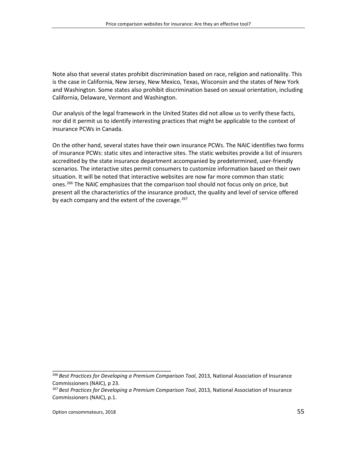Note also that several states prohibit discrimination based on race, religion and nationality. This is the case in California, New Jersey, New Mexico, Texas, Wisconsin and the states of New York and Washington. Some states also prohibit discrimination based on sexual orientation, including California, Delaware, Vermont and Washington.

Our analysis of the legal framework in the United States did not allow us to verify these facts, nor did it permit us to identify interesting practices that might be applicable to the context of insurance PCWs in Canada.

On the other hand, several states have their own insurance PCWs. The NAIC identifies two forms of insurance PCWs: static sites and interactive sites. The static websites provide a list of insurers accredited by the state insurance department accompanied by predetermined, user-friendly scenarios. The interactive sites permit consumers to customize information based on their own situation. It will be noted that interactive websites are now far more common than static ones.<sup>[266](#page-54-0)</sup> The NAIC emphasizes that the comparison tool should not focus only on price, but present all the characteristics of the insurance product, the quality and level of service offered by each company and the extent of the coverage.<sup>[267](#page-54-1)</sup>

<span id="page-54-0"></span><sup>266</sup> *Best Practices for Developing a Premium Comparison Tool*, 2013, National Association of Insurance Commissioners (NAIC), p 23.

<span id="page-54-1"></span><sup>267</sup> *Best Practices for Developing a Premium Comparison Tool*, 2013, National Association of Insurance Commissioners (NAIC), p.1.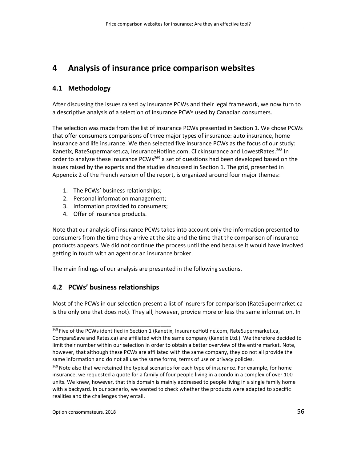# **4 Analysis of insurance price comparison websites**

# **4.1 Methodology**

After discussing the issues raised by insurance PCWs and their legal framework, we now turn to a descriptive analysis of a selection of insurance PCWs used by Canadian consumers.

The selection was made from the list of insurance PCWs presented in Section 1. We chose PCWs that offer consumers comparisons of three major types of insurance: auto insurance, home insurance and life insurance. We then selected five insurance PCWs as the focus of our study: Kanetix, RateSupermarket.ca, InsuranceHotline.com, ClickInsurance and LowestRates.<sup>[268](#page-55-0)</sup> In order to analyze these insurance PCWs<sup>[269](#page-55-1)</sup> a set of questions had been developed based on the issues raised by the experts and the studies discussed in Section 1. The grid, presented in Appendix 2 of the French version of the report, is organized around four major themes:

- 1. The PCWs' business relationships;
- 2. Personal information management;
- 3. Information provided to consumers;
- 4. Offer of insurance products.

Note that our analysis of insurance PCWs takes into account only the information presented to consumers from the time they arrive at the site and the time that the comparison of insurance products appears. We did not continue the process until the end because it would have involved getting in touch with an agent or an insurance broker.

The main findings of our analysis are presented in the following sections.

# **4.2 PCWs' business relationships**

\_\_\_\_\_\_\_\_\_\_\_\_\_\_\_\_\_\_\_\_\_\_\_\_\_\_\_\_\_\_\_\_\_\_

Most of the PCWs in our selection present a list of insurers for comparison (RateSupermarket.ca is the only one that does not). They all, however, provide more or less the same information. In

<span id="page-55-0"></span><sup>&</sup>lt;sup>268</sup> Five of the PCWs identified in Section 1 (Kanetix, InsuranceHotline.com, RateSupermarket.ca, ComparaSave and Rates.ca) are affiliated with the same company (Kanetix Ltd.). We therefore decided to limit their number within our selection in order to obtain a better overview of the entire market. Note, however, that although these PCWs are affiliated with the same company, they do not all provide the same information and do not all use the same forms, terms of use or privacy policies.

<span id="page-55-1"></span><sup>&</sup>lt;sup>269</sup> Note also that we retained the typical scenarios for each type of insurance. For example, for home insurance, we requested a quote for a family of four people living in a condo in a complex of over 100 units. We knew, however, that this domain is mainly addressed to people living in a single family home with a backyard. In our scenario, we wanted to check whether the products were adapted to specific realities and the challenges they entail.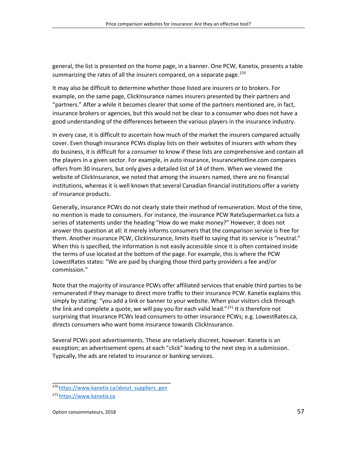general, the list is presented on the home page, in a banner. One PCW, Kanetix, presents a table summarizing the rates of all the insurers compared, on a separate page. $270$ 

It may also be difficult to determine whether those listed are insurers or to brokers. For example, on the same page, ClickInsurance names insurers presented by their partners and "partners." After a while it becomes clearer that some of the partners mentioned are, in fact, insurance brokers or agencies, but this would not be clear to a consumer who does not have a good understanding of the differences between the various players in the insurance industry.

In every case, it is difficult to ascertain how much of the market the insurers compared actually cover. Even though insurance PCWs display lists on their websites of insurers with whom they do business, it is difficult for a consumer to know if these lists are comprehensive and contain all the players in a given sector. For example, in auto insurance, InsuranceHotline.com compares offers from 30 insurers, but only gives a detailed list of 14 of them. When we viewed the website of ClickInsurance, we noted that among the insurers named, there are no financial institutions, whereas it is well known that several Canadian financial institutions offer a variety of insurance products.

Generally, insurance PCWs do not clearly state their method of remuneration. Most of the time, no mention is made to consumers. For instance, the insurance PCW RateSupermarket.ca lists a series of statements under the heading "How do we make money?" However, it does not answer this question at all: it merely informs consumers that the comparison service is free for them. Another insurance PCW, ClickInsurance, limits itself to saying that its service is "neutral." When this is specified, the information is not easily accessible since it is often contained inside the terms of use located at the bottom of the page. For example, this is where the PCW LowestRates states: "We are paid by charging those third party providers a fee and/or commission."

Note that the majority of insurance PCWs offer affiliated services that enable third parties to be remunerated if they manage to direct more traffic to their insurance PCW. Kanetix explains this simply by stating: "you add a link or banner to your website. When your visitors click through the link and complete a quote, we will pay you for each valid lead." $^{271}$  $^{271}$  $^{271}$  It is therefore not surprising that insurance PCWs lead consumers to other insurance PCWs; e.g. LowestRates.ca, directs consumers who want home insurance towards ClickInsurance.

Several PCWs post advertisements. These are relatively discreet, however. Kanetix is an exception; an advertisement opens at each "click" leading to the next step in a submission. Typically, the ads are related to insurance or banking services.

<span id="page-56-0"></span>\_\_\_\_\_\_\_\_\_\_\_\_\_\_\_\_\_\_\_\_\_\_\_\_\_\_\_\_\_\_\_\_\_\_ 270 [https://www.kanetix.ca/about\\_suppliers\\_gen](https://www.kanetix.ca/about_suppliers_gen)

<span id="page-56-1"></span><sup>271</sup> [https://www.kanetix.ca](https://www.kanetix.ca/)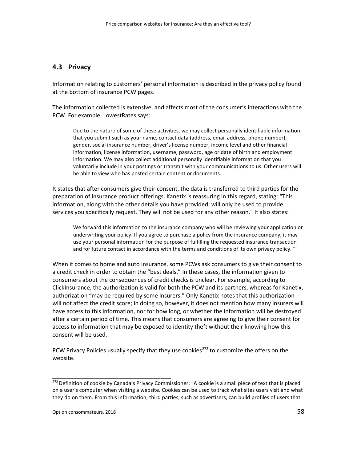## **4.3 Privacy**

Information relating to customers' personal information is described in the privacy policy found at the bottom of insurance PCW pages.

The information collected is extensive, and affects most of the consumer's interactions with the PCW. For example, LowestRates says:

Due to the nature of some of these activities, we may collect personally identifiable information that you submit such as your name, contact data (address, email address, phone number), gender, social insurance number, driver's license number, income level and other financial information, license information, username, password, age or date of birth and employment information. We may also collect additional personally identifiable information that you voluntarily include in your postings or transmit with your communications to us. Other users will be able to view who has posted certain content or documents.

It states that after consumers give their consent, the data is transferred to third parties for the preparation of insurance product offerings. Kanetix is reassuring in this regard, stating: "This information, along with the other details you have provided, will only be used to provide services you specifically request. They will not be used for any other reason." It also states:

We forward this information to the insurance company who will be reviewing your application or underwriting your policy. If you agree to purchase a policy from the insurance company, it may use your personal information for the purpose of fulfilling the requested insurance transaction and for future contact in accordance with the terms and conditions of its own privacy policy. "

When it comes to home and auto insurance, some PCWs ask consumers to give their consent to a credit check in order to obtain the "best deals." In these cases, the information given to consumers about the consequences of credit checks is unclear. For example, according to ClickInsurance, the authorization is valid for both the PCW and its partners, whereas for Kanetix, authorization "may be required by some insurers." Only Kanetix notes that this authorization will not affect the credit score; in doing so, however, it does not mention how many insurers will have access to this information, nor for how long, or whether the information will be destroyed after a certain period of time. This means that consumers are agreeing to give their consent for access to information that may be exposed to identity theft without their knowing how this consent will be used.

PCW Privacy Policies usually specify that they use cookies<sup>[272](#page-57-0)</sup> to customize the offers on the website.

<span id="page-57-0"></span><sup>&</sup>lt;sup>272</sup> Definition of cookie by Canada's Privacy Commissioner: "A cookie is a small piece of text that is placed on a user's computer when visiting a website. Cookies can be used to track what sites users visit and what they do on them. From this information, third parties, such as advertisers, can build profiles of users that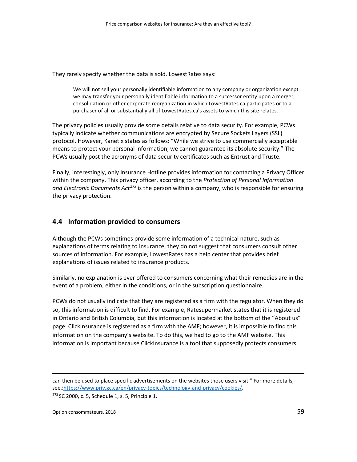They rarely specify whether the data is sold. LowestRates says:

We will not sell your personally identifiable information to any company or organization except we may transfer your personally identifiable information to a successor entity upon a merger, consolidation or other corporate reorganization in which LowestRates.ca participates or to a purchaser of all or substantially all of LowestRates.ca's assets to which this site relates.

The privacy policies usually provide some details relative to data security. For example, PCWs typically indicate whether communications are encrypted by Secure Sockets Layers (SSL) protocol. However, Kanetix states as follows: "While we strive to use commercially acceptable means to protect your personal information, we cannot guarantee its absolute security." The PCWs usually post the acronyms of data security certificates such as Entrust and Truste.

Finally, interestingly, only Insurance Hotline provides information for contacting a Privacy Officer within the company. This privacy officer, according to the *Protection of Personal Information and Electronic Documents Act[273](#page-58-0)* is the person within a company, who is responsible for ensuring the privacy protection.

### **4.4 Information provided to consumers**

Although the PCWs sometimes provide some information of a technical nature, such as explanations of terms relating to insurance, they do not suggest that consumers consult other sources of information. For example, LowestRates has a help center that provides brief explanations of issues related to insurance products.

Similarly, no explanation is ever offered to consumers concerning what their remedies are in the event of a problem, either in the conditions, or in the subscription questionnaire.

PCWs do not usually indicate that they are registered as a firm with the regulator. When they do so, this information is difficult to find. For example, Ratesupermarket states that it is registered in Ontario and British Columbia, but this information is located at the bottom of the "About us" page. ClickInsurance is registered as a firm with the AMF; however, it is impossible to find this information on the company's website. To do this, we had to go to the AMF website. This information is important because ClickInsurance is a tool that supposedly protects consumers.

<span id="page-58-0"></span> $273$  SC 2000, c. 5, Schedule 1, s. 5, Principle 1.

 $\overline{a}$ 

can then be used to place specific advertisements on the websites those users visit." For more details, see.[:https://www.priv.gc.ca/en/privacy-topics/technology-and-privacy/cookies/.](https://www.priv.gc.ca/en/privacy-topics/technology-and-privacy/cookies/)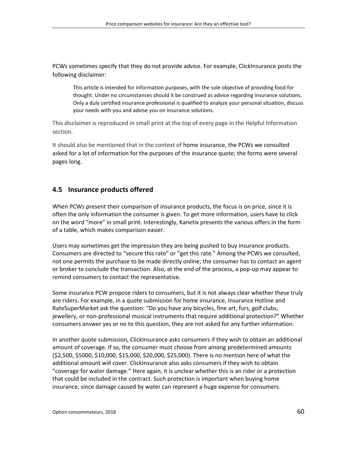PCWs sometimes specify that they do not provide advice. For example, ClickInsurance posts the following disclaimer:

This article is intended for information purposes, with the sole objective of providing food for thought. Under no circumstances should it be construed as advice regarding insurance solutions. Only a duly certified insurance professional is qualified to analyze your personal situation, discuss your needs with you and advise you on insurance solutions.

This disclaimer is reproduced in small print at the top of every page in the Helpful Information section.

It should also be mentioned that in the context of home insurance, the PCWs we consulted asked for a lot of information for the purposes of the insurance quote; the forms were several pages long.

### **4.5 Insurance products offered**

When PCWs present their comparison of insurance products, the focus is on price, since it is often the only information the consumer is given. To get more information, users have to click on the word "more" in small print. Interestingly, Kanetix presents the various offers in the form of a table, which makes comparison easier.

Users may sometimes get the impression they are being pushed to buy insurance products. Consumers are directed to "secure this rate" or "get this rate." Among the PCWs we consulted, not one permits the purchase to be made directly online; the consumer has to contact an agent or broker to conclude the transaction. Also, at the end of the process, a pop-up may appear to remind consumers to contact the representative.

Some insurance PCW propose riders to consumers, but it is not always clear whether these truly are riders. For example, in a quote submission for home insurance, Insurance Hotline and RateSuperMarket ask the question: "Do you have any bicycles, fine art, furs, golf clubs, jewellery, or non-professional musical instruments that require additional protection?" Whether consumers answer yes or no to this question, they are not asked for any further information.

In another quote submission, ClickInsurance asks consumers if they wish to obtain an additional amount of coverage. If so, the consumer must choose from among predetermined amounts (\$2,500, \$5000, \$10,000, \$15,000, \$20,000, \$25,000). There is no mention here of what the additional amount will cover. ClickInsurance also asks consumers if they wish to obtain "coverage for water damage." Here again, it is unclear whether this is an rider or a protection that could be included in the contract. Such protection is important when buying home insurance, since damage caused by water can represent a huge expense for consumers.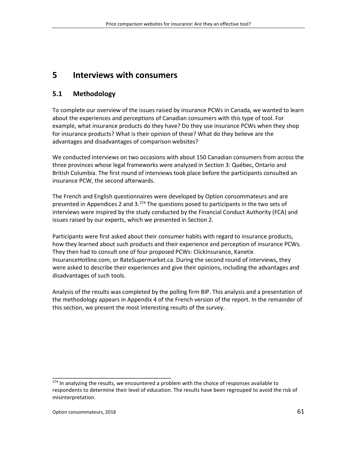# **5 Interviews with consumers**

# **5.1 Methodology**

To complete our overview of the issues raised by insurance PCWs in Canada, we wanted to learn about the experiences and perceptions of Canadian consumers with this type of tool. For example, what insurance products do they have? Do they use insurance PCWs when they shop for insurance products? What is their opinion of these? What do they believe are the advantages and disadvantages of comparison websites?

We conducted interviews on two occasions with about 150 Canadian consumers from across the three provinces whose legal frameworks were analyzed in Section 3: Québec, Ontario and British Columbia. The first round of interviews took place before the participants consulted an insurance PCW, the second afterwards.

The French and English questionnaires were developed by Option consommateurs and are presented in Appendices 2 and 3.<sup>[274](#page-60-0)</sup> The questions posed to participants in the two sets of interviews were inspired by the study conducted by the Financial Conduct Authority (FCA) and issues raised by our experts, which we presented in Section 2.

Participants were first asked about their consumer habits with regard to insurance products, how they learned about such products and their experience and perception of insurance PCWs. They then had to consult one of four proposed PCWs: ClickInsurance, Kanetix InsuranceHotline.com, or RateSupermarket.ca. During the second round of interviews, they were asked to describe their experiences and give their opinions, including the advantages and disadvantages of such tools.

Analysis of the results was completed by the polling firm BIP. This analysis and a presentation of the methodology appears in Appendix 4 of the French version of the report. In the remainder of this section, we present the most interesting results of the survey.

<span id="page-60-0"></span> $274$  In analyzing the results, we encountered a problem with the choice of responses available to respondents to determine their level of education. The results have been regrouped to avoid the risk of misinterpretation.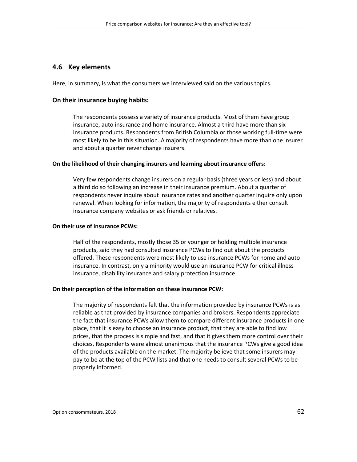#### **4.6 Key elements**

Here, in summary, is what the consumers we interviewed said on the various topics.

#### **On their insurance buying habits:**

The respondents possess a variety of insurance products. Most of them have group insurance, auto insurance and home insurance. Almost a third have more than six insurance products. Respondents from British Columbia or those working full-time were most likely to be in this situation. A majority of respondents have more than one insurer and about a quarter never change insurers.

#### **On the likelihood of their changing insurers and learning about insurance offers:**

Very few respondents change insurers on a regular basis (three years or less) and about a third do so following an increase in their insurance premium. About a quarter of respondents never inquire about insurance rates and another quarter inquire only upon renewal. When looking for information, the majority of respondents either consult insurance company websites or ask friends or relatives.

#### **On their use of insurance PCWs:**

Half of the respondents, mostly those 35 or younger or holding multiple insurance products, said they had consulted insurance PCWs to find out about the products offered. These respondents were most likely to use insurance PCWs for home and auto insurance. In contrast, only a minority would use an insurance PCW for critical illness insurance, disability insurance and salary protection insurance.

#### **On their perception of the information on these insurance PCW:**

The majority of respondents felt that the information provided by insurance PCWs is as reliable as that provided by insurance companies and brokers. Respondents appreciate the fact that insurance PCWs allow them to compare different insurance products in one place, that it is easy to choose an insurance product, that they are able to find low prices, that the process is simple and fast, and that it gives them more control over their choices. Respondents were almost unanimous that the insurance PCWs give a good idea of the products available on the market. The majority believe that some insurers may pay to be at the top of the PCW lists and that one needs to consult several PCWs to be properly informed.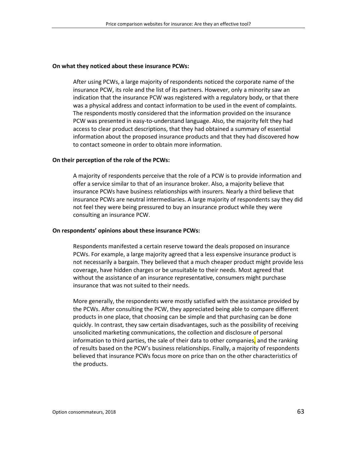#### **On what they noticed about these insurance PCWs:**

After using PCWs, a large majority of respondents noticed the corporate name of the insurance PCW, its role and the list of its partners. However, only a minority saw an indication that the insurance PCW was registered with a regulatory body, or that there was a physical address and contact information to be used in the event of complaints. The respondents mostly considered that the information provided on the insurance PCW was presented in easy-to-understand language. Also, the majority felt they had access to clear product descriptions, that they had obtained a summary of essential information about the proposed insurance products and that they had discovered how to contact someone in order to obtain more information.

#### **On their perception of the role of the PCWs:**

A majority of respondents perceive that the role of a PCW is to provide information and offer a service similar to that of an insurance broker. Also, a majority believe that insurance PCWs have business relationships with insurers. Nearly a third believe that insurance PCWs are neutral intermediaries. A large majority of respondents say they did not feel they were being pressured to buy an insurance product while they were consulting an insurance PCW.

#### **On respondents' opinions about these insurance PCWs:**

Respondents manifested a certain reserve toward the deals proposed on insurance PCWs. For example, a large majority agreed that a less expensive insurance product is not necessarily a bargain. They believed that a much cheaper product might provide less coverage, have hidden charges or be unsuitable to their needs. Most agreed that without the assistance of an insurance representative, consumers might purchase insurance that was not suited to their needs.

More generally, the respondents were mostly satisfied with the assistance provided by the PCWs. After consulting the PCW, they appreciated being able to compare different products in one place, that choosing can be simple and that purchasing can be done quickly. In contrast, they saw certain disadvantages, such as the possibility of receiving unsolicited marketing communications, the collection and disclosure of personal information to third parties, the sale of their data to other companies, and the ranking of results based on the PCW's business relationships. Finally, a majority of respondents believed that insurance PCWs focus more on price than on the other characteristics of the products.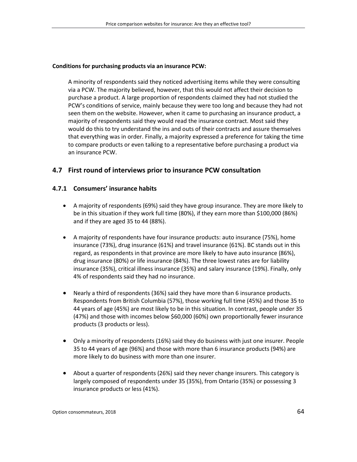#### **Conditions for purchasing products via an insurance PCW:**

A minority of respondents said they noticed advertising items while they were consulting via a PCW. The majority believed, however, that this would not affect their decision to purchase a product. A large proportion of respondents claimed they had not studied the PCW's conditions of service, mainly because they were too long and because they had not seen them on the website. However, when it came to purchasing an insurance product, a majority of respondents said they would read the insurance contract. Most said they would do this to try understand the ins and outs of their contracts and assure themselves that everything was in order. Finally, a majority expressed a preference for taking the time to compare products or even talking to a representative before purchasing a product via an insurance PCW.

### **4.7 First round of interviews prior to insurance PCW consultation**

#### **4.7.1 Consumers' insurance habits**

- A majority of respondents (69%) said they have group insurance. They are more likely to be in this situation if they work full time (80%), if they earn more than \$100,000 (86%) and if they are aged 35 to 44 (88%).
- A majority of respondents have four insurance products: auto insurance (75%), home insurance (73%), drug insurance (61%) and travel insurance (61%). BC stands out in this regard, as respondents in that province are more likely to have auto insurance (86%), drug insurance (80%) or life insurance (84%). The three lowest rates are for liability insurance (35%), critical illness insurance (35%) and salary insurance (19%). Finally, only 4% of respondents said they had no insurance.
- Nearly a third of respondents (36%) said they have more than 6 insurance products. Respondents from British Columbia (57%), those working full time (45%) and those 35 to 44 years of age (45%) are most likely to be in this situation. In contrast, people under 35 (47%) and those with incomes below \$60,000 (60%) own proportionally fewer insurance products (3 products or less).
- Only a minority of respondents (16%) said they do business with just one insurer. People 35 to 44 years of age (96%) and those with more than 6 insurance products (94%) are more likely to do business with more than one insurer.
- About a quarter of respondents (26%) said they never change insurers. This category is largely composed of respondents under 35 (35%), from Ontario (35%) or possessing 3 insurance products or less (41%).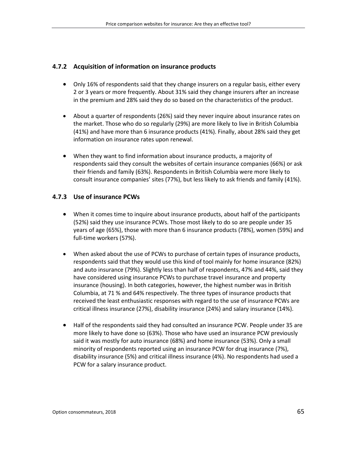#### **4.7.2 Acquisition of information on insurance products**

- Only 16% of respondents said that they change insurers on a regular basis, either every 2 or 3 years or more frequently. About 31% said they change insurers after an increase in the premium and 28% said they do so based on the characteristics of the product.
- About a quarter of respondents (26%) said they never inquire about insurance rates on the market. Those who do so regularly (29%) are more likely to live in British Columbia (41%) and have more than 6 insurance products (41%). Finally, about 28% said they get information on insurance rates upon renewal.
- When they want to find information about insurance products, a majority of respondents said they consult the websites of certain insurance companies (66%) or ask their friends and family (63%). Respondents in British Columbia were more likely to consult insurance companies' sites (77%), but less likely to ask friends and family (41%).

#### **4.7.3 Use of insurance PCWs**

- When it comes time to inquire about insurance products, about half of the participants (52%) said they use insurance PCWs. Those most likely to do so are people under 35 years of age (65%), those with more than 6 insurance products (78%), women (59%) and full-time workers (57%).
- When asked about the use of PCWs to purchase of certain types of insurance products, respondents said that they would use this kind of tool mainly for home insurance (82%) and auto insurance (79%). Slightly less than half of respondents, 47% and 44%, said they have considered using insurance PCWs to purchase travel insurance and property insurance (housing). In both categories, however, the highest number was in British Columbia, at 71 % and 64% respectively. The three types of insurance products that received the least enthusiastic responses with regard to the use of insurance PCWs are critical illness insurance (27%), disability insurance (24%) and salary insurance (14%).
- Half of the respondents said they had consulted an insurance PCW. People under 35 are more likely to have done so (63%). Those who have used an insurance PCW previously said it was mostly for auto insurance (68%) and home insurance (53%). Only a small minority of respondents reported using an insurance PCW for drug insurance (7%), disability insurance (5%) and critical illness insurance (4%). No respondents had used a PCW for a salary insurance product.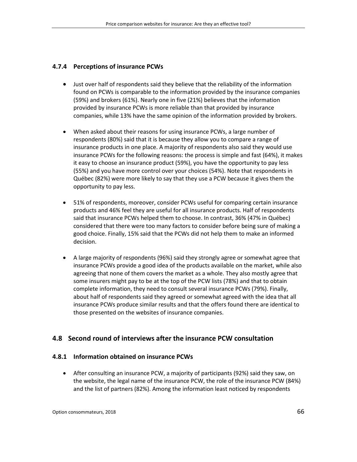### **4.7.4 Perceptions of insurance PCWs**

- Just over half of respondents said they believe that the reliability of the information found on PCWs is comparable to the information provided by the insurance companies (59%) and brokers (61%). Nearly one in five (21%) believes that the information provided by insurance PCWs is more reliable than that provided by insurance companies, while 13% have the same opinion of the information provided by brokers.
- When asked about their reasons for using insurance PCWs, a large number of respondents (80%) said that it is because they allow you to compare a range of insurance products in one place. A majority of respondents also said they would use insurance PCWs for the following reasons: the process is simple and fast (64%), it makes it easy to choose an insurance product (59%), you have the opportunity to pay less (55%) and you have more control over your choices (54%). Note that respondents in Québec (82%) were more likely to say that they use a PCW because it gives them the opportunity to pay less.
- 51% of respondents, moreover, consider PCWs useful for comparing certain insurance products and 46% feel they are useful for all insurance products. Half of respondents said that insurance PCWs helped them to choose. In contrast, 36% (47% in Québec) considered that there were too many factors to consider before being sure of making a good choice. Finally, 15% said that the PCWs did not help them to make an informed decision.
- A large majority of respondents (96%) said they strongly agree or somewhat agree that insurance PCWs provide a good idea of the products available on the market, while also agreeing that none of them covers the market as a whole. They also mostly agree that some insurers might pay to be at the top of the PCW lists (78%) and that to obtain complete information, they need to consult several insurance PCWs (79%). Finally, about half of respondents said they agreed or somewhat agreed with the idea that all insurance PCWs produce similar results and that the offers found there are identical to those presented on the websites of insurance companies.

# **4.8 Second round of interviews after the insurance PCW consultation**

### **4.8.1 Information obtained on insurance PCWs**

• After consulting an insurance PCW, a majority of participants (92%) said they saw, on the website, the legal name of the insurance PCW, the role of the insurance PCW (84%) and the list of partners (82%). Among the information least noticed by respondents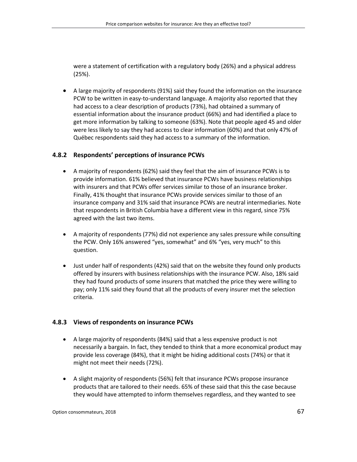were a statement of certification with a regulatory body (26%) and a physical address (25%).

• A large majority of respondents (91%) said they found the information on the insurance PCW to be written in easy-to-understand language. A majority also reported that they had access to a clear description of products (73%), had obtained a summary of essential information about the insurance product (66%) and had identified a place to get more information by talking to someone (63%). Note that people aged 45 and older were less likely to say they had access to clear information (60%) and that only 47% of Québec respondents said they had access to a summary of the information.

### **4.8.2 Respondents' perceptions of insurance PCWs**

- A majority of respondents (62%) said they feel that the aim of insurance PCWs is to provide information. 61% believed that insurance PCWs have business relationships with insurers and that PCWs offer services similar to those of an insurance broker. Finally, 41% thought that insurance PCWs provide services similar to those of an insurance company and 31% said that insurance PCWs are neutral intermediaries. Note that respondents in British Columbia have a different view in this regard, since 75% agreed with the last two items.
- A majority of respondents (77%) did not experience any sales pressure while consulting the PCW. Only 16% answered "yes, somewhat" and 6% "yes, very much" to this question.
- Just under half of respondents (42%) said that on the website they found only products offered by insurers with business relationships with the insurance PCW. Also, 18% said they had found products of some insurers that matched the price they were willing to pay; only 11% said they found that all the products of every insurer met the selection criteria.

# **4.8.3 Views of respondents on insurance PCWs**

- A large majority of respondents (84%) said that a less expensive product is not necessarily a bargain. In fact, they tended to think that a more economical product may provide less coverage (84%), that it might be hiding additional costs (74%) or that it might not meet their needs (72%).
- A slight majority of respondents (56%) felt that insurance PCWs propose insurance products that are tailored to their needs. 65% of these said that this the case because they would have attempted to inform themselves regardless, and they wanted to see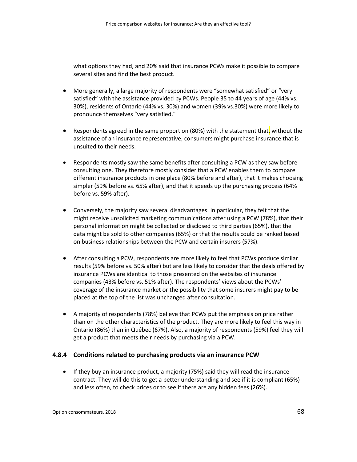what options they had, and 20% said that insurance PCWs make it possible to compare several sites and find the best product.

- More generally, a large majority of respondents were "somewhat satisfied" or "very satisfied" with the assistance provided by PCWs. People 35 to 44 years of age (44% vs. 30%), residents of Ontario (44% vs. 30%) and women (39% vs.30%) were more likely to pronounce themselves "very satisfied."
- Respondents agreed in the same proportion (80%) with the statement that, without the assistance of an insurance representative, consumers might purchase insurance that is unsuited to their needs.
- Respondents mostly saw the same benefits after consulting a PCW as they saw before consulting one. They therefore mostly consider that a PCW enables them to compare different insurance products in one place (80% before and after), that it makes choosing simpler (59% before vs. 65% after), and that it speeds up the purchasing process (64% before vs. 59% after).
- Conversely, the majority saw several disadvantages. In particular, they felt that the might receive unsolicited marketing communications after using a PCW (78%), that their personal information might be collected or disclosed to third parties (65%), that the data might be sold to other companies (65%) or that the results could be ranked based on business relationships between the PCW and certain insurers (57%).
- After consulting a PCW, respondents are more likely to feel that PCWs produce similar results (59% before vs. 50% after) but are less likely to consider that the deals offered by insurance PCWs are identical to those presented on the websites of insurance companies (43% before vs. 51% after). The respondents' views about the PCWs' coverage of the insurance market or the possibility that some insurers might pay to be placed at the top of the list was unchanged after consultation.
- A majority of respondents (78%) believe that PCWs put the emphasis on price rather than on the other characteristics of the product. They are more likely to feel this way in Ontario (86%) than in Québec (67%). Also, a majority of respondents (59%) feel they will get a product that meets their needs by purchasing via a PCW.

#### **4.8.4 Conditions related to purchasing products via an insurance PCW**

• If they buy an insurance product, a majority (75%) said they will read the insurance contract. They will do this to get a better understanding and see if it is compliant (65%) and less often, to check prices or to see if there are any hidden fees (26%).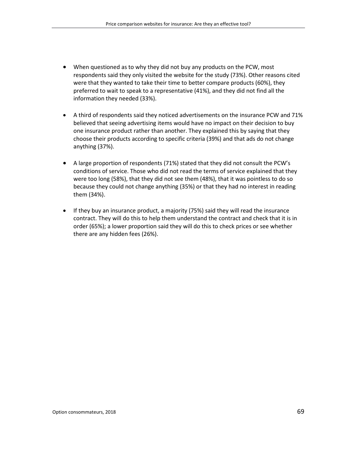- When questioned as to why they did not buy any products on the PCW, most respondents said they only visited the website for the study (73%). Other reasons cited were that they wanted to take their time to better compare products (60%), they preferred to wait to speak to a representative (41%), and they did not find all the information they needed (33%).
- A third of respondents said they noticed advertisements on the insurance PCW and 71% believed that seeing advertising items would have no impact on their decision to buy one insurance product rather than another. They explained this by saying that they choose their products according to specific criteria (39%) and that ads do not change anything (37%).
- A large proportion of respondents (71%) stated that they did not consult the PCW's conditions of service. Those who did not read the terms of service explained that they were too long (58%), that they did not see them (48%), that it was pointless to do so because they could not change anything (35%) or that they had no interest in reading them (34%).
- If they buy an insurance product, a majority (75%) said they will read the insurance contract. They will do this to help them understand the contract and check that it is in order (65%); a lower proportion said they will do this to check prices or see whether there are any hidden fees (26%).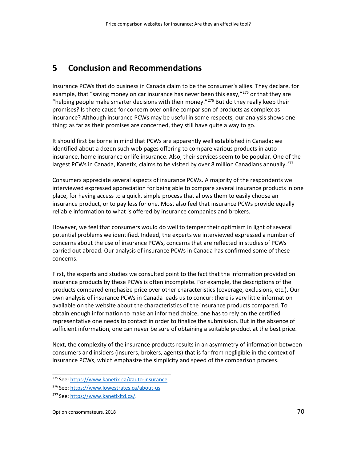# **5 Conclusion and Recommendations**

Insurance PCWs that do business in Canada claim to be the consumer's allies. They declare, for example, that "saving money on car insurance has never been this easy,"<sup>[275](#page-69-0)</sup> or that they are "helping people make smarter decisions with their money."<sup>[276](#page-69-1)</sup> But do they really keep their promises? Is there cause for concern over online comparison of products as complex as insurance? Although insurance PCWs may be useful in some respects, our analysis shows one thing: as far as their promises are concerned, they still have quite a way to go.

It should first be borne in mind that PCWs are apparently well established in Canada; we identified about a dozen such web pages offering to compare various products in auto insurance, home insurance or life insurance. Also, their services seem to be popular. One of the largest PCWs in Canada, Kanetix, claims to be visited by over 8 million Canadians annually.<sup>[277](#page-69-2)</sup>

Consumers appreciate several aspects of insurance PCWs. A majority of the respondents we interviewed expressed appreciation for being able to compare several insurance products in one place, for having access to a quick, simple process that allows them to easily choose an insurance product, or to pay less for one. Most also feel that insurance PCWs provide equally reliable information to what is offered by insurance companies and brokers.

However, we feel that consumers would do well to temper their optimism in light of several potential problems we identified. Indeed, the experts we interviewed expressed a number of concerns about the use of insurance PCWs, concerns that are reflected in studies of PCWs carried out abroad. Our analysis of insurance PCWs in Canada has confirmed some of these concerns.

First, the experts and studies we consulted point to the fact that the information provided on insurance products by these PCWs is often incomplete. For example, the descriptions of the products compared emphasize price over other characteristics (coverage, exclusions, etc.). Our own analysis of insurance PCWs in Canada leads us to concur: there is very little information available on the website about the characteristics of the insurance products compared. To obtain enough information to make an informed choice, one has to rely on the certified representative one needs to contact in order to finalize the submission. But in the absence of sufficient information, one can never be sure of obtaining a suitable product at the best price.

Next, the complexity of the insurance products results in an asymmetry of information between consumers and insiders (insurers, brokers, agents) that is far from negligible in the context of insurance PCWs, which emphasize the simplicity and speed of the comparison process.

<span id="page-69-0"></span>\_\_\_\_\_\_\_\_\_\_\_\_\_\_\_\_\_\_\_\_\_\_\_\_\_\_\_\_\_\_\_\_\_\_ 275 See: [https://www.kanetix.ca/#auto-insurance.](https://www.kanetix.ca/#auto-insurance)

<span id="page-69-1"></span><sup>276</sup> See: [https://www.lowestrates.ca/about-us.](https://www.lowestrates.ca/about-us)

<span id="page-69-2"></span><sup>277</sup> See: [https://www.kanetixltd.ca/.](https://www.kanetixltd.ca/)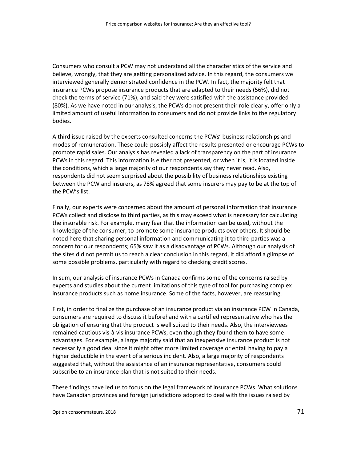Consumers who consult a PCW may not understand all the characteristics of the service and believe, wrongly, that they are getting personalized advice. In this regard, the consumers we interviewed generally demonstrated confidence in the PCW. In fact, the majority felt that insurance PCWs propose insurance products that are adapted to their needs (56%), did not check the terms of service (71%), and said they were satisfied with the assistance provided (80%). As we have noted in our analysis, the PCWs do not present their role clearly, offer only a limited amount of useful information to consumers and do not provide links to the regulatory bodies.

A third issue raised by the experts consulted concerns the PCWs' business relationships and modes of remuneration. These could possibly affect the results presented or encourage PCWs to promote rapid sales. Our analysis has revealed a lack of transparency on the part of insurance PCWs in this regard. This information is either not presented, or when it is, it is located inside the conditions, which a large majority of our respondents say they never read. Also, respondents did not seem surprised about the possibility of business relationships existing between the PCW and insurers, as 78% agreed that some insurers may pay to be at the top of the PCW's list.

Finally, our experts were concerned about the amount of personal information that insurance PCWs collect and disclose to third parties, as this may exceed what is necessary for calculating the insurable risk. For example, many fear that the information can be used, without the knowledge of the consumer, to promote some insurance products over others. It should be noted here that sharing personal information and communicating it to third parties was a concern for our respondents; 65% saw it as a disadvantage of PCWs. Although our analysis of the sites did not permit us to reach a clear conclusion in this regard, it did afford a glimpse of some possible problems, particularly with regard to checking credit scores.

In sum, our analysis of insurance PCWs in Canada confirms some of the concerns raised by experts and studies about the current limitations of this type of tool for purchasing complex insurance products such as home insurance. Some of the facts, however, are reassuring.

First, in order to finalize the purchase of an insurance product via an insurance PCW in Canada, consumers are required to discuss it beforehand with a certified representative who has the obligation of ensuring that the product is well suited to their needs. Also, the interviewees remained cautious vis-à-vis insurance PCWs, even though they found them to have some advantages. For example, a large majority said that an inexpensive insurance product is not necessarily a good deal since it might offer more limited coverage or entail having to pay a higher deductible in the event of a serious incident. Also, a large majority of respondents suggested that, without the assistance of an insurance representative, consumers could subscribe to an insurance plan that is not suited to their needs.

These findings have led us to focus on the legal framework of insurance PCWs. What solutions have Canadian provinces and foreign jurisdictions adopted to deal with the issues raised by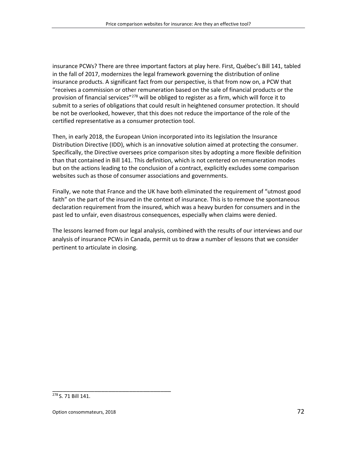insurance PCWs? There are three important factors at play here. First, Québec's Bill 141, tabled in the fall of 2017, modernizes the legal framework governing the distribution of online insurance products. A significant fact from our perspective, is that from now on, a PCW that "receives a commission or other remuneration based on the sale of financial products or the provision of financial services"<sup>[278](#page-71-0)</sup> will be obliged to register as a firm, which will force it to submit to a series of obligations that could result in heightened consumer protection. It should be not be overlooked, however, that this does not reduce the importance of the role of the certified representative as a consumer protection tool.

Then, in early 2018, the European Union incorporated into its legislation the Insurance Distribution Directive (IDD), which is an innovative solution aimed at protecting the consumer. Specifically, the Directive oversees price comparison sites by adopting a more flexible definition than that contained in Bill 141. This definition, which is not centered on remuneration modes but on the actions leading to the conclusion of a contract, explicitly excludes some comparison websites such as those of consumer associations and governments.

Finally, we note that France and the UK have both eliminated the requirement of "utmost good faith" on the part of the insured in the context of insurance. This is to remove the spontaneous declaration requirement from the insured, which was a heavy burden for consumers and in the past led to unfair, even disastrous consequences, especially when claims were denied.

The lessons learned from our legal analysis, combined with the results of our interviews and our analysis of insurance PCWs in Canada, permit us to draw a number of lessons that we consider pertinent to articulate in closing.

<span id="page-71-0"></span><sup>278</sup> S. 71 Bill 141.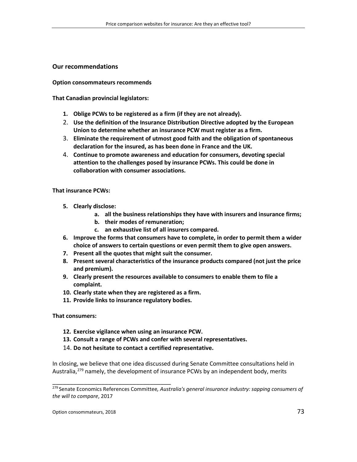## **Our recommendations**

## **Option consommateurs recommends**

**That Canadian provincial legislators:**

- **1. Oblige PCWs to be registered as a firm (if they are not already).**
- 2. **Use the definition of the Insurance Distribution Directive adopted by the European Union to determine whether an insurance PCW must register as a firm.**
- 3. **Eliminate the requirement of utmost good faith and the obligation of spontaneous declaration for the insured, as has been done in France and the UK.**
- 4. **Continue to promote awareness and education for consumers, devoting special attention to the challenges posed by insurance PCWs. This could be done in collaboration with consumer associations.**

## **That insurance PCWs:**

- **5. Clearly disclose:**
	- **a. all the business relationships they have with insurers and insurance firms;**
	- **b. their modes of remuneration;**
	- **c. an exhaustive list of all insurers compared.**
- **6. Improve the forms that consumers have to complete, in order to permit them a wider choice of answers to certain questions or even permit them to give open answers.**
- **7. Present all the quotes that might suit the consumer.**
- **8. Present several characteristics of the insurance products compared (not just the price and premium).**
- **9. Clearly present the resources available to consumers to enable them to file a complaint.**
- **10. Clearly state when they are registered as a firm.**
- **11. Provide links to insurance regulatory bodies.**

**That consumers:**

**12. Exercise vigilance when using an insurance PCW.**

\_\_\_\_\_\_\_\_\_\_\_\_\_\_\_\_\_\_\_\_\_\_\_\_\_\_\_\_\_\_\_\_\_\_

- **13. Consult a range of PCWs and confer with several representatives.**
- 14. **Do not hesitate to contact a certified representative.**

In closing, we believe that one idea discussed during Senate Committee consultations held in Australia,<sup>[279](#page-72-0)</sup> namely, the development of insurance PCWs by an independent body, merits

<span id="page-72-0"></span><sup>279</sup> Senate Economics References Committee*, Australia's general insurance industry: sapping consumers of the will to compare*, 2017